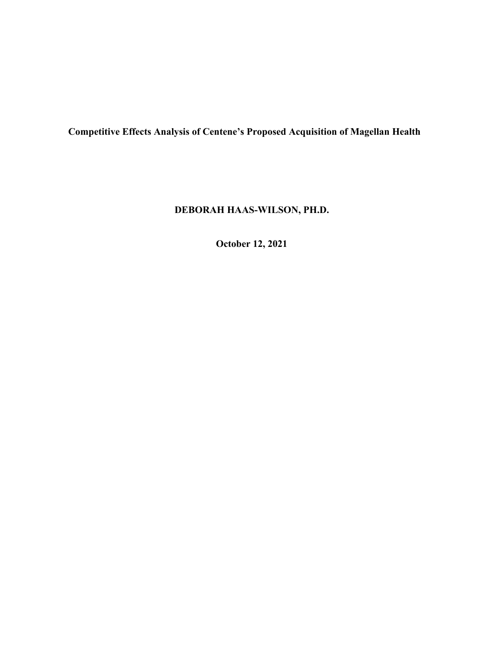**Competitive Effects Analysis of Centene's Proposed Acquisition of Magellan Health** 

# **DEBORAH HAAS-WILSON, PH.D.**

**October 12, 2021**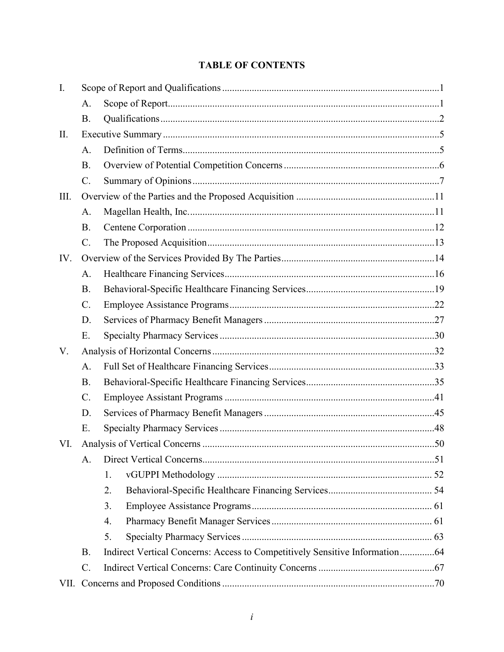# **TABLE OF CONTENTS**

| I.   |                 |                                                                             |  |
|------|-----------------|-----------------------------------------------------------------------------|--|
|      | A.              |                                                                             |  |
|      | <b>B.</b>       |                                                                             |  |
| П.   |                 |                                                                             |  |
|      | A.              |                                                                             |  |
|      | <b>B.</b>       |                                                                             |  |
|      | $\mathcal{C}$ . |                                                                             |  |
| III. |                 |                                                                             |  |
|      | A.              |                                                                             |  |
|      | <b>B.</b>       |                                                                             |  |
|      | $\mathcal{C}$ . |                                                                             |  |
| IV.  |                 |                                                                             |  |
|      | A.              |                                                                             |  |
|      | <b>B.</b>       |                                                                             |  |
|      | $\mathcal{C}$ . |                                                                             |  |
|      | D.              |                                                                             |  |
|      | E.              |                                                                             |  |
| V.   |                 |                                                                             |  |
|      | A.              |                                                                             |  |
|      | <b>B.</b>       |                                                                             |  |
|      | $C$ .           |                                                                             |  |
|      | D.              |                                                                             |  |
|      | E.              |                                                                             |  |
| VI.  |                 |                                                                             |  |
|      | A.              |                                                                             |  |
|      |                 | 1.                                                                          |  |
|      |                 | 2.                                                                          |  |
|      |                 | 3.                                                                          |  |
|      |                 | 4.                                                                          |  |
|      |                 | 5.                                                                          |  |
|      | <b>B.</b>       | Indirect Vertical Concerns: Access to Competitively Sensitive Information64 |  |
|      | $C$ .           |                                                                             |  |
|      |                 |                                                                             |  |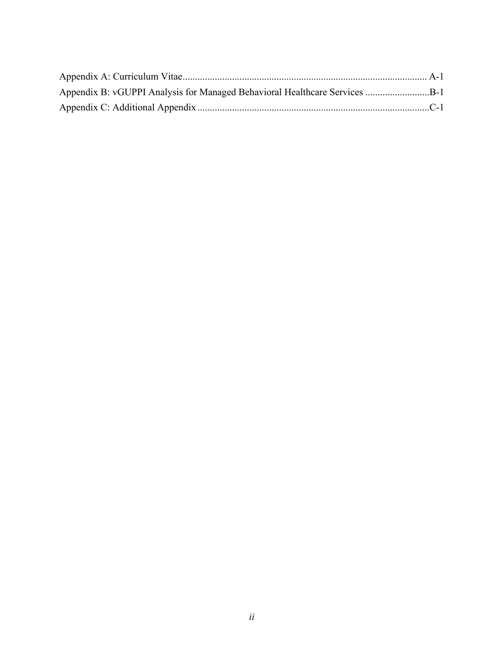| Appendix B: vGUPPI Analysis for Managed Behavioral Healthcare Services B-1 |  |
|----------------------------------------------------------------------------|--|
|                                                                            |  |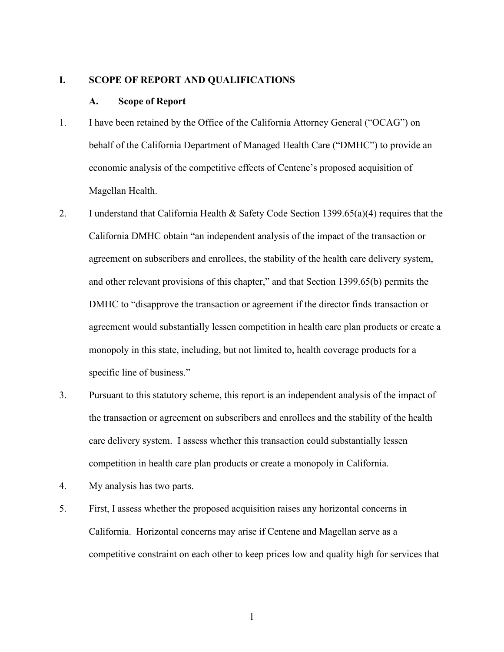#### <span id="page-3-0"></span>**I. SCOPE OF REPORT AND QUALIFICATIONS**

#### **A. Scope of Report**

- 1. I have been retained by the Office of the California Attorney General ("OCAG") on behalf of the California Department of Managed Health Care ("DMHC") to provide an economic analysis of the competitive effects of Centene's proposed acquisition of Magellan Health.
- and other relevant provisions of this chapter," and that Section 1399.65(b) permits the 2. I understand that California Health & Safety Code Section 1399.65(a)(4) requires that the California DMHC obtain "an independent analysis of the impact of the transaction or agreement on subscribers and enrollees, the stability of the health care delivery system, DMHC to "disapprove the transaction or agreement if the director finds transaction or agreement would substantially lessen competition in health care plan products or create a monopoly in this state, including, but not limited to, health coverage products for a specific line of business."
- care delivery system. I assess whether this transaction could substantially lessen competition in health care plan products or create a monopoly in California. 3. Pursuant to this statutory scheme, this report is an independent analysis of the impact of the transaction or agreement on subscribers and enrollees and the stability of the health
- 4. My analysis has two parts.
- competitive constraint on each other to keep prices low and quality high for services that 5. First, I assess whether the proposed acquisition raises any horizontal concerns in California. Horizontal concerns may arise if Centene and Magellan serve as a

1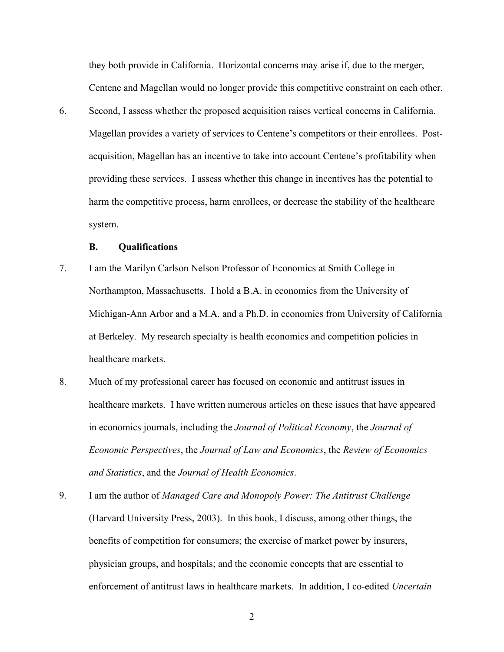<span id="page-4-0"></span>they both provide in California. Horizontal concerns may arise if, due to the merger, Centene and Magellan would no longer provide this competitive constraint on each other.

6. Second, I assess whether the proposed acquisition raises vertical concerns in California. Magellan provides a variety of services to Centene's competitors or their enrollees. Postacquisition, Magellan has an incentive to take into account Centene's profitability when providing these services. I assess whether this change in incentives has the potential to harm the competitive process, harm enrollees, or decrease the stability of the healthcare system.

## **B. Qualifications**

- 7. I am the Marilyn Carlson Nelson Professor of Economics at Smith College in Northampton, Massachusetts. I hold a B.A. in economics from the University of Michigan-Ann Arbor and a M.A. and a Ph.D. in economics from University of California at Berkeley. My research specialty is health economics and competition policies in healthcare markets.
- healthcare markets. I have written numerous articles on these issues that have appeared 8. Much of my professional career has focused on economic and antitrust issues in in economics journals, including the *Journal of Political Economy*, the *Journal of Economic Perspectives*, the *Journal of Law and Economics*, the *Review of Economics and Statistics*, and the *Journal of Health Economics*.
- 9. I am the author of *Managed Care and Monopoly Power: The Antitrust Challenge*  (Harvard University Press, 2003). In this book, I discuss, among other things, the benefits of competition for consumers; the exercise of market power by insurers, physician groups, and hospitals; and the economic concepts that are essential to enforcement of antitrust laws in healthcare markets. In addition, I co-edited *Uncertain*

2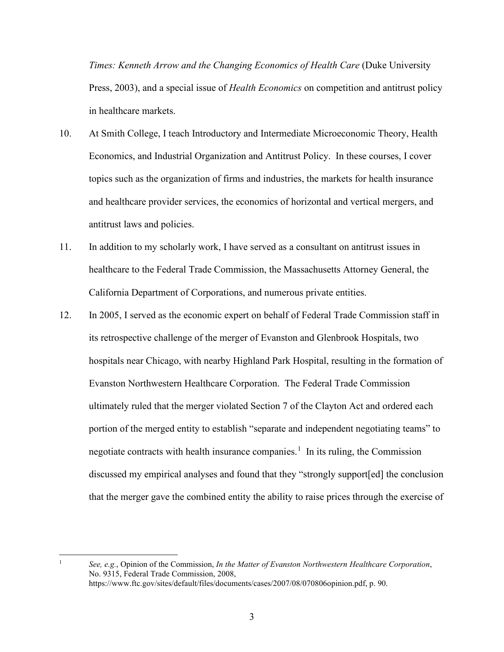*Times: Kenneth Arrow and the Changing Economics of Health Care* (Duke University Press, 2003), and a special issue of *Health Economics* on competition and antitrust policy in healthcare markets.

- and healthcare provider services, the economics of horizontal and vertical mergers, and 10. At Smith College, I teach Introductory and Intermediate Microeconomic Theory, Health Economics, and Industrial Organization and Antitrust Policy. In these courses, I cover topics such as the organization of firms and industries, the markets for health insurance antitrust laws and policies.
- 11. In addition to my scholarly work, I have served as a consultant on antitrust issues in healthcare to the Federal Trade Commission, the Massachusetts Attorney General, the California Department of Corporations, and numerous private entities.
- 12. In 2005, I served as the economic expert on behalf of Federal Trade Commission staff in its retrospective challenge of the merger of Evanston and Glenbrook Hospitals, two hospitals near Chicago, with nearby Highland Park Hospital, resulting in the formation of Evanston Northwestern Healthcare Corporation. The Federal Trade Commission ultimately ruled that the merger violated Section 7 of the Clayton Act and ordered each portion of the merged entity to establish "separate and independent negotiating teams" to negotiate contracts with health insurance companies.<sup>[1](#page-5-0)</sup> In its ruling, the Commission discussed my empirical analyses and found that they "strongly support[ed] the conclusion that the merger gave the combined entity the ability to raise prices through the exercise of

<span id="page-5-0"></span> 1

*See, e.g.*, Opinion of the Commission, *In the Matter of Evanston Northwestern Healthcare Corporation*, No. 9315, Federal Trade Commission, 2008, <https://www.ftc.gov/sites/default/files/documents/cases/2007/08/070806opinion.pdf>, p. 90.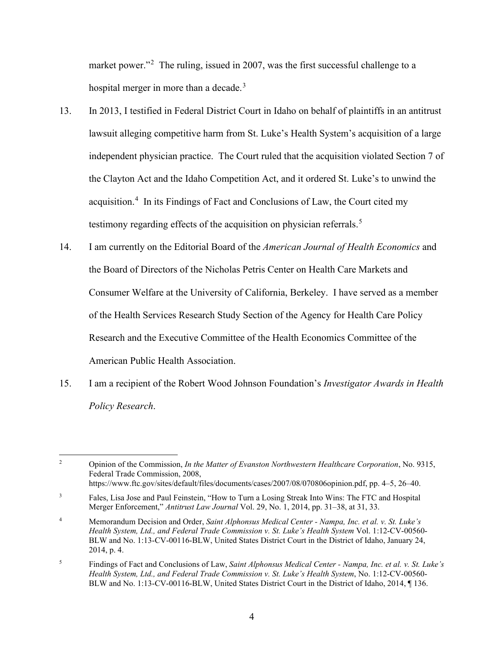market power."<sup>[2](#page-6-0)</sup> The ruling, issued in 2007, was the first successful challenge to a hospital merger in more than a decade.<sup>3</sup>

- testimony regarding effects of the acquisition on physician referrals.<sup>[5](#page-6-3)</sup> 13. In 2013, I testified in Federal District Court in Idaho on behalf of plaintiffs in an antitrust lawsuit alleging competitive harm from St. Luke's Health System's acquisition of a large independent physician practice. The Court ruled that the acquisition violated Section 7 of the Clayton Act and the Idaho Competition Act, and it ordered St. Luke's to unwind the acquisition.<sup>[4](#page-6-2)</sup> In its Findings of Fact and Conclusions of Law, the Court cited my
- Consumer Welfare at the University of California, Berkeley. I have served as a member 14. I am currently on the Editorial Board of the *American Journal of Health Economics* and the Board of Directors of the Nicholas Petris Center on Health Care Markets and of the Health Services Research Study Section of the Agency for Health Care Policy Research and the Executive Committee of the Health Economics Committee of the American Public Health Association.
- 15. I am a recipient of the Robert Wood Johnson Foundation's *Investigator Awards in Health Policy Research*.

<span id="page-6-0"></span> $\overline{c}$ 2 Opinion of the Commission, *In the Matter of Evanston Northwestern Healthcare Corporation*, No. 9315, Federal Trade Commission, 2008, [https://www.ftc.gov/sites/default/files/documents/cases/2007/08/070806opinion.pdf,](https://www.ftc.gov/sites/default/files/documents/cases/2007/08/070806opinion.pdf) pp. 4–5, 26–40.

<span id="page-6-1"></span> $\overline{3}$ 3 Fales, Lisa Jose and Paul Feinstein, "How to Turn a Losing Streak Into Wins: The FTC and Hospital Merger Enforcement," *Antitrust Law Journal* Vol. 29, No. 1, 2014, pp. 31–38, at 31, 33.

<span id="page-6-2"></span> $\overline{4}$  BLW and No. 1:13-CV-00116-BLW, United States District Court in the District of Idaho, January 24,  $2014$ , p. 4. 4 Memorandum Decision and Order, *Saint Alphonsus Medical Center - Nampa, Inc. et al. v. St. Luke's Health System, Ltd., and Federal Trade Commission v. St. Luke's Health System* Vol. 1:12-CV-00560-

<span id="page-6-3"></span> $\sqrt{5}$ 2014, p. 4. 5 Findings of Fact and Conclusions of Law, *Saint Alphonsus Medical Center - Nampa, Inc. et al. v. St. Luke's Health System, Ltd., and Federal Trade Commission v. St. Luke's Health System*, No. 1:12-CV-00560- BLW and No. 1:13-CV-00116-BLW, United States District Court in the District of Idaho, 2014, ¶ 136.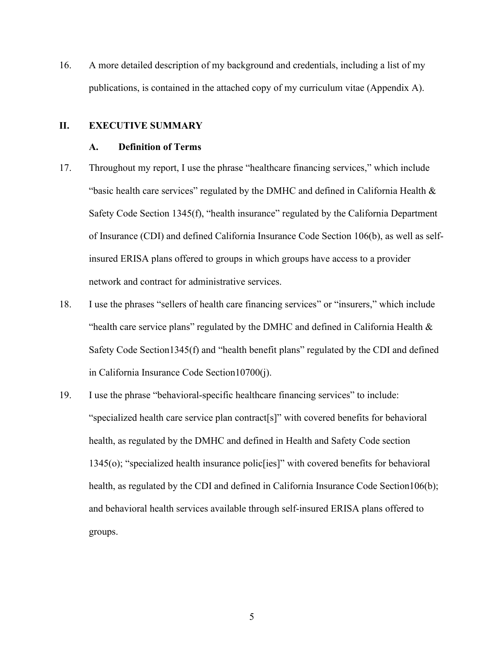<span id="page-7-0"></span> publications, is contained in the attached copy of my curriculum vitae (Appendix A). 16. A more detailed description of my background and credentials, including a list of my

## **II. EXECUTIVE SUMMARY**

#### **A. Definition of Terms**

- 17. Throughout my report, I use the phrase "healthcare financing services," which include "basic health care services" regulated by the DMHC and defined in California Health  $\&$ Safety Code Section 1345(f), "health insurance" regulated by the California Department of Insurance (CDI) and defined California Insurance Code Section 106(b), as well as selfinsured ERISA plans offered to groups in which groups have access to a provider network and contract for administrative services.
- 18. I use the phrases "sellers of health care financing services" or "insurers," which include "health care service plans" regulated by the DMHC and defined in California Health  $\&$ Safety Code Section1345(f) and "health benefit plans" regulated by the CDI and defined in California Insurance Code Section10700(j).
- 19. I use the phrase "behavioral-specific healthcare financing services" to include: "specialized health care service plan contract[s]" with covered benefits for behavioral health, as regulated by the DMHC and defined in Health and Safety Code section 1345(o); "specialized health insurance polic[ies]" with covered benefits for behavioral health, as regulated by the CDI and defined in California Insurance Code Section106(b); and behavioral health services available through self-insured ERISA plans offered to groups.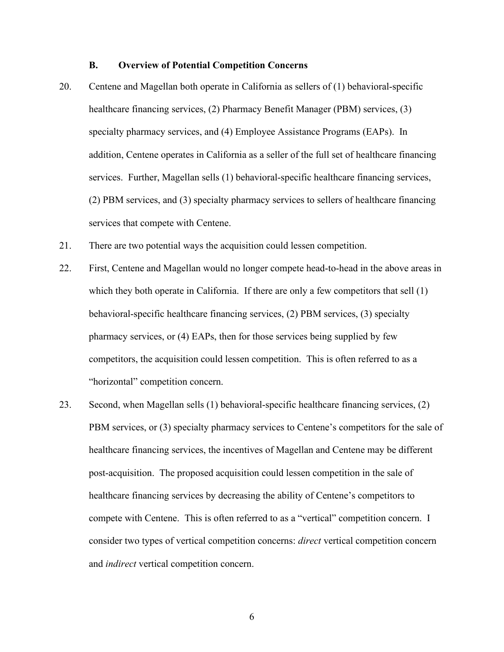## **B. Overview of Potential Competition Concerns**

- <span id="page-8-0"></span>20. Centene and Magellan both operate in California as sellers of (1) behavioral-specific healthcare financing services, (2) Pharmacy Benefit Manager (PBM) services, (3) specialty pharmacy services, and (4) Employee Assistance Programs (EAPs). In addition, Centene operates in California as a seller of the full set of healthcare financing services. Further, Magellan sells (1) behavioral-specific healthcare financing services, (2) PBM services, and (3) specialty pharmacy services to sellers of healthcare financing services that compete with Centene.
- 21. There are two potential ways the acquisition could lessen competition.
- 22. First, Centene and Magellan would no longer compete head-to-head in the above areas in which they both operate in California. If there are only a few competitors that sell (1) behavioral-specific healthcare financing services, (2) PBM services, (3) specialty pharmacy services, or (4) EAPs, then for those services being supplied by few competitors, the acquisition could lessen competition. This is often referred to as a "horizontal" competition concern.
- compete with Centene. This is often referred to as a "vertical" competition concern. I 23. Second, when Magellan sells (1) behavioral-specific healthcare financing services, (2) PBM services, or (3) specialty pharmacy services to Centene's competitors for the sale of healthcare financing services, the incentives of Magellan and Centene may be different post-acquisition. The proposed acquisition could lessen competition in the sale of healthcare financing services by decreasing the ability of Centene's competitors to consider two types of vertical competition concerns: *direct* vertical competition concern and *indirect* vertical competition concern.

6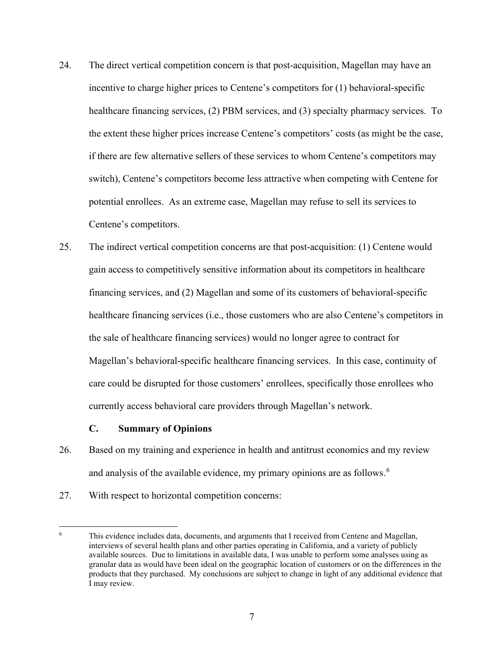- <span id="page-9-0"></span>24. The direct vertical competition concern is that post-acquisition, Magellan may have an incentive to charge higher prices to Centene's competitors for (1) behavioral-specific healthcare financing services, (2) PBM services, and (3) specialty pharmacy services. To the extent these higher prices increase Centene's competitors' costs (as might be the case, if there are few alternative sellers of these services to whom Centene's competitors may switch), Centene's competitors become less attractive when competing with Centene for potential enrollees. As an extreme case, Magellan may refuse to sell its services to Centene's competitors.
- 25. The indirect vertical competition concerns are that post-acquisition: (1) Centene would gain access to competitively sensitive information about its competitors in healthcare financing services, and (2) Magellan and some of its customers of behavioral-specific healthcare financing services (i.e., those customers who are also Centene's competitors in the sale of healthcare financing services) would no longer agree to contract for Magellan's behavioral-specific healthcare financing services. In this case, continuity of care could be disrupted for those customers' enrollees, specifically those enrollees who currently access behavioral care providers through Magellan's network.

#### **C. Summary of Opinions**

- 26. Based on my training and experience in health and antitrust economics and my review and analysis of the available evidence, my primary opinions are as follows.<sup>[6](#page-9-1)</sup>
- 27. With respect to horizontal competition concerns:

<span id="page-9-1"></span> granular data as would have been ideal on the geographic location of customers or on the differences in the products that they purchased. My conclusions are subject to change in light of any additional evidence that This evidence includes data, documents, and arguments that I received from Centene and Magellan, interviews of several health plans and other parties operating in California, and a variety of publicly available sources. Due to limitations in available data, I was unable to perform some analyses using as I may review. 6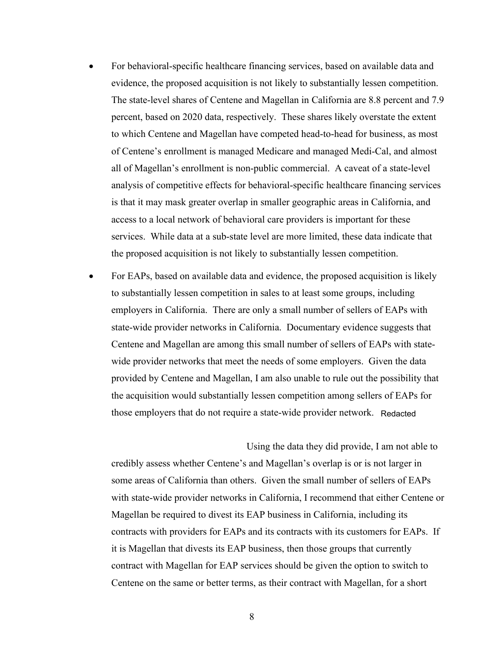- all of Magellan's enrollment is non-public commercial. A caveat of a state-level analysis of competitive effects for behavioral-specific healthcare financing services • For behavioral-specific healthcare financing services, based on available data and evidence, the proposed acquisition is not likely to substantially lessen competition. The state-level shares of Centene and Magellan in California are 8.8 percent and 7.9 percent, based on 2020 data, respectively. These shares likely overstate the extent to which Centene and Magellan have competed head-to-head for business, as most of Centene's enrollment is managed Medicare and managed Medi-Cal, and almost is that it may mask greater overlap in smaller geographic areas in California, and access to a local network of behavioral care providers is important for these services. While data at a sub-state level are more limited, these data indicate that the proposed acquisition is not likely to substantially lessen competition.
- For EAPs, based on available data and evidence, the proposed acquisition is likely to substantially lessen competition in sales to at least some groups, including employers in California. There are only a small number of sellers of EAPs with state-wide provider networks in California. Documentary evidence suggests that Centene and Magellan are among this small number of sellers of EAPs with statewide provider networks that meet the needs of some employers. Given the data provided by Centene and Magellan, I am also unable to rule out the possibility that the acquisition would substantially lessen competition among sellers of EAPs for those employers that do not require a state-wide provider network.

 Using the data they did provide, I am not able to credibly assess whether Centene's and Magellan's overlap is or is not larger in some areas of California than others. Given the small number of sellers of EAPs with state-wide provider networks in California, I recommend that either Centene or Magellan be required to divest its EAP business in California, including its contracts with providers for EAPs and its contracts with its customers for EAPs. If it is Magellan that divests its EAP business, then those groups that currently contract with Magellan for EAP services should be given the option to switch to Centene on the same or better terms, as their contract with Magellan, for a short Example a state-wide provider network. Redacted<br>
Using the data they did provide, I am not a<br>
and Magellan's overlap is or is not larger i<br>
S. Given the small number of sellers of E.<br>
in California, I recommend that either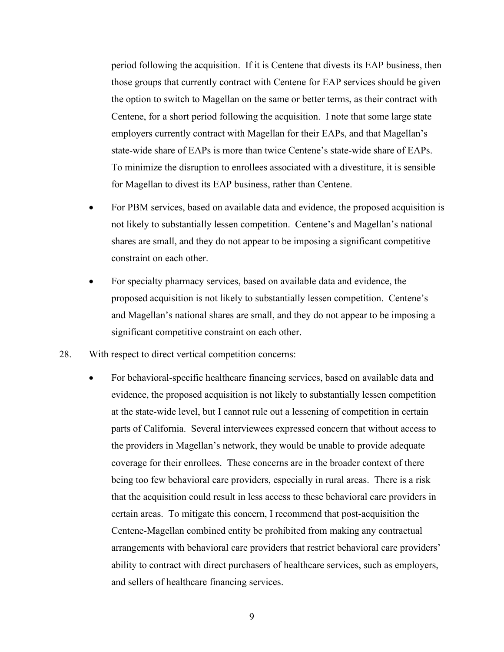period following the acquisition. If it is Centene that divests its EAP business, then state-wide share of EAPs is more than twice Centene's state-wide share of EAPs. those groups that currently contract with Centene for EAP services should be given the option to switch to Magellan on the same or better terms, as their contract with Centene, for a short period following the acquisition. I note that some large state employers currently contract with Magellan for their EAPs, and that Magellan's To minimize the disruption to enrollees associated with a divestiture, it is sensible for Magellan to divest its EAP business, rather than Centene.

- For PBM services, based on available data and evidence, the proposed acquisition is not likely to substantially lessen competition. Centene's and Magellan's national shares are small, and they do not appear to be imposing a significant competitive constraint on each other.
- For specialty pharmacy services, based on available data and evidence, the proposed acquisition is not likely to substantially lessen competition. Centene's and Magellan's national shares are small, and they do not appear to be imposing a significant competitive constraint on each other.
- 28. With respect to direct vertical competition concerns:
	- the providers in Magellan's network, they would be unable to provide adequate and sellers of healthcare financing services. • For behavioral-specific healthcare financing services, based on available data and evidence, the proposed acquisition is not likely to substantially lessen competition at the state-wide level, but I cannot rule out a lessening of competition in certain parts of California. Several interviewees expressed concern that without access to coverage for their enrollees. These concerns are in the broader context of there being too few behavioral care providers, especially in rural areas. There is a risk that the acquisition could result in less access to these behavioral care providers in certain areas. To mitigate this concern, I recommend that post-acquisition the Centene-Magellan combined entity be prohibited from making any contractual arrangements with behavioral care providers that restrict behavioral care providers' ability to contract with direct purchasers of healthcare services, such as employers,

9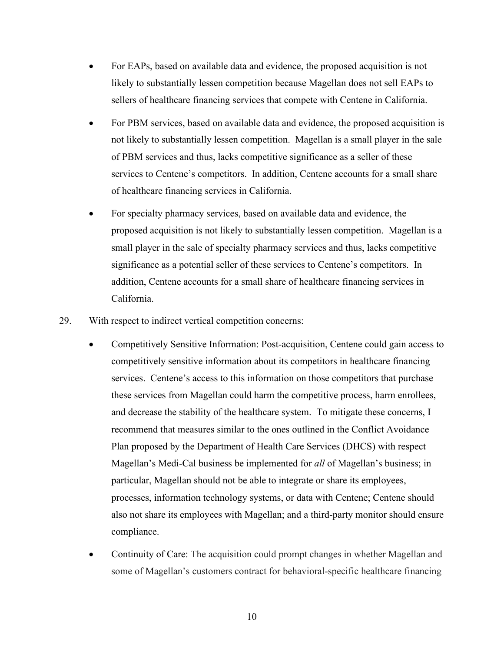- • For EAPs, based on available data and evidence, the proposed acquisition is not likely to substantially lessen competition because Magellan does not sell EAPs to sellers of healthcare financing services that compete with Centene in California.
- • For PBM services, based on available data and evidence, the proposed acquisition is of PBM services and thus, lacks competitive significance as a seller of these services to Centene's competitors. In addition, Centene accounts for a small share not likely to substantially lessen competition. Magellan is a small player in the sale of healthcare financing services in California.
- • For specialty pharmacy services, based on available data and evidence, the proposed acquisition is not likely to substantially lessen competition. Magellan is a small player in the sale of specialty pharmacy services and thus, lacks competitive significance as a potential seller of these services to Centene's competitors. In addition, Centene accounts for a small share of healthcare financing services in California.
- 29. With respect to indirect vertical competition concerns:
	- and decrease the stability of the healthcare system. To mitigate these concerns, I Plan proposed by the Department of Health Care Services (DHCS) with respect • Competitively Sensitive Information: Post-acquisition, Centene could gain access to competitively sensitive information about its competitors in healthcare financing services. Centene's access to this information on those competitors that purchase these services from Magellan could harm the competitive process, harm enrollees, recommend that measures similar to the ones outlined in the Conflict Avoidance Magellan's Medi-Cal business be implemented for *all* of Magellan's business; in particular, Magellan should not be able to integrate or share its employees, processes, information technology systems, or data with Centene; Centene should also not share its employees with Magellan; and a third-party monitor should ensure compliance.
	- Continuity of Care: The acquisition could prompt changes in whether Magellan and some of Magellan's customers contract for behavioral-specific healthcare financing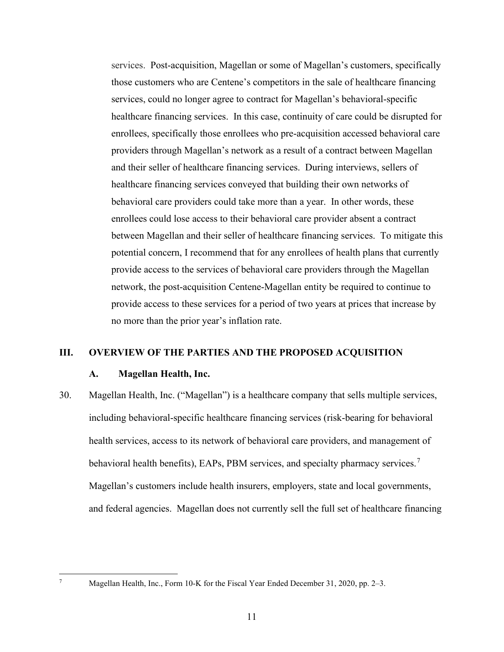<span id="page-13-0"></span> and their seller of healthcare financing services. During interviews, sellers of behavioral care providers could take more than a year. In other words, these services. Post-acquisition, Magellan or some of Magellan's customers, specifically those customers who are Centene's competitors in the sale of healthcare financing services, could no longer agree to contract for Magellan's behavioral-specific healthcare financing services. In this case, continuity of care could be disrupted for enrollees, specifically those enrollees who pre-acquisition accessed behavioral care providers through Magellan's network as a result of a contract between Magellan healthcare financing services conveyed that building their own networks of enrollees could lose access to their behavioral care provider absent a contract between Magellan and their seller of healthcare financing services. To mitigate this potential concern, I recommend that for any enrollees of health plans that currently provide access to the services of behavioral care providers through the Magellan network, the post-acquisition Centene-Magellan entity be required to continue to provide access to these services for a period of two years at prices that increase by no more than the prior year's inflation rate.

#### **III. OVERVIEW OF THE PARTIES AND THE PROPOSED ACQUISITION**

#### **A. Magellan Health, Inc.**

behavioral health benefits), EAPs, PBM services, and specialty pharmacy services.<sup>7</sup> 30. Magellan Health, Inc. ("Magellan") is a healthcare company that sells multiple services, including behavioral-specific healthcare financing services (risk-bearing for behavioral health services, access to its network of behavioral care providers, and management of Magellan's customers include health insurers, employers, state and local governments, and federal agencies. Magellan does not currently sell the full set of healthcare financing

<span id="page-13-1"></span>7

Magellan Health, Inc., Form 10-K for the Fiscal Year Ended December 31, 2020, pp. 2–3.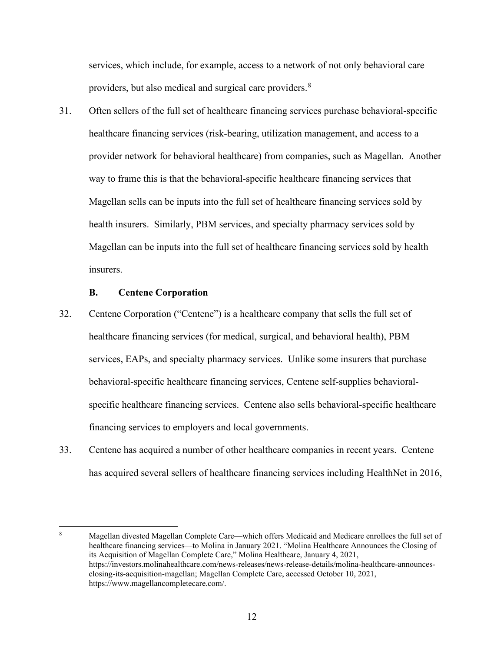<span id="page-14-0"></span> services, which include, for example, access to a network of not only behavioral care providers, but also medical and surgical care providers.<sup>[8](#page-14-1)</sup>

31. Often sellers of the full set of healthcare financing services purchase behavioral-specific healthcare financing services (risk-bearing, utilization management, and access to a provider network for behavioral healthcare) from companies, such as Magellan. Another way to frame this is that the behavioral-specific healthcare financing services that Magellan sells can be inputs into the full set of healthcare financing services sold by health insurers. Similarly, PBM services, and specialty pharmacy services sold by Magellan can be inputs into the full set of healthcare financing services sold by health insurers.

#### **B. Centene Corporation**

- healthcare financing services (for medical, surgical, and behavioral health), PBM 32. Centene Corporation ("Centene") is a healthcare company that sells the full set of services, EAPs, and specialty pharmacy services. Unlike some insurers that purchase behavioral-specific healthcare financing services, Centene self-supplies behavioralspecific healthcare financing services. Centene also sells behavioral-specific healthcare financing services to employers and local governments.
- 33. Centene has acquired a number of other healthcare companies in recent years. Centene has acquired several sellers of healthcare financing services including HealthNet in 2016,

<span id="page-14-1"></span> 8 its Acquisition of Magellan Complete Care," Molina Healthcare, January 4, 2021, closing-its-acquisition-magellan; Magellan Complete Care, accessed October 10, 2021, Magellan divested Magellan Complete Care—which offers Medicaid and Medicare enrollees the full set of healthcare financing services—to Molina in January 2021. "Molina Healthcare Announces the Closing of <https://investors.molinahealthcare.com/news-releases/news-release-details/molina-healthcare-announces>[https://www.magellancompletecare.com/](https://www.magellancompletecare.com).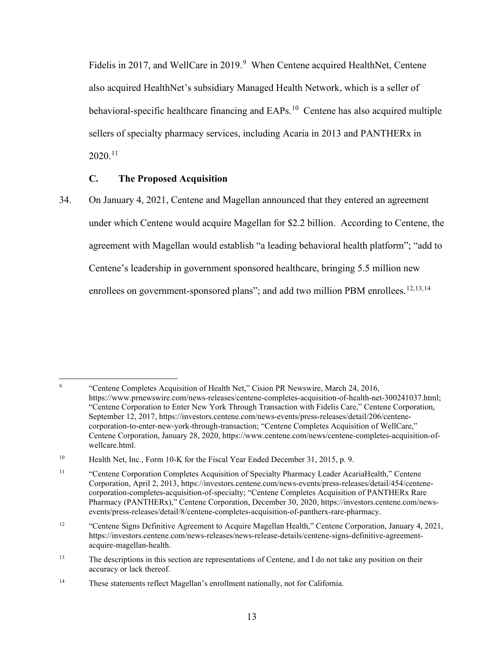<span id="page-15-0"></span>Fidelis in 2017, and WellCare in 201[9](#page-15-1).<sup>9</sup> When Centene acquired HealthNet, Centene also acquired HealthNet's subsidiary Managed Health Network, which is a seller of behavioral-specific healthcare financing and EAPs.<sup>10</sup> Centene has also acquired multiple sellers of specialty pharmacy services, including Acaria in 2013 and PANTHERx in 2020.[11](#page-15-3)

## **C. The Proposed Acquisition**

enrollees on government-sponsored plans"; and add two million PBM enrollees.<sup>[12](#page-15-4),[13,](#page-15-5)[14](#page-15-6)</sup> 34. On January 4, 2021, Centene and Magellan announced that they entered an agreement under which Centene would acquire Magellan for \$2.2 billion. According to Centene, the agreement with Magellan would establish "a leading behavioral health platform"; "add to Centene's leadership in government sponsored healthcare, bringing 5.5 million new

<span id="page-15-1"></span> $\overline{9}$ 9 "Centene Completes Acquisition of Health Net," Cision PR Newswire, March 24, 2016, <https://www.prnewswire.com/news-releases/centene-completes-acquisition-of-health-net-300241037.html>; "Centene Corporation to Enter New York Through Transaction with Fidelis Care," Centene Corporation, September 12, 2017,<https://investors.centene.com/news-events/press-releases/detail/206/centene>corporation-to-enter-new-york-through-transaction; "Centene Completes Acquisition of WellCare," Centene Corporation, January 28, 2020,<https://www.centene.com/news/centene-completes-acquisition-of>wellcare.html.

<span id="page-15-2"></span><sup>10</sup> Health Net, Inc., Form 10-K for the Fiscal Year Ended December 31, 2015, p. 9.

<span id="page-15-3"></span> $11$  Corporation, April 2, 2013,<https://investors.centene.com/news-events/press-releases/detail/454/centene>- Pharmacy (PANTHERx)," Centene Corporation, December 30, 2020, [https://investors.centene.com/news-](https://investors.centene.com/news)11 "Centene Corporation Completes Acquisition of Specialty Pharmacy Leader AcariaHealth," Centene corporation-completes-acquisition-of-specialty; "Centene Completes Acquisition of PANTHERx Rare events/press-releases/detail/8/centene-completes-acquisition-of-pantherx-rare-pharmacy.

<span id="page-15-4"></span> $12$ 12 "Centene Signs Definitive Agreement to Acquire Magellan Health," Centene Corporation, January 4, 2021, <https://investors.centene.com/news-releases/news-release-details/centene-signs-definitive-agreement>acquire-magellan-health.

<span id="page-15-5"></span> $13$ The descriptions in this section are representations of Centene, and I do not take any position on their accuracy or lack thereof.

<span id="page-15-6"></span> $14$ These statements reflect Magellan's enrollment nationally, not for California.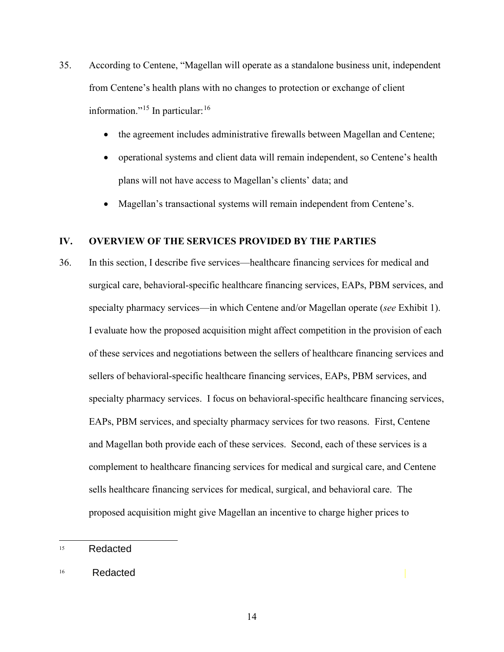- <span id="page-16-0"></span> from Centene's health plans with no changes to protection or exchange of client information."<sup>15</sup> In particular:<sup>[16](#page-16-2)</sup> 35. According to Centene, "Magellan will operate as a standalone business unit, independent
	- the agreement includes administrative firewalls between Magellan and Centene;
	- plans will not have access to Magellan's clients' data; and • operational systems and client data will remain independent, so Centene's health
	- Magellan's transactional systems will remain independent from Centene's.

# **IV. OVERVIEW OF THE SERVICES PROVIDED BY THE PARTIES**

 36. In this section, I describe five services—healthcare financing services for medical and of these services and negotiations between the sellers of healthcare financing services and proposed acquisition might give Magellan an incentive to charge higher prices to surgical care, behavioral-specific healthcare financing services, EAPs, PBM services, and specialty pharmacy services—in which Centene and/or Magellan operate (*see* Exhibit 1). I evaluate how the proposed acquisition might affect competition in the provision of each sellers of behavioral-specific healthcare financing services, EAPs, PBM services, and specialty pharmacy services. I focus on behavioral-specific healthcare financing services, EAPs, PBM services, and specialty pharmacy services for two reasons. First, Centene and Magellan both provide each of these services. Second, each of these services is a complement to healthcare financing services for medical and surgical care, and Centene sells healthcare financing services for medical, surgical, and behavioral care. The

<span id="page-16-1"></span> 15 Redacted

<span id="page-16-2"></span> 16 Redacted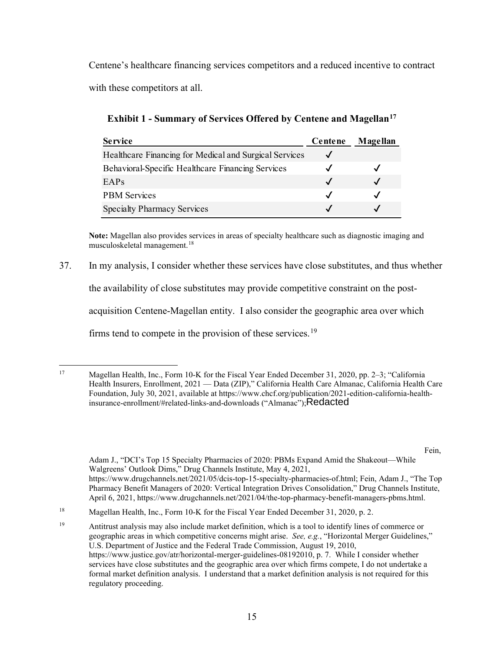Centene's healthcare financing services competitors and a reduced incentive to contract with these competitors at all.

**Exhibit 1 - Summary of Services Offered by Centene and Magellan[17](#page-17-0)**

| <b>Service</b>                                         | Centene                    | Magellan |
|--------------------------------------------------------|----------------------------|----------|
| Healthcare Financing for Medical and Surgical Services |                            |          |
| Behavioral-Specific Healthcare Financing Services      |                            |          |
| EAPs                                                   | $\checkmark$               |          |
| <b>PBM</b> Services                                    | $\boldsymbol{\mathcal{J}}$ |          |
| <b>Specialty Pharmacy Services</b>                     |                            |          |

**Note:** Magellan also provides services in areas of specialty healthcare such as diagnostic imaging and musculoskeletal management.[18](#page-17-1) 

37. In my analysis, I consider whether these services have close substitutes, and thus whether

the availability of close substitutes may provide competitive constraint on the post-

acquisition Centene-Magellan entity. I also consider the geographic area over which

firms tend to compete in the provision of these services.<sup>[19](#page-17-2)</sup>

Fein,

Walgreens' Outlook Dims," Drug Channels Institute, May 4, 2021, <https://www.drugchannels.net/2021/05/dcis-top-15-specialty-pharmacies-of.html>; Fein, Adam J., "The Top Pharmacy Benefit Managers of 2020: Vertical Integration Drives Consolidation," Drug Channels Institute, April 6, 2021, [https://www.drugchannels.net/2021/04/the-top-pharmacy-benefit-managers-pbms.html.](https://www.drugchannels.net/2021/04/the-top-pharmacy-benefit-managers-pbms.html) Adam J., "DCI's Top 15 Specialty Pharmacies of 2020: PBMs Expand Amid the Shakeout—While

<span id="page-17-0"></span><sup>17</sup> Magellan Health, Inc., Form 10-K for the Fiscal Year Ended December 31, 2020, pp. 2–3; "California" Health Insurers, Enrollment, 2021 — Data (ZIP)," California Health Care Almanac, California Health Care Foundation, July 30, 2021, available at<https://www.chcf.org/publication/2021-edition-california-health>insurance-enrollment/#related-links-and-downloads ("Almanac"); Redacted

<span id="page-17-1"></span><sup>18</sup> Magellan Health, Inc., Form 10-K for the Fiscal Year Ended December 31, 2020, p. 2.

<span id="page-17-2"></span><sup>19</sup>  geographic areas in which competitive concerns might arise. *See, e.g.*, "Horizontal Merger Guidelines," U.S. Department of Justice and the Federal Trade Commission, August 19, 2010, 19 Antitrust analysis may also include market definition, which is a tool to identify lines of commerce or [https://www.justice.gov/atr/horizontal-merger-guidelines-08192010,](https://www.justice.gov/atr/horizontal-merger-guidelines-08192010) p. 7. While I consider whether services have close substitutes and the geographic area over which firms compete, I do not undertake a formal market definition analysis. I understand that a market definition analysis is not required for this regulatory proceeding.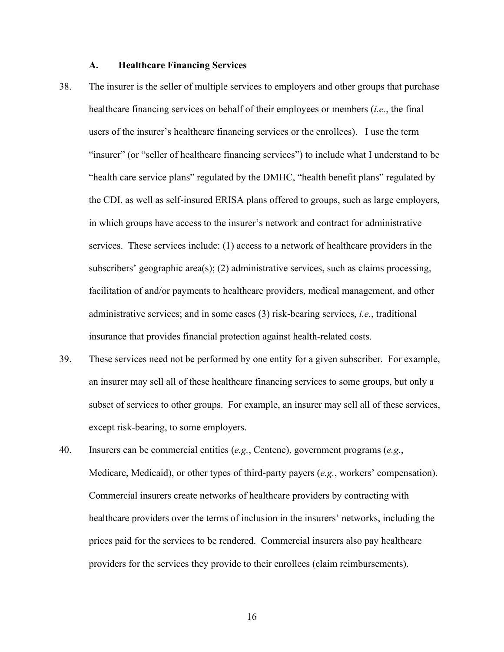#### **A. Healthcare Financing Services**

- <span id="page-18-0"></span> services. These services include: (1) access to a network of healthcare providers in the insurance that provides financial protection against health-related costs. 38. The insurer is the seller of multiple services to employers and other groups that purchase healthcare financing services on behalf of their employees or members (*i.e.*, the final users of the insurer's healthcare financing services or the enrollees). I use the term "insurer" (or "seller of healthcare financing services") to include what I understand to be "health care service plans" regulated by the DMHC, "health benefit plans" regulated by the CDI, as well as self-insured ERISA plans offered to groups, such as large employers, in which groups have access to the insurer's network and contract for administrative subscribers' geographic area(s); (2) administrative services, such as claims processing, facilitation of and/or payments to healthcare providers, medical management, and other administrative services; and in some cases (3) risk-bearing services, *i.e.*, traditional
- an insurer may sell all of these healthcare financing services to some groups, but only a subset of services to other groups. For example, an insurer may sell all of these services, 39. These services need not be performed by one entity for a given subscriber. For example, except risk-bearing, to some employers.
- prices paid for the services to be rendered. Commercial insurers also pay healthcare 40. Insurers can be commercial entities (*e.g.*, Centene), government programs (*e.g.*, Medicare, Medicaid), or other types of third-party payers (*e.g.*, workers' compensation). Commercial insurers create networks of healthcare providers by contracting with healthcare providers over the terms of inclusion in the insurers' networks, including the providers for the services they provide to their enrollees (claim reimbursements).

16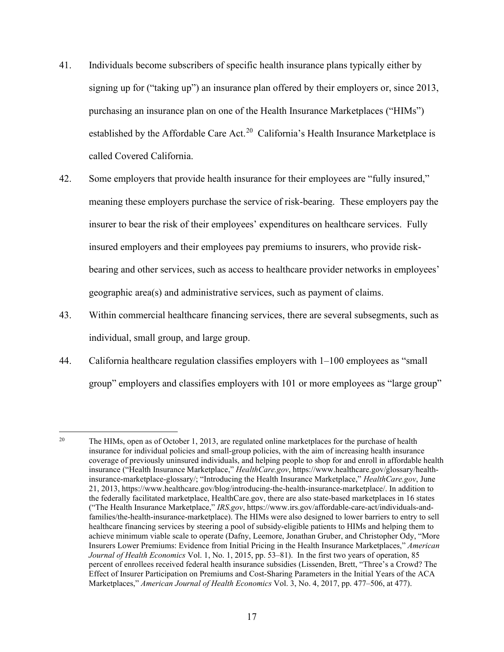- signing up for ("taking up") an insurance plan offered by their employers or, since 2013, purchasing an insurance plan on one of the Health Insurance Marketplaces ("HIMs") established by the Affordable Care Act.<sup>[20](#page-19-0)</sup> California's Health Insurance Marketplace is called Covered California. 41. Individuals become subscribers of specific health insurance plans typically either by
- 42. Some employers that provide health insurance for their employees are "fully insured," meaning these employers purchase the service of risk-bearing. These employers pay the insurer to bear the risk of their employees' expenditures on healthcare services. Fully insured employers and their employees pay premiums to insurers, who provide riskbearing and other services, such as access to healthcare provider networks in employees' geographic area(s) and administrative services, such as payment of claims.
- 43. Within commercial healthcare financing services, there are several subsegments, such as individual, small group, and large group.
- 44. California healthcare regulation classifies employers with 1–100 employees as "small group" employers and classifies employers with 101 or more employees as "large group"

<span id="page-19-0"></span> 20 coverage of previously uninsured individuals, and helping people to shop for and enroll in affordable health the federally facilitated marketplace, [HealthCare.gov](https://HealthCare.gov), there are also state-based marketplaces in 16 states healthcare financing services by steering a pool of subsidy-eligible patients to HIMs and helping them to The HIMs, open as of October 1, 2013, are regulated online marketplaces for the purchase of health insurance for individual policies and small-group policies, with the aim of increasing health insurance insurance ("Health Insurance Marketplace," *[HealthCare.gov](https://HealthCare.gov)*, <https://www.healthcare.gov/glossary/health>insurance-marketplace-glossary/; "Introducing the Health Insurance Marketplace," *[HealthCare.gov](https://HealthCare.gov)*, June 21, 2013,<https://www.healthcare.gov/blog/introducing-the-health-insurance-marketplace>/. In addition to ("The Health Insurance Marketplace," *IRS.gov*,<https://www.irs.gov/affordable-care-act/individuals-and>families/the-health-insurance-marketplace). The HIMs were also designed to lower barriers to entry to sell achieve minimum viable scale to operate (Dafny, Leemore, Jonathan Gruber, and Christopher Ody, "More Insurers Lower Premiums: Evidence from Initial Pricing in the Health Insurance Marketplaces," *American Journal of Health Economics* Vol. 1, No. 1, 2015, pp. 53–81). In the first two years of operation, 85 percent of enrollees received federal health insurance subsidies (Lissenden, Brett, "Three's a Crowd? The Effect of Insurer Participation on Premiums and Cost-Sharing Parameters in the Initial Years of the ACA Marketplaces," *American Journal of Health Economics* Vol. 3, No. 4, 2017, pp. 477–506, at 477).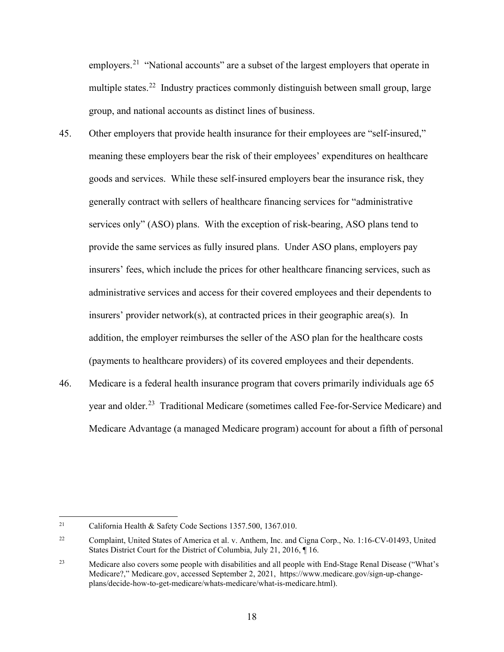employers.<sup>21</sup> "National accounts" are a subset of the largest employers that operate in multiple states.<sup>[22](#page-20-1)</sup> Industry practices commonly distinguish between small group, large group, and national accounts as distinct lines of business.

- generally contract with sellers of healthcare financing services for "administrative insurers' provider network(s), at contracted prices in their geographic area(s). In 45. Other employers that provide health insurance for their employees are "self-insured," meaning these employers bear the risk of their employees' expenditures on healthcare goods and services. While these self-insured employers bear the insurance risk, they services only" (ASO) plans. With the exception of risk-bearing, ASO plans tend to provide the same services as fully insured plans. Under ASO plans, employers pay insurers' fees, which include the prices for other healthcare financing services, such as administrative services and access for their covered employees and their dependents to addition, the employer reimburses the seller of the ASO plan for the healthcare costs (payments to healthcare providers) of its covered employees and their dependents.
- year and older.<sup>[23](#page-20-2)</sup> Traditional Medicare (sometimes called Fee-for-Service Medicare) and 46. Medicare is a federal health insurance program that covers primarily individuals age 65 Medicare Advantage (a managed Medicare program) account for about a fifth of personal

<span id="page-20-0"></span><sup>21</sup> California Health & Safety Code Sections 1357.500, 1367.010.

<span id="page-20-1"></span> $22\,$ 22 Complaint, United States of America et al. v. Anthem, Inc. and Cigna Corp., No. 1:16-CV-01493, United States District Court for the District of Columbia, July 21, 2016, ¶ 16.

<span id="page-20-2"></span> $23\,$ 23 Medicare also covers some people with disabilities and all people with End-Stage Renal Disease ("What's Medicare?," [Medicare.gov](https://Medicare.gov), accessed September 2, 2021, <https://www.medicare.gov/sign-up-change>plans/decide-how-to-get-medicare/whats-medicare/what-is-medicare.html).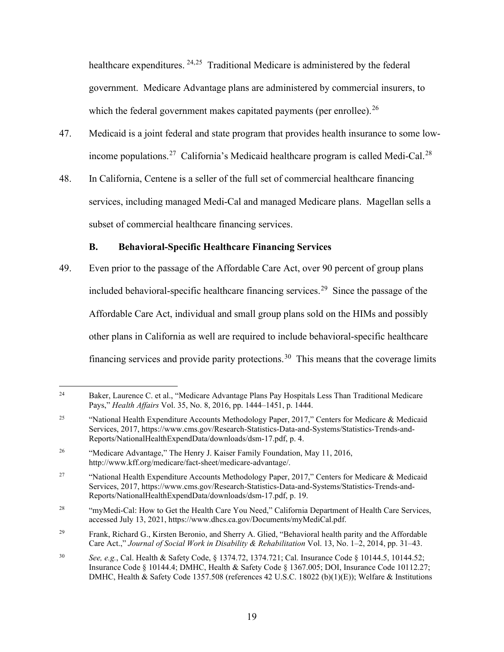<span id="page-21-0"></span>healthcare expenditures. <sup>24,25</sup> Traditional Medicare is administered by the federal which the federal government makes capitated payments (per enrollee).<sup>[26](#page-21-3)</sup> government. Medicare Advantage plans are administered by commercial insurers, to

- income populations.<sup>27</sup> California's Medicaid healthcare program is called Medi-Cal.<sup>[28](#page-21-5)</sup> 47. Medicaid is a joint federal and state program that provides health insurance to some low-
- 48. In California, Centene is a seller of the full set of commercial healthcare financing services, including managed Medi-Cal and managed Medicare plans. Magellan sells a subset of commercial healthcare financing services.

# **B. Behavioral-Specific Healthcare Financing Services**

 included behavioral-specific healthcare financing services. [29](#page-21-6) Since the passage of the financing services and provide parity protections.<sup>30</sup> This means that the coverage limits 49. Even prior to the passage of the Affordable Care Act, over 90 percent of group plans Affordable Care Act, individual and small group plans sold on the HIMs and possibly other plans in California as well are required to include behavioral-specific healthcare

<span id="page-21-1"></span><sup>24</sup> 24 Baker, Laurence C. et al., "Medicare Advantage Plans Pay Hospitals Less Than Traditional Medicare Pays," *Health Affairs* Vol. 35, No. 8, 2016, pp. 1444–1451, p. 1444.

<span id="page-21-2"></span><sup>25</sup> 25 "National Health Expenditure Accounts Methodology Paper, 2017," Centers for Medicare & Medicaid Services, 2017, [https://www.cms.gov/Research-Statistics-Data-and-Systems/Statistics-Trends-and-](https://www.cms.gov/Research-Statistics-Data-and-Systems/Statistics-Trends-and)Reports/NationalHealthExpendData/downloads/dsm-17.pdf, p. 4.

<span id="page-21-3"></span> $26$ "Medicare Advantage," The Henry J. Kaiser Family Foundation, May 11, 2016, [http://www.kff.org/medicare/fact-sheet/medicare-advantage/](http://www.kff.org/medicare/fact-sheet/medicare-advantage).

<span id="page-21-4"></span><sup>27</sup>  Reports/NationalHealthExpendData/downloads/dsm-17.pdf, p. 19. 27 "National Health Expenditure Accounts Methodology Paper, 2017," Centers for Medicare & Medicaid Services, 2017, [https://www.cms.gov/Research-Statistics-Data-and-Systems/Statistics-Trends-and-](https://www.cms.gov/Research-Statistics-Data-and-Systems/Statistics-Trends-and)

<span id="page-21-5"></span> $28\,$ "myMedi-Cal: How to Get the Health Care You Need," California Department of Health Care Services, accessed July 13, 2021, [https://www.dhcs.ca.gov/Documents/myMediCal.pdf.](https://www.dhcs.ca.gov/Documents/myMediCal.pdf)

<span id="page-21-6"></span><sup>29</sup>  Care Act.," *Journal of Social Work in Disability & Rehabilitation* Vol. 13, No. 1–2, 2014, pp. 31–43. 29 Frank, Richard G., Kirsten Beronio, and Sherry A. Glied, "Behavioral health parity and the Affordable

<span id="page-21-7"></span> $30^{\circ}$ <sup>30</sup>*See, e.g.*, Cal. Health & Safety Code, § 1374.72, 1374.721; Cal. Insurance Code § 10144.5, [10144.52](https://10144.52); Insurance Code § 10144.4; DMHC, Health & Safety Code § 1367.005; DOI, Insurance Code [10112.27](https://10112.27); DMHC, Health & Safety Code 1357.508 (references 42 U.S.C. 18022 (b)(1)(E)); Welfare & Institutions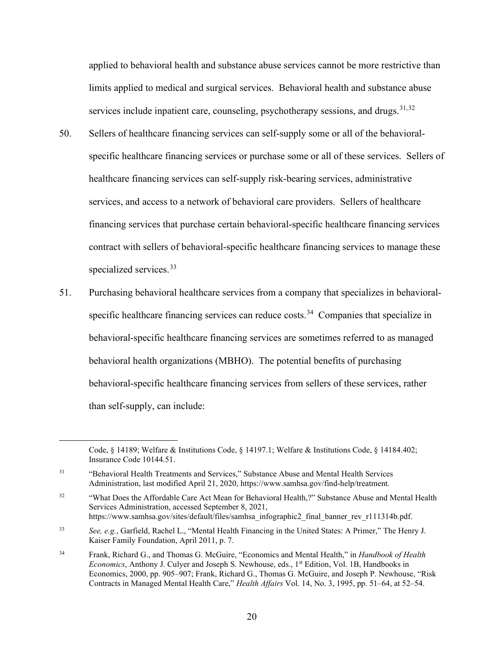limits applied to medical and surgical services. Behavioral health and substance abuse services include inpatient care, counseling, psychotherapy sessions, and drugs.<sup>[31,](#page-22-0)[32](#page-22-1)</sup> applied to behavioral health and substance abuse services cannot be more restrictive than

- specific healthcare financing services or purchase some or all of these services. Sellers of specialized services.<sup>33</sup> 50. Sellers of healthcare financing services can self-supply some or all of the behavioralhealthcare financing services can self-supply risk-bearing services, administrative services, and access to a network of behavioral care providers. Sellers of healthcare financing services that purchase certain behavioral-specific healthcare financing services contract with sellers of behavioral-specific healthcare financing services to manage these
- specific healthcare financing services can reduce costs.<sup>[34](#page-22-3)</sup> Companies that specialize in 51. Purchasing behavioral healthcare services from a company that specializes in behavioralbehavioral-specific healthcare financing services are sometimes referred to as managed behavioral health organizations (MBHO). The potential benefits of purchasing behavioral-specific healthcare financing services from sellers of these services, rather than self-supply, can include:

Code, § 14189; Welfare & Institutions Code, § 14197.1; Welfare & Institutions Code, § 14184.402; Insurance Code [10144.51.](https://10144.51)

<span id="page-22-0"></span> $31$  Administration, last modified April 21, 2020,<https://www.samhsa.gov/find-help/treatment>. 31 "Behavioral Health Treatments and Services," Substance Abuse and Mental Health Services

<span id="page-22-1"></span><sup>32</sup> https://www.samhsa.gov/sites/default/files/samhsa infographic2 final banner rev r111314b.pdf. 32 "What Does the Affordable Care Act Mean for Behavioral Health,?" Substance Abuse and Mental Health Services Administration, accessed September 8, 2021,

<span id="page-22-2"></span><sup>33</sup> See, e.g., Garfield, Rachel L., "Mental Health Financing in the United States: A Primer," The Henry J. Kaiser Family Foundation, April 2011, p. 7.

<span id="page-22-3"></span><sup>34</sup>  *Economics*, Anthony J. Culyer and Joseph S. Newhouse, eds., 1st Edition, Vol. 1B, Handbooks in 34 Frank, Richard G., and Thomas G. McGuire, "Economics and Mental Health," in *Handbook of Health*  Economics, 2000, pp. 905–907; Frank, Richard G., Thomas G. McGuire, and Joseph P. Newhouse, "Risk Contracts in Managed Mental Health Care," *Health Affairs* Vol. 14, No. 3, 1995, pp. 51–64, at 52–54.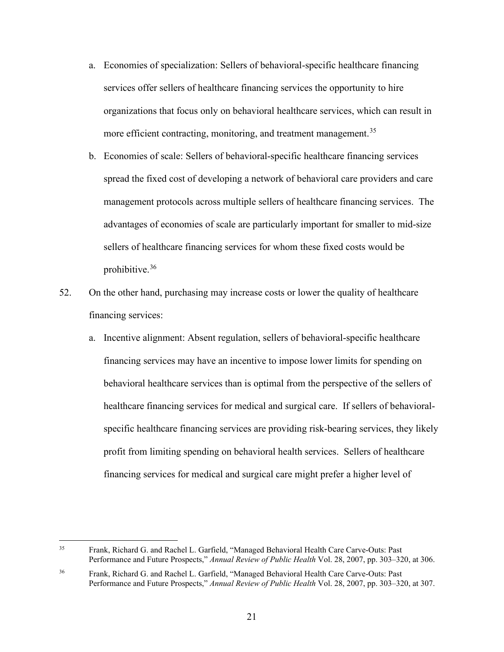- a. Economies of specialization: Sellers of behavioral-specific healthcare financing services offer sellers of healthcare financing services the opportunity to hire organizations that focus only on behavioral healthcare services, which can result in more efficient contracting, monitoring, and treatment management.<sup>[35](#page-23-0)</sup>
- advantages of economies of scale are particularly important for smaller to mid-size sellers of healthcare financing services for whom these fixed costs would be b. Economies of scale: Sellers of behavioral-specific healthcare financing services spread the fixed cost of developing a network of behavioral care providers and care management protocols across multiple sellers of healthcare financing services. The prohibitive.[36](#page-23-1)
- 52. On the other hand, purchasing may increase costs or lower the quality of healthcare financing services:
	- financing services for medical and surgical care might prefer a higher level of a. Incentive alignment: Absent regulation, sellers of behavioral-specific healthcare financing services may have an incentive to impose lower limits for spending on behavioral healthcare services than is optimal from the perspective of the sellers of healthcare financing services for medical and surgical care. If sellers of behavioralspecific healthcare financing services are providing risk-bearing services, they likely profit from limiting spending on behavioral health services. Sellers of healthcare

<span id="page-23-0"></span><sup>35</sup>  Performance and Future Prospects," *Annual Review of Public Health* Vol. 28, 2007, pp. 303–320, at 306. 35 Frank, Richard G. and Rachel L. Garfield, "Managed Behavioral Health Care Carve-Outs: Past

<span id="page-23-1"></span><sup>36</sup>  Performance and Future Prospects," *Annual Review of Public Health* Vol. 28, 2007, pp. 303–320, at 307. 36 Frank, Richard G. and Rachel L. Garfield, "Managed Behavioral Health Care Carve-Outs: Past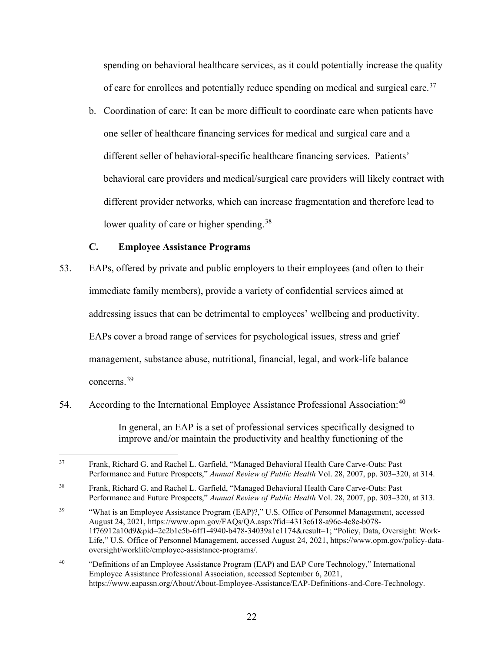<span id="page-24-0"></span>of care for enrollees and potentially reduce spending on medical and surgical care.<sup>[37](#page-24-1)</sup> spending on behavioral healthcare services, as it could potentially increase the quality

 different seller of behavioral-specific healthcare financing services. Patients' b. Coordination of care: It can be more difficult to coordinate care when patients have one seller of healthcare financing services for medical and surgical care and a behavioral care providers and medical/surgical care providers will likely contract with different provider networks, which can increase fragmentation and therefore lead to lower quality of care or higher spending.<sup>[38](#page-24-2)</sup>

# **C. Employee Assistance Programs**

- immediate family members), provide a variety of confidential services aimed at concerns.<sup>[39](#page-24-3)</sup> 53. EAPs, offered by private and public employers to their employees (and often to their addressing issues that can be detrimental to employees' wellbeing and productivity. EAPs cover a broad range of services for psychological issues, stress and grief management, substance abuse, nutritional, financial, legal, and work-life balance
- 54. According to the International Employee Assistance Professional Association:<sup>40</sup>

In general, an EAP is a set of professional services specifically designed to improve and/or maintain the productivity and healthy functioning of the

<span id="page-24-1"></span><sup>37</sup>  Performance and Future Prospects," *Annual Review of Public Health* Vol. 28, 2007, pp. 303–320, at 314. 37 Frank, Richard G. and Rachel L. Garfield, "Managed Behavioral Health Care Carve-Outs: Past

<span id="page-24-2"></span> $38\,$  Performance and Future Prospects," *Annual Review of Public Health* Vol. 28, 2007, pp. 303–320, at 313. 38 Frank, Richard G. and Rachel L. Garfield, "Managed Behavioral Health Care Carve-Outs: Past

<span id="page-24-3"></span><sup>39</sup>  August 24, 2021, [https://www.opm.gov/FAQs/QA.aspx?fid=4313c618-a96e-4c8e-b078-](https://www.opm.gov/FAQs/QA.aspx?fid=4313c618-a96e-4c8e-b078) "What is an Employee Assistance Program (EAP)?," U.S. Office of Personnel Management, accessed 1f76912a10d9&pid=2c2b1e5b-6ff1-4940-b478-34039a1e1174&result=1; "Policy, Data, Oversight: Work-Life," U.S. Office of Personnel Management, accessed August 24, 2021,<https://www.opm.gov/policy-data>oversight/worklife/employee-assistance-programs/.

<span id="page-24-4"></span><sup>40</sup> <https://www.eapassn.org/About/About-Employee-Assistance/EAP-Definitions-and-Core-Technology>.<br>22 40 "Definitions of an Employee Assistance Program (EAP) and EAP Core Technology," International Employee Assistance Professional Association, accessed September 6, 2021,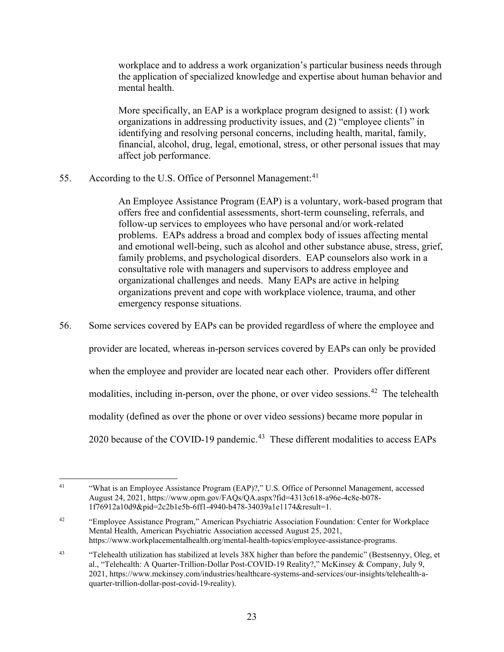workplace and to address a work organization's particular business needs through the application of specialized knowledge and expertise about human behavior and mental health.

More specifically, an EAP is a workplace program designed to assist: (1) work organizations in addressing productivity issues, and (2) "employee clients" in identifying and resolving personal concerns, including health, marital, family, financial, alcohol, drug, legal, emotional, stress, or other personal issues that may affect job performance.

55. According to the U.S. Office of Personnel Management: $41$ 

An Employee Assistance Program (EAP) is a voluntary, work-based program that offers free and confidential assessments, short-term counseling, referrals, and follow-up services to employees who have personal and/or work-related problems. EAPs address a broad and complex body of issues affecting mental and emotional well-being, such as alcohol and other substance abuse, stress, grief, family problems, and psychological disorders. EAP counselors also work in a consultative role with managers and supervisors to address employee and organizational challenges and needs. Many EAPs are active in helping organizations prevent and cope with workplace violence, trauma, and other emergency response situations.

 when the employee and provider are located near each other. Providers offer different modalities, including in-person, over the phone, or over video sessions.<sup>42</sup> The telehealth 2020 because of the COVID-19 pandemic.<sup>43</sup> These different modalities to access EAPs 56. Some services covered by EAPs can be provided regardless of where the employee and provider are located, whereas in-person services covered by EAPs can only be provided modality (defined as over the phone or over video sessions) became more popular in

<span id="page-25-1"></span>42 Mental Health, American Psychiatric Association accessed August 25, 2021, "Employee Assistance Program," American Psychiatric Association Foundation: Center for Workplace <https://www.workplacementalhealth.org/mental-health-topics/employee-assistance-programs>.

<span id="page-25-0"></span> $41$  August 24, 2021, [https://www.opm.gov/FAQs/QA.aspx?fid=4313c618-a96e-4c8e-b078-](https://www.opm.gov/FAQs/QA.aspx?fid=4313c618-a96e-4c8e-b078) 1f76912a10d9&pid=2c2b1e5b-6ff1-4940-b478-34039a1e1174&result=1. 41 "What is an Employee Assistance Program (EAP)?," U.S. Office of Personnel Management, accessed

<span id="page-25-2"></span><sup>43</sup> 43 "Telehealth utilization has stabilized at levels 38X higher than before the pandemic" (Bestsennyy, Oleg, et al., "Telehealth: A Quarter-Trillion-Dollar Post-COVID-19 Reality?," McKinsey & Company, July 9, 2021,<https://www.mckinsey.com/industries/healthcare-systems-and-services/our-insights/telehealth-a>quarter-trillion-dollar-post-covid-19-reality).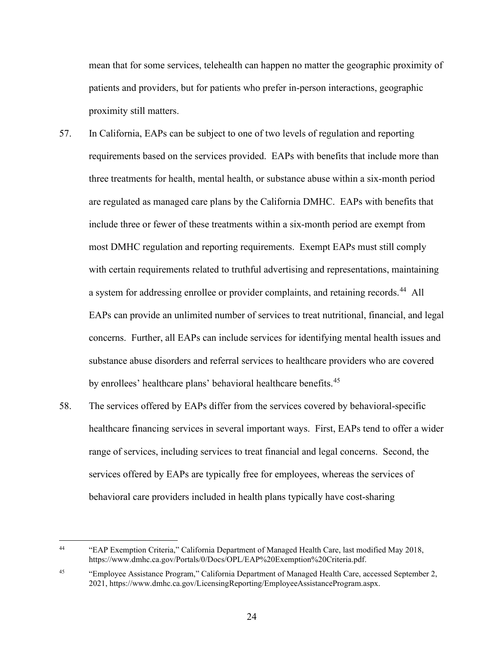mean that for some services, telehealth can happen no matter the geographic proximity of patients and providers, but for patients who prefer in-person interactions, geographic proximity still matters.

- a system for addressing enrollee or provider complaints, and retaining records.<sup>44</sup> All by enrollees' healthcare plans' behavioral healthcare benefits.<sup>45</sup> 57. In California, EAPs can be subject to one of two levels of regulation and reporting requirements based on the services provided. EAPs with benefits that include more than three treatments for health, mental health, or substance abuse within a six-month period are regulated as managed care plans by the California DMHC. EAPs with benefits that include three or fewer of these treatments within a six-month period are exempt from most DMHC regulation and reporting requirements. Exempt EAPs must still comply with certain requirements related to truthful advertising and representations, maintaining EAPs can provide an unlimited number of services to treat nutritional, financial, and legal concerns. Further, all EAPs can include services for identifying mental health issues and substance abuse disorders and referral services to healthcare providers who are covered
- healthcare financing services in several important ways. First, EAPs tend to offer a wider 58. The services offered by EAPs differ from the services covered by behavioral-specific range of services, including services to treat financial and legal concerns. Second, the services offered by EAPs are typically free for employees, whereas the services of behavioral care providers included in health plans typically have cost-sharing

<span id="page-26-0"></span> $44$ 44 "EAP Exemption Criteria," California Department of Managed Health Care, last modified May 2018, <https://www.dmhc.ca.gov/Portals/0/Docs/OPL/EAP%20Exemption%20Criteria.pdf>.

<span id="page-26-1"></span><sup>45</sup> 45 "Employee Assistance Program," California Department of Managed Health Care, accessed September 2, 2021, [https://www.dmhc.ca.gov/LicensingReporting/EmployeeAssistanceProgram.aspx.](https://www.dmhc.ca.gov/LicensingReporting/EmployeeAssistanceProgram.aspx)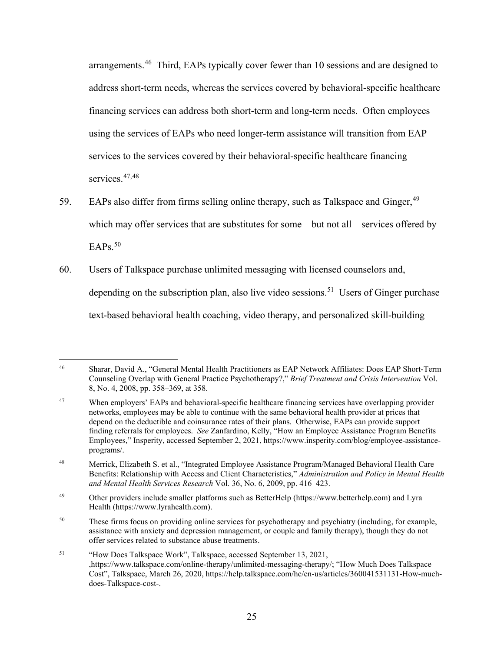services to the services covered by their behavioral-specific healthcare financing arrangements.<sup>[46](#page-27-0)</sup> Third, EAPs typically cover fewer than 10 sessions and are designed to address short-term needs, whereas the services covered by behavioral-specific healthcare financing services can address both short-term and long-term needs. Often employees using the services of EAPs who need longer-term assistance will transition from EAP services.<sup>[47](#page-27-1),48</sup>

- $EAPs.<sup>50</sup>$  $EAPs.<sup>50</sup>$  $EAPs.<sup>50</sup>$ 59. EAPs also differ from firms selling online therapy, such as Talkspace and Ginger,  $49$ which may offer services that are substitutes for some—but not all—services offered by
- depending on the subscription plan, also live video sessions.<sup>51</sup> Users of Ginger purchase 60. Users of Talkspace purchase unlimited messaging with licensed counselors and, text-based behavioral health coaching, video therapy, and personalized skill-building

<span id="page-27-0"></span><sup>46</sup>  8, No. 4, 2008, pp. 358–369, at 358. 46 Sharar, David A., "General Mental Health Practitioners as EAP Network Affiliates: Does EAP Short-Term Counseling Overlap with General Practice Psychotherapy?," *Brief Treatment and Crisis Intervention* Vol.

<span id="page-27-1"></span><sup>47</sup>  networks, employees may be able to continue with the same behavioral health provider at prices that Employees," Insperity, accessed September 2, 2021,<https://www.insperity.com/blog/employee-assistance>-When employers' EAPs and behavioral-specific healthcare financing services have overlapping provider depend on the deductible and coinsurance rates of their plans. Otherwise, EAPs can provide support finding referrals for employees. *See* Zanfardino, Kelly, "How an Employee Assistance Program Benefits programs/.

<span id="page-27-2"></span><sup>48</sup>  *and Mental Health Services Research* Vol. 36, No. 6, 2009, pp. 416–423. 48 Merrick, Elizabeth S. et al., "Integrated Employee Assistance Program/Managed Behavioral Health Care Benefits: Relationship with Access and Client Characteristics," *Administration and Policy in Mental Health* 

<span id="page-27-3"></span><sup>49</sup> 49 Other providers include smaller platforms such as BetterHelp (<https://www.betterhelp.com>) and Lyra Health (<https://www.lyrahealth.com>).

<span id="page-27-4"></span><sup>50</sup> These firms focus on providing online services for psychotherapy and psychiatry (including, for example, assistance with anxiety and depression management, or couple and family therapy), though they do not offer services related to substance abuse treatments.

<span id="page-27-5"></span><sup>51</sup> 51 "How Does Talkspace Work", Talkspace, accessed September 13, 2021, ,[https://www.talkspace.com/online-therapy/unlimited-messaging-therapy/](https://www.talkspace.com/online-therapy/unlimited-messaging-therapy); "How Much Does Talkspace Cost", Talkspace, March 26, 2020,<https://help.talkspace.com/hc/en-us/articles/360041531131-How-much>does-Talkspace-cost-.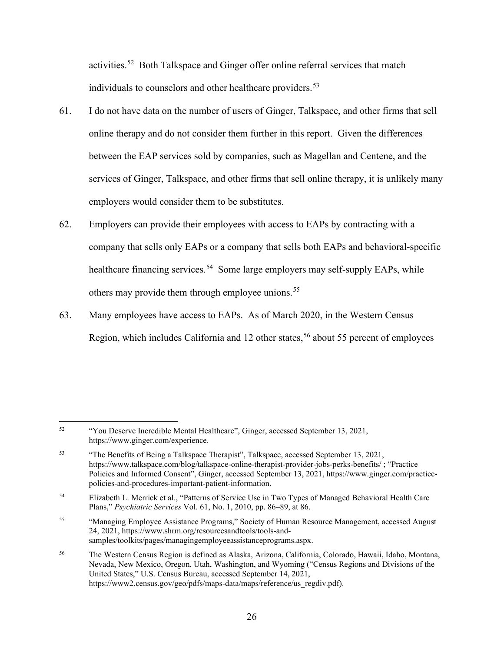activities.<sup>52</sup> Both Talkspace and Ginger offer online referral services that match individuals to counselors and other healthcare providers.<sup>[53](#page-28-1)</sup>

- 61. I do not have data on the number of users of Ginger, Talkspace, and other firms that sell online therapy and do not consider them further in this report. Given the differences between the EAP services sold by companies, such as Magellan and Centene, and the services of Ginger, Talkspace, and other firms that sell online therapy, it is unlikely many employers would consider them to be substitutes.
- healthcare financing services.<sup>54</sup> Some large employers may self-supply EAPs, while 62. Employers can provide their employees with access to EAPs by contracting with a company that sells only EAPs or a company that sells both EAPs and behavioral-specific others may provide them through employee unions.<sup>[55](#page-28-3)</sup>
- 63. Many employees have access to EAPs. As of March 2020, in the Western Census Region, which includes California and 12 other states,<sup>[56](#page-28-4)</sup> about 55 percent of employees

<span id="page-28-0"></span><sup>52</sup> 52 "You Deserve Incredible Mental Healthcare", Ginger, accessed September 13, 2021, <https://www.ginger.com/experience>.

<span id="page-28-1"></span><sup>53</sup>  Policies and Informed Consent", Ginger, accessed September 13, 2021, <https://www.ginger.com/practice>-53 "The Benefits of Being a Talkspace Therapist", Talkspace, accessed September 13, 2021, [https://www.talkspace.com/blog/talkspace-online-therapist-provider-jobs-perks-benefits/](https://www.talkspace.com/blog/talkspace-online-therapist-provider-jobs-perks-benefits) ; "Practice policies-and-procedures-important-patient-information.

<span id="page-28-2"></span><sup>54</sup> 54 Elizabeth L. Merrick et al., "Patterns of Service Use in Two Types of Managed Behavioral Health Care Plans," *Psychiatric Services* Vol. 61, No. 1, 2010, pp. 86–89, at 86.

<span id="page-28-3"></span><sup>55</sup> 55 "Managing Employee Assistance Programs," Society of Human Resource Management, accessed August 24, 2021,<https://www.shrm.org/resourcesandtools/tools-and>samples/toolkits/pages/managingemployeeassistanceprograms.aspx.

<span id="page-28-4"></span><sup>56</sup> 56 The Western Census Region is defined as Alaska, Arizona, California, Colorado, Hawaii, Idaho, Montana, Nevada, New Mexico, Oregon, Utah, Washington, and Wyoming ("Census Regions and Divisions of the United States," U.S. Census Bureau, accessed September 14, 2021, [https://www2.census.gov/geo/pdfs/maps-data/maps/reference/us\\_regdiv.pdf](https://www2.census.gov/geo/pdfs/maps-data/maps/reference/us_regdiv.pdf)).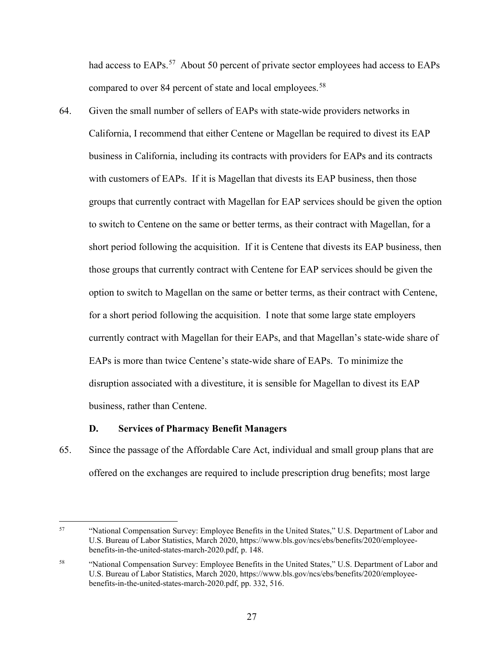<span id="page-29-0"></span>compared to over 84 percent of state and local employees.<sup>[58](#page-29-2)</sup> had access to EAPs.<sup>[57](#page-29-1)</sup> About 50 percent of private sector employees had access to EAPs

64. Given the small number of sellers of EAPs with state-wide providers networks in California, I recommend that either Centene or Magellan be required to divest its EAP business in California, including its contracts with providers for EAPs and its contracts with customers of EAPs. If it is Magellan that divests its EAP business, then those groups that currently contract with Magellan for EAP services should be given the option to switch to Centene on the same or better terms, as their contract with Magellan, for a short period following the acquisition. If it is Centene that divests its EAP business, then those groups that currently contract with Centene for EAP services should be given the option to switch to Magellan on the same or better terms, as their contract with Centene, for a short period following the acquisition. I note that some large state employers currently contract with Magellan for their EAPs, and that Magellan's state-wide share of EAPs is more than twice Centene's state-wide share of EAPs. To minimize the disruption associated with a divestiture, it is sensible for Magellan to divest its EAP business, rather than Centene.

## **D. Services of Pharmacy Benefit Managers**

65. Since the passage of the Affordable Care Act, individual and small group plans that are offered on the exchanges are required to include prescription drug benefits; most large

<span id="page-29-1"></span><sup>57</sup> 57 "National Compensation Survey: Employee Benefits in the United States," U.S. Department of Labor and U.S. Bureau of Labor Statistics, March 2020, <https://www.bls.gov/ncs/ebs/benefits/2020/employee>benefits-in-the-united-states-march-2020.pdf, p. 148.

<span id="page-29-2"></span><sup>58</sup>  benefits-in-the-united-states-march-2020.pdf, pp. 332, 516. 58 "National Compensation Survey: Employee Benefits in the United States," U.S. Department of Labor and U.S. Bureau of Labor Statistics, March 2020, <https://www.bls.gov/ncs/ebs/benefits/2020/employee>-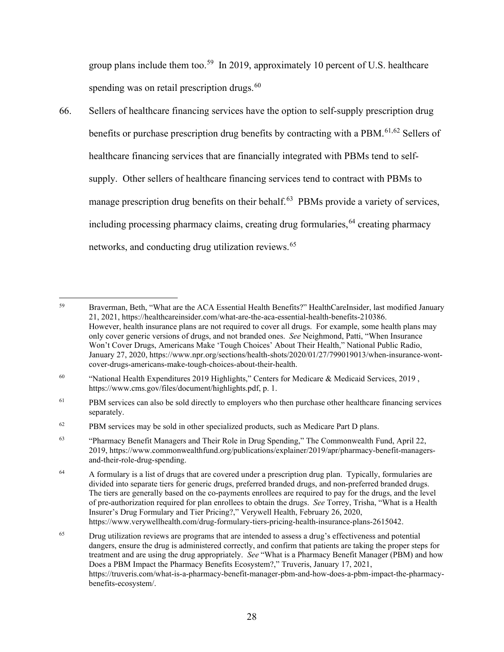spending was on retail prescription drugs. $60$ group plans include them too.<sup>59</sup> In 2019, approximately 10 percent of U.S. healthcare

66. Sellers of healthcare financing services have the option to self-supply prescription drug benefits or purchase prescription drug benefits by contracting with a PBM.<sup>[61,](#page-30-2)[62](#page-30-3)</sup> Sellers of healthcare financing services that are financially integrated with PBMs tend to selfsupply. Other sellers of healthcare financing services tend to contract with PBMs to manage prescription drug benefits on their behalf.<sup>[63](#page-30-4)</sup> PBMs provide a variety of services, including processing pharmacy claims, creating drug formularies,  $64$  creating pharmacy networks, and conducting drug utilization reviews.<sup>[65](#page-30-6)</sup>

<span id="page-30-0"></span><sup>59</sup>  only cover generic versions of drugs, and not branded ones. *See* Neighmond, Patti, "When Insurance 59 Braverman, Beth, "What are the ACA Essential Health Benefits?" HealthCareInsider, last modified January 21, 2021, [https://healthcareinsider.com/what-are-the-aca-essential-health-benefits-210386.](https://healthcareinsider.com/what-are-the-aca-essential-health-benefits-210386) However, health insurance plans are not required to cover all drugs. For example, some health plans may Won't Cover Drugs, Americans Make 'Tough Choices' About Their Health," National Public Radio, January 27, 2020, <https://www.npr.org/sections/health-shots/2020/01/27/799019013/when-insurance-wont>cover-drugs-americans-make-tough-choices-about-their-health.

<span id="page-30-1"></span><sup>60</sup> 60 "National Health Expenditures 2019 Highlights," Centers for Medicare & Medicaid Services, 2019 , <https://www.cms.gov/files/document/highlights.pdf>, p. 1.

<span id="page-30-2"></span><sup>61</sup> PBM services can also be sold directly to employers who then purchase other healthcare financing services separately.

<span id="page-30-3"></span><sup>62</sup> PBM services may be sold in other specialized products, such as Medicare Part D plans.

<span id="page-30-4"></span><sup>63</sup> 63 "Pharmacy Benefit Managers and Their Role in Drug Spending," The Commonwealth Fund, April 22, 2019,<https://www.commonwealthfund.org/publications/explainer/2019/apr/pharmacy-benefit-managers>and-their-role-drug-spending.

<span id="page-30-5"></span><sup>64</sup>  of pre-authorization required for plan enrollees to obtain the drugs. *See* Torrey, Trisha, "What is a Health 64 A formulary is a list of drugs that are covered under a prescription drug plan. Typically, formularies are divided into separate tiers for generic drugs, preferred branded drugs, and non-preferred branded drugs. The tiers are generally based on the co-payments enrollees are required to pay for the drugs, and the level Insurer's Drug Formulary and Tier Pricing?," Verywell Health, February 26, 2020, <https://www.verywellhealth.com/drug-formulary-tiers-pricing-health-insurance-plans-2615042>.

<span id="page-30-6"></span><sup>65</sup>  treatment and are using the drug appropriately. *See* "What is a Pharmacy Benefit Manager (PBM) and how 65 Drug utilization reviews are programs that are intended to assess a drug's effectiveness and potential dangers, ensure the drug is administered correctly, and confirm that patients are taking the proper steps for Does a PBM Impact the Pharmacy Benefits Ecosystem?," Truveris, January 17, 2021, <https://truveris.com/what-is-a-pharmacy-benefit-manager-pbm-and-how-does-a-pbm-impact-the-pharmacy>benefits-ecosystem/.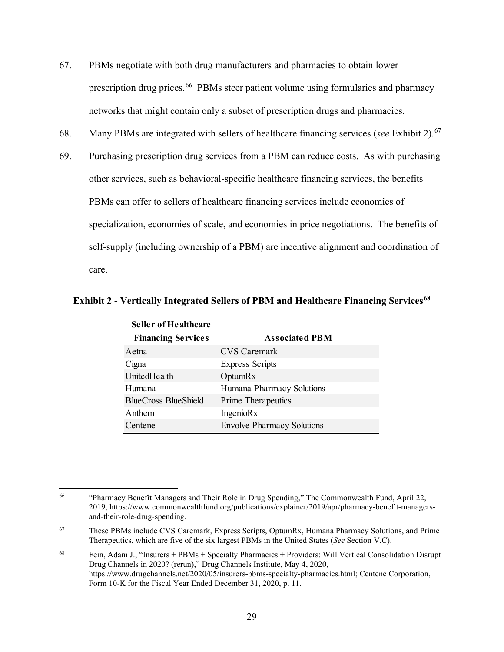- 67. PBMs negotiate with both drug manufacturers and pharmacies to obtain lower prescription drug prices.<sup>66</sup> PBMs steer patient volume using formularies and pharmacy networks that might contain only a subset of prescription drugs and pharmacies.
- 68. Many PBMs are integrated with sellers of healthcare financing services (*see* Exhibit 2).[67](#page-31-1)
- 69. Purchasing prescription drug services from a PBM can reduce costs. As with purchasing other services, such as behavioral-specific healthcare financing services, the benefits PBMs can offer to sellers of healthcare financing services include economies of specialization, economies of scale, and economies in price negotiations. The benefits of self-supply (including ownership of a PBM) are incentive alignment and coordination of care.

| <b>Seller of Healthcare</b> |                                   |  |
|-----------------------------|-----------------------------------|--|
| <b>Financing Services</b>   | <b>Associated PBM</b>             |  |
| Aetna                       | CVS Caremark                      |  |
| Cigna                       | <b>Express Scripts</b>            |  |
| UnitedHealth                | <b>OptumRx</b>                    |  |
| Humana                      | Humana Pharmacy Solutions         |  |
| <b>BlueCross BlueShield</b> | Prime Therapeutics                |  |
| Anthem                      | IngenioRx                         |  |
| Centene                     | <b>Envolve Pharmacy Solutions</b> |  |

## **Exhibit 2 - Vertically Integrated Sellers of PBM and Healthcare Financing Services[68](#page-31-2)**

<span id="page-31-0"></span><sup>66</sup> 66 "Pharmacy Benefit Managers and Their Role in Drug Spending," The Commonwealth Fund, April 22, 2019,<https://www.commonwealthfund.org/publications/explainer/2019/apr/pharmacy-benefit-managers>and-their-role-drug-spending.

<span id="page-31-1"></span><sup>67</sup>  Therapeutics, which are five of the six largest PBMs in the United States (*See* Section V.C). 67 These PBMs include CVS Caremark, Express Scripts, OptumRx, Humana Pharmacy Solutions, and Prime

<span id="page-31-2"></span><sup>68</sup>  Form 10-K for the Fiscal Year Ended December 31, 2020, p. 11. 68 Fein, Adam J., "Insurers + PBMs + Specialty Pharmacies + Providers: Will Vertical Consolidation Disrupt Drug Channels in 2020? (rerun)," Drug Channels Institute, May 4, 2020, [https://www.drugchannels.net/2020/05/insurers-pbms-specialty-pharmacies.html;](https://www.drugchannels.net/2020/05/insurers-pbms-specialty-pharmacies.html) Centene Corporation,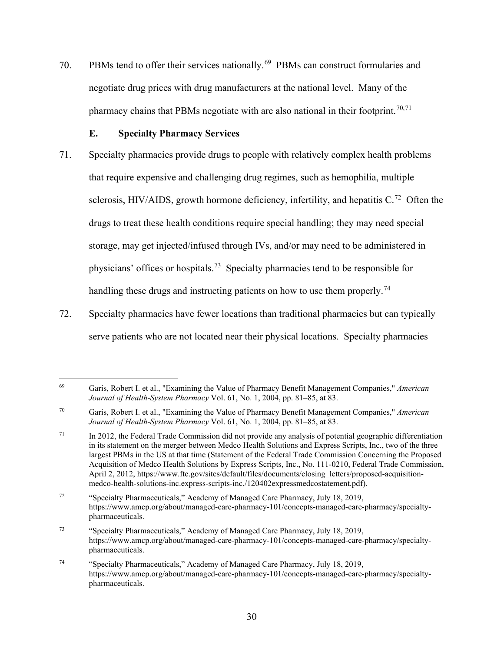<span id="page-32-0"></span>70. PBMs tend to offer their services nationally.<sup>69</sup> PBMs can construct formularies and negotiate drug prices with drug manufacturers at the national level. Many of the pharmacy chains that PBMs negotiate with are also national in their footprint.<sup>[70,](#page-32-2)71</sup>

# **E. Specialty Pharmacy Services**

- sclerosis, HIV/AIDS, growth hormone deficiency, infertility, and hepatitis  $C<sup>72</sup>$  Often the physicians' offices or hospitals.<sup>73</sup> Specialty pharmacies tend to be responsible for handling these drugs and instructing patients on how to use them properly.<sup>74</sup> 71. Specialty pharmacies provide drugs to people with relatively complex health problems that require expensive and challenging drug regimes, such as hemophilia, multiple drugs to treat these health conditions require special handling; they may need special storage, may get injected/infused through IVs, and/or may need to be administered in
- 72. Specialty pharmacies have fewer locations than traditional pharmacies but can typically serve patients who are not located near their physical locations. Specialty pharmacies

<span id="page-32-1"></span><sup>69</sup>  *Journal of Health-System Pharmacy* Vol. 61, No. 1, 2004, pp. 81–85, at 83. 69 Garis, Robert I. et al., "Examining the Value of Pharmacy Benefit Management Companies," *American* 

<span id="page-32-2"></span><sup>70</sup>  *Journal of Health-System Pharmacy* Vol. 61, No. 1, 2004, pp. 81–85, at 83. 70 Garis, Robert I. et al., "Examining the Value of Pharmacy Benefit Management Companies," *American* 

<span id="page-32-3"></span> $71\,$  in its statement on the merger between Medco Health Solutions and Express Scripts, Inc., two of the three In 2012, the Federal Trade Commission did not provide any analysis of potential geographic differentiation largest PBMs in the US at that time (Statement of the Federal Trade Commission Concerning the Proposed Acquisition of Medco Health Solutions by Express Scripts, Inc., No. 111-0210, Federal Trade Commission, April 2, 2012, [https://www.ftc.gov/sites/default/files/documents/closing\\_letters/proposed-acquisition](https://www.ftc.gov/sites/default/files/documents/closing_letters/proposed-acquisition)medco-health-solutions-inc.express-scripts-inc./120402expressmedcostatement.pdf).

<span id="page-32-4"></span> $72\,$ "Specialty Pharmaceuticals," Academy of Managed Care Pharmacy, July 18, 2019, <https://www.amcp.org/about/managed-care-pharmacy-101/concepts-managed-care-pharmacy/specialty>pharmaceuticals.

<span id="page-32-5"></span><sup>73</sup> 73 "Specialty Pharmaceuticals," Academy of Managed Care Pharmacy, July 18, 2019, <https://www.amcp.org/about/managed-care-pharmacy-101/concepts-managed-care-pharmacy/specialty>pharmaceuticals.

<span id="page-32-6"></span> $74\,$ "Specialty Pharmaceuticals," Academy of Managed Care Pharmacy, July 18, 2019, <https://www.amcp.org/about/managed-care-pharmacy-101/concepts-managed-care-pharmacy/specialty>pharmaceuticals.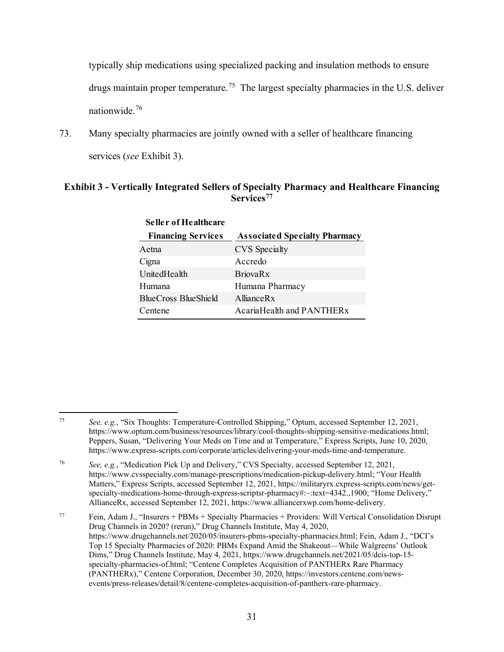drugs maintain proper temperature.<sup>75</sup> The largest specialty pharmacies in the U.S. deliver nationwide.<sup>[76](#page-33-1)</sup> typically ship medications using specialized packing and insulation methods to ensure

 services (*see* Exhibit 3). 73. Many specialty pharmacies are jointly owned with a seller of healthcare financing

# **Exhibit 3 - Vertically Integrated Sellers of Specialty Pharmacy and Healthcare Financing Services[77](#page-33-2)**

| Seller of Healthcare      |                                      |  |
|---------------------------|--------------------------------------|--|
| <b>Financing Services</b> | <b>Associated Specialty Pharmacy</b> |  |
| Aetna                     | <b>CVS</b> Specialty                 |  |
| Cigna                     | Accredo                              |  |
| UnitedHealth              | <b>BriovaRx</b>                      |  |
| Humana                    | Humana Pharmacy                      |  |
| BlueCross BlueShield      | AllianceRx                           |  |
| Centene                   | AcariaHealth and PANTHERx            |  |

**Seller of Healthcare** 

<span id="page-33-0"></span><sup>75</sup>  Peppers, Susan, "Delivering Your Meds on Time and at Temperature," Express Scripts, June 10, 2020, <sup>75</sup>*See, e.g.*, "Six Thoughts: Temperature-Controlled Shipping," Optum, accessed September 12, 2021, <https://www.optum.com/business/resources/library/cool-thoughts-shipping-sensitive-medications.html>; [https://www.express-scripts.com/corporate/articles/delivering-your-meds-time-and-temperature.](https://www.express-scripts.com/corporate/articles/delivering-your-meds-time-and-temperature)

<span id="page-33-1"></span><sup>76</sup>  Matters," Express Scripts, accessed September 12, 2021, <https://militaryrx.express-scripts.com/news/get>-<sup>76</sup>*See, e.g.*, "Medication Pick Up and Delivery," CVS Specialty, accessed September 12, 2021, <https://www.cvsspecialty.com/manage-prescriptions/medication-pickup-delivery.html>; "Your Health specialty-medications-home-through-express-scriptsr-pharmacy#:~:text=4342.,1900; "Home Delivery," AllianceRx, accessed September 12, 2021, [https://www.alliancerxwp.com/home-delivery.](https://www.alliancerxwp.com/home-delivery)

<span id="page-33-2"></span><sup>77</sup>  Dims," Drug Channels Institute, May 4, 2021, [https://www.drugchannels.net/2021/05/dcis-top-15-](https://www.drugchannels.net/2021/05/dcis-top-15) 77 Fein, Adam J., "Insurers + PBMs + Specialty Pharmacies + Providers: Will Vertical Consolidation Disrupt Drug Channels in 2020? (rerun)," Drug Channels Institute, May 4, 2020, [https://www.drugchannels.net/2020/05/insurers-pbms-specialty-pharmacies.html;](https://www.drugchannels.net/2020/05/insurers-pbms-specialty-pharmacies.html) Fein, Adam J., "DCI's Top 15 Specialty Pharmacies of 2020: PBMs Expand Amid the Shakeout—While Walgreens' Outlook specialty-pharmacies-of.html; "Centene Completes Acquisition of PANTHERx Rare Pharmacy (PANTHERx)," Centene Corporation, December 30, 2020, <https://investors.centene.com/news>events/press-releases/detail/8/centene-completes-acquisition-of-pantherx-rare-pharmacy.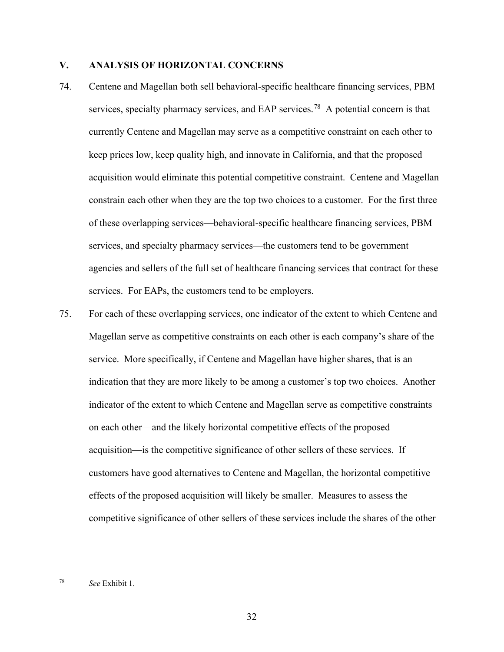# <span id="page-34-0"></span>**V. ANALYSIS OF HORIZONTAL CONCERNS**

- acquisition would eliminate this potential competitive constraint. Centene and Magellan services. For EAPs, the customers tend to be employers. 74. Centene and Magellan both sell behavioral-specific healthcare financing services, PBM services, specialty pharmacy services, and EAP services.<sup>78</sup> A potential concern is that currently Centene and Magellan may serve as a competitive constraint on each other to keep prices low, keep quality high, and innovate in California, and that the proposed constrain each other when they are the top two choices to a customer. For the first three of these overlapping services—behavioral-specific healthcare financing services, PBM services, and specialty pharmacy services—the customers tend to be government agencies and sellers of the full set of healthcare financing services that contract for these
- Magellan serve as competitive constraints on each other is each company's share of the competitive significance of other sellers of these services include the shares of the other 75. For each of these overlapping services, one indicator of the extent to which Centene and service. More specifically, if Centene and Magellan have higher shares, that is an indication that they are more likely to be among a customer's top two choices. Another indicator of the extent to which Centene and Magellan serve as competitive constraints on each other—and the likely horizontal competitive effects of the proposed acquisition—is the competitive significance of other sellers of these services. If customers have good alternatives to Centene and Magellan, the horizontal competitive effects of the proposed acquisition will likely be smaller. Measures to assess the

<span id="page-34-1"></span> 78 *See* Exhibit 1.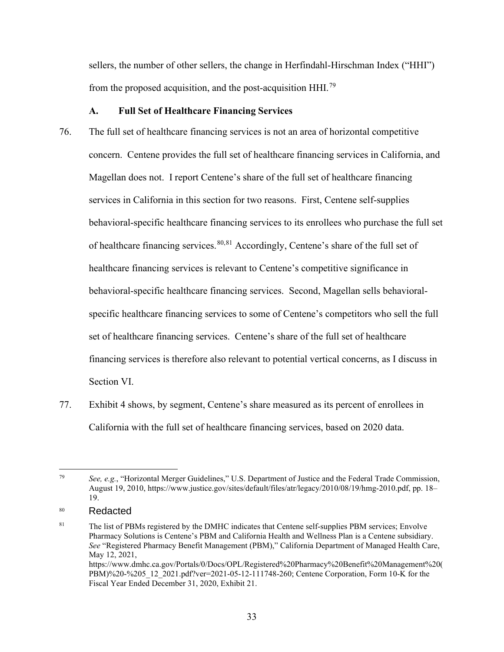<span id="page-35-0"></span>from the proposed acquisition, and the post-acquisition HHI.<sup>[79](#page-35-1)</sup> sellers, the number of other sellers, the change in Herfindahl-Hirschman Index ("HHI")

## **A. Full Set of Healthcare Financing Services**

- 76. The full set of healthcare financing services is not an area of horizontal competitive of healthcare financing services. <sup>[80,](#page-35-2)81</sup> Accordingly, Centene's share of the full set of financing services is therefore also relevant to potential vertical concerns, as I discuss in concern. Centene provides the full set of healthcare financing services in California, and Magellan does not. I report Centene's share of the full set of healthcare financing services in California in this section for two reasons. First, Centene self-supplies behavioral-specific healthcare financing services to its enrollees who purchase the full set healthcare financing services is relevant to Centene's competitive significance in behavioral-specific healthcare financing services. Second, Magellan sells behavioralspecific healthcare financing services to some of Centene's competitors who sell the full set of healthcare financing services. Centene's share of the full set of healthcare Section VI.
- 77. Exhibit 4 shows, by segment, Centene's share measured as its percent of enrollees in California with the full set of healthcare financing services, based on 2020 data.

<span id="page-35-1"></span> 79 August 19, 2010, <https://www.justice.gov/sites/default/files/atr/legacy/2010/08/19/hmg-2010.pdf>, pp. 18– *See, e.g.*, "Horizontal Merger Guidelines," U.S. Department of Justice and the Federal Trade Commission, 19.

<span id="page-35-2"></span><sup>80</sup> **Redacted** 

<span id="page-35-3"></span> 81 Pharmacy Solutions is Centene's PBM and California Health and Wellness Plan is a Centene subsidiary. Fiscal Year Ended December 31, 2020, Exhibit 21. The list of PBMs registered by the DMHC indicates that Centene self-supplies PBM services; Envolve *See* "Registered Pharmacy Benefit Management (PBM)," California Department of Managed Health Care, May 12, 2021, [https://www.dmhc.ca.gov/Portals/0/Docs/OPL/Registered%20Pharmacy%20Benefit%20Management%20\(](https://www.dmhc.ca.gov/Portals/0/Docs/OPL/Registered%20Pharmacy%20Benefit%20Management%20) PBM)%20-%205\_12\_2021.pdf?ver=2021-05-12-111748-260; Centene Corporation, Form 10-K for the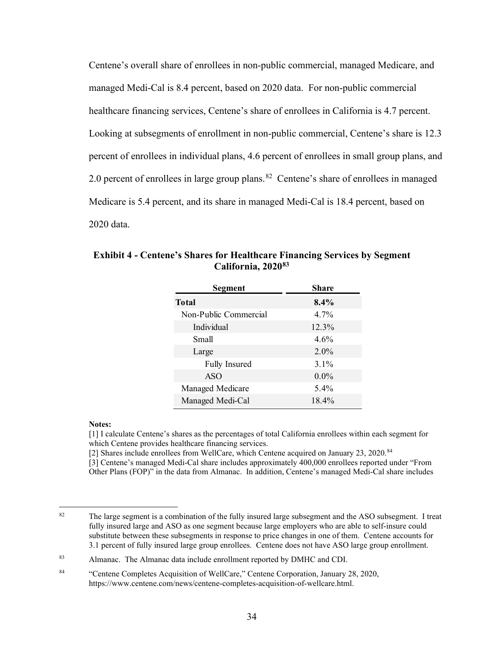managed Medi-Cal is 8.4 percent, based on 2020 data. For non-public commercial percent of enrollees in individual plans, 4.6 percent of enrollees in small group plans, and 2.0 percent of enrollees in large group plans. $82$  Centene's share of enrollees in managed Medicare is 5.4 percent, and its share in managed Medi-Cal is 18.4 percent, based on Centene's overall share of enrollees in non-public commercial, managed Medicare, and healthcare financing services, Centene's share of enrollees in California is 4.7 percent. Looking at subsegments of enrollment in non-public commercial, Centene's share is 12.3 2020 data.

| <b>Segment</b>        | <b>Share</b> |
|-----------------------|--------------|
| <b>Total</b>          | $8.4\%$      |
| Non-Public Commercial | $4.7\%$      |
| Individual            | 12.3%        |
| Small                 | 4.6%         |
| Large                 | $2.0\%$      |
| <b>Fully Insured</b>  | $3.1\%$      |
| <b>ASO</b>            | $0.0\%$      |
| Managed Medicare      | $5.4\%$      |
| Managed Medi-Cal      | 18.4%        |

**Exhibit 4 - Centene's Shares for Healthcare Financing Services by Segment California, 2020[83](#page-36-1)** 

### **Notes:**

[1] I calculate Centene's shares as the percentages of total California enrollees within each segment for which Centene provides healthcare financing services.

[2] Shares include enrollees from WellCare, which Centene acquired on January 23, 2020.<sup>84</sup>

[3] Centene's managed Medi-Cal share includes approximately 400,000 enrollees reported under "From Other Plans (FOP)" in the data from Almanac. In addition, Centene's managed Medi-Cal share includes

<span id="page-36-0"></span><sup>82</sup>  substitute between these subsegments in response to price changes in one of them. Centene accounts for The large segment is a combination of the fully insured large subsegment and the ASO subsegment. I treat fully insured large and ASO as one segment because large employers who are able to self-insure could 3.1 percent of fully insured large group enrollees. Centene does not have ASO large group enrollment.

<span id="page-36-1"></span><sup>83</sup> Almanac. The Almanac data include enrollment reported by DMHC and CDI.

<span id="page-36-2"></span><sup>84</sup> 84 "Centene Completes Acquisition of WellCare," Centene Corporation, January 28, 2020, [https://www.centene.com/news/centene-completes-acquisition-of-wellcare.html.](https://www.centene.com/news/centene-completes-acquisition-of-wellcare.html)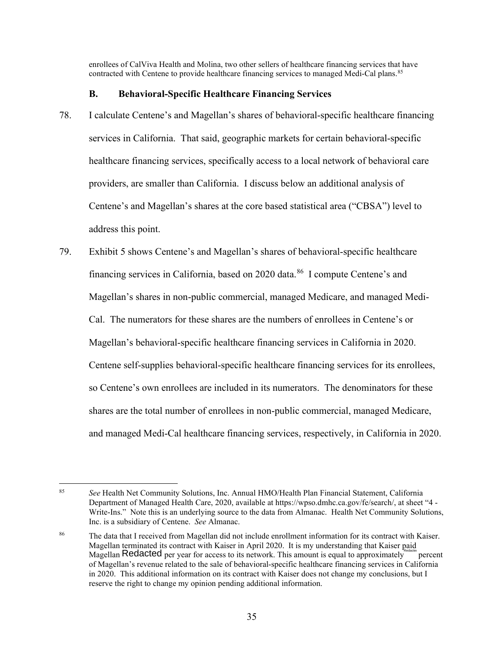contracted with Centene to provide healthcare financing services to managed Medi-Cal plans.<sup>85</sup> enrollees of CalViva Health and Molina, two other sellers of healthcare financing services that have

# **B. Behavioral-Specific Healthcare Financing Services**

- healthcare financing services, specifically access to a local network of behavioral care 78. I calculate Centene's and Magellan's shares of behavioral-specific healthcare financing services in California. That said, geographic markets for certain behavioral-specific providers, are smaller than California. I discuss below an additional analysis of Centene's and Magellan's shares at the core based statistical area ("CBSA") level to address this point.
- 79. Exhibit 5 shows Centene's and Magellan's shares of behavioral-specific healthcare financing services in California, based on 2020 data.<sup>[86](#page-37-1)</sup> I compute Centene's and Centene self-supplies behavioral-specific healthcare financing services for its enrollees, Magellan's shares in non-public commercial, managed Medicare, and managed Medi-Cal. The numerators for these shares are the numbers of enrollees in Centene's or Magellan's behavioral-specific healthcare financing services in California in 2020. so Centene's own enrollees are included in its numerators. The denominators for these shares are the total number of enrollees in non-public commercial, managed Medicare, and managed Medi-Cal healthcare financing services, respectively, in California in 2020.

<span id="page-37-0"></span><sup>85</sup>  Inc. is a subsidiary of Centene. *See* Almanac. <sup>85</sup>*See* Health Net Community Solutions, Inc. Annual HMO/Health Plan Financial Statement, California Department of Managed Health Care, 2020, available at <https://wpso.dmhc.ca.gov/fe/search>/, at sheet "4 - Write-Ins." Note this is an underlying source to the data from Almanac. Health Net Community Solutions,

<span id="page-37-1"></span><sup>86</sup>  It is my understanding that Kaiser paid The data that I received from Magellan did not include enrollment information for its contract with Kaiser. Magellan terminated its contract with Kaiser in April 2020. It is my understanding that Kaiser paid<br>Magellan R**edacted** per year for access to its network. This amount is equal to approximately ercent of Magellan's revenue related to the sale of behavioral-specific healthcare financing services in California in 2020. This additional information on its contract with Kaiser does not change my conclusions, but I reserve the right to change my opinion pending additional information.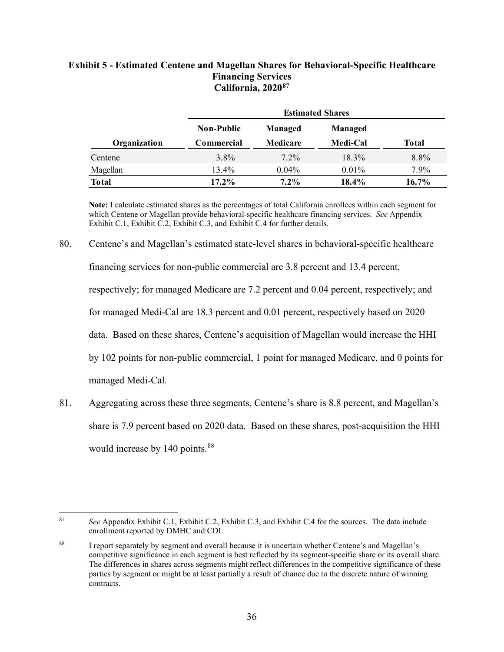# **Exhibit 5 - Estimated Centene and Magellan Shares for Behavioral-Specific Healthcare Financing Services Financing Servi[ces](#page-38-0) California, 2020[87](#page-38-0)**

|              | <b>Estimated Shares</b> |                 |                |              |
|--------------|-------------------------|-----------------|----------------|--------------|
|              | <b>Non-Public</b>       | Managed         | <b>Managed</b> |              |
| Organization | Commercial              | <b>Medicare</b> | Medi-Cal       | <b>Total</b> |
| Centene      | $3.8\%$                 | $7.2\%$         | 18.3%          | 8.8%         |
| Magellan     | $13.4\%$                | $0.04\%$        | $0.01\%$       | 7.9%         |
| <b>Total</b> | $17.2\%$                | $7.2\%$         | 18.4%          | 16.7%        |

 **Note:** I calculate estimated shares as the percentages of total California enrollees within each segment for which Centene or Magellan provide behavioral-specific healthcare financing services. *See* Appendix Exhibit C.1, Exhibit C.2, Exhibit C.3, and Exhibit C.4 for further details.

# 80. Centene's and Magellan's estimated state-level shares in behavioral-specific healthcare

financing services for non-public commercial are 3.8 percent and 13.4 percent,

respectively; for managed Medicare are 7.2 percent and 0.04 percent, respectively; and

for managed Medi-Cal are 18.3 percent and 0.01 percent, respectively based on 2020

data. Based on these shares, Centene's acquisition of Magellan would increase the HHI

by 102 points for non-public commercial, 1 point for managed Medicare, and 0 points for

managed Medi-Cal.

81. Aggregating across these three segments, Centene's share is 8.8 percent, and Magellan's share is 7.9 percent based on 2020 data. Based on these shares, post-acquisition the HHI would increase by 140 points.<sup>[88](#page-38-1)</sup>

<span id="page-38-0"></span> $87$ <sup>87</sup>*See* Appendix Exhibit C.1, Exhibit C.2, Exhibit C.3, and Exhibit C.4 for the sources. The data include enrollment reported by DMHC and CDI.

<span id="page-38-1"></span><sup>88</sup> competitive significance in each segment is best reflected by its segment-specific share or its overall share. 88 I report separately by segment and overall because it is uncertain whether Centene's and Magellan's The differences in shares across segments might reflect differences in the competitive significance of these parties by segment or might be at least partially a result of chance due to the discrete nature of winning contracts.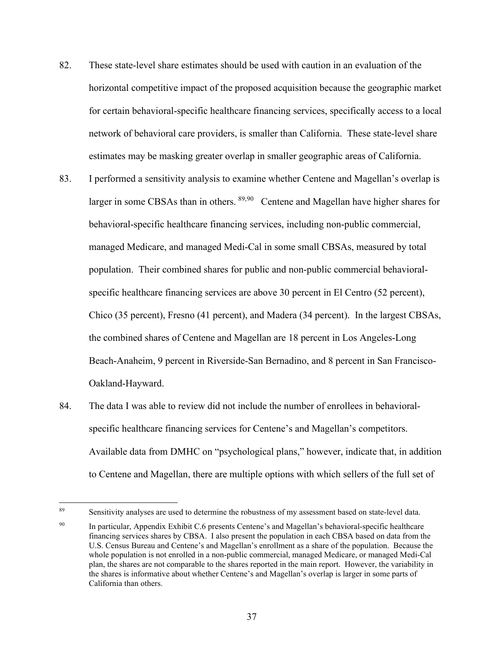- 82. These state-level share estimates should be used with caution in an evaluation of the horizontal competitive impact of the proposed acquisition because the geographic market for certain behavioral-specific healthcare financing services, specifically access to a local network of behavioral care providers, is smaller than California. These state-level share estimates may be masking greater overlap in smaller geographic areas of California.
- larger in some CBSAs than in others. <sup>[89,](#page-39-0)[90](#page-39-1)</sup> Centene and Magellan have higher shares for specific healthcare financing services are above 30 percent in El Centro (52 percent), 83. I performed a sensitivity analysis to examine whether Centene and Magellan's overlap is behavioral-specific healthcare financing services, including non-public commercial, managed Medicare, and managed Medi-Cal in some small CBSAs, measured by total population. Their combined shares for public and non-public commercial behavioral-Chico (35 percent), Fresno (41 percent), and Madera (34 percent). In the largest CBSAs, the combined shares of Centene and Magellan are 18 percent in Los Angeles-Long Beach-Anaheim, 9 percent in Riverside-San Bernadino, and 8 percent in San Francisco-Oakland-Hayward.
- 84. The data I was able to review did not include the number of enrollees in behavioral- specific healthcare financing services for Centene's and Magellan's competitors. Available data from DMHC on "psychological plans," however, indicate that, in addition to Centene and Magellan, there are multiple options with which sellers of the full set of

<span id="page-39-0"></span><sup>89</sup> 

Sensitivity analyses are used to determine the robustness of my assessment based on state-level data.

<span id="page-39-1"></span><sup>90</sup> California than others. In particular, Appendix Exhibit C.6 presents Centene's and Magellan's behavioral-specific healthcare financing services shares by CBSA. I also present the population in each CBSA based on data from the U.S. Census Bureau and Centene's and Magellan's enrollment as a share of the population. Because the whole population is not enrolled in a non-public commercial, managed Medicare, or managed Medi-Cal plan, the shares are not comparable to the shares reported in the main report. However, the variability in the shares is informative about whether Centene's and Magellan's overlap is larger in some parts of California than others. 37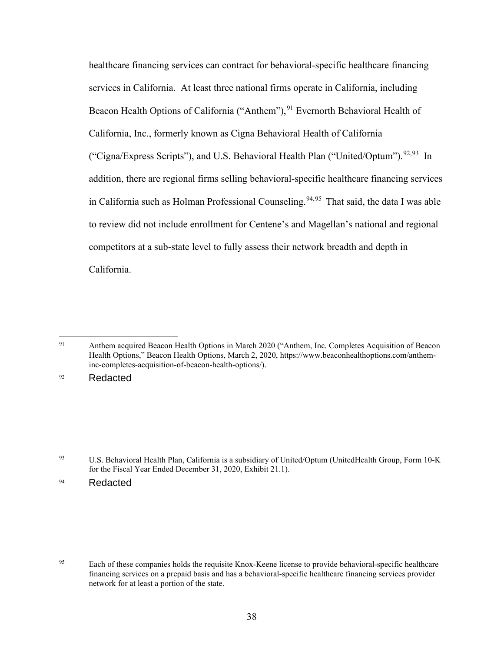("Cigna/Express Scripts"), and U.S. Behavioral Health Plan ("United/Optum").<sup>[92](#page-40-1),[93](#page-40-2)</sup> In competitors at a sub-state level to fully assess their network breadth and depth in healthcare financing services can contract for behavioral-specific healthcare financing services in California. At least three national firms operate in California, including Beacon Health Options of California ("Anthem"),  $91$  Evernorth Behavioral Health of California, Inc., formerly known as Cigna Behavioral Health of California addition, there are regional firms selling behavioral-specific healthcare financing services in California such as Holman Professional Counseling.<sup>[94](#page-40-3),[95](#page-40-4)</sup> That said, the data I was able to review did not include enrollment for Centene's and Magellan's national and regional California.

<span id="page-40-1"></span>92 Redacted

<span id="page-40-0"></span> 91 Anthem acquired Beacon Health Options in March 2020 ("Anthem, Inc. Completes Acquisition of Beacon Health Options," Beacon Health Options, March 2, 2020,<https://www.beaconhealthoptions.com/anthem>inc-completes-acquisition-of-beacon-health-options/).

<span id="page-40-2"></span> 93 U.S. Behavioral Health Plan, California is a subsidiary of United/Optum (UnitedHealth Group, Form 10-K for the Fiscal Year Ended December 31, 2020, Exhibit 21.1).

<span id="page-40-3"></span><sup>94</sup> Redacted

<span id="page-40-4"></span>Each of these companies holds the requisite Knox-Keene license to provide behavioral-specific healthcare financing services on a prepaid basis and has a behavioral-specific healthcare financing services provider network for at least a portion of the state. 95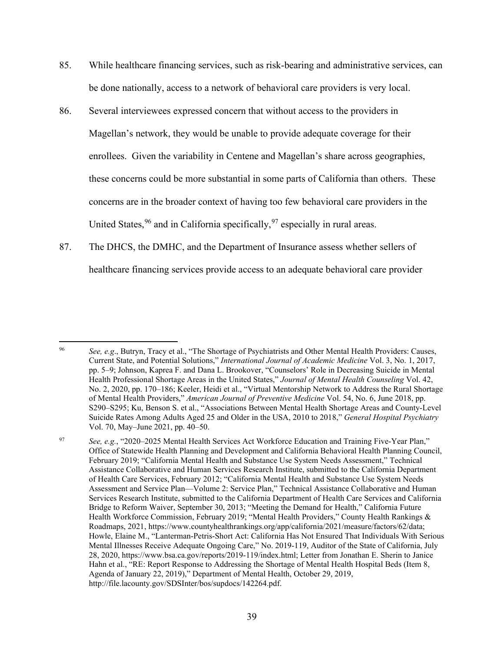- 85. While healthcare financing services, such as risk-bearing and administrative services, can be done nationally, access to a network of behavioral care providers is very local.
- 86. Several interviewees expressed concern that without access to the providers in Magellan's network, they would be unable to provide adequate coverage for their enrollees. Given the variability in Centene and Magellan's share across geographies, these concerns could be more substantial in some parts of California than others. These concerns are in the broader context of having too few behavioral care providers in the United States, <sup>96</sup> and in California specifically, <sup>[97](#page-41-1)</sup> especially in rural areas.
- healthcare financing services provide access to an adequate behavioral care provider 87. The DHCS, the DMHC, and the Department of Insurance assess whether sellers of

<span id="page-41-0"></span><sup>96</sup> <sup>96</sup>*See, e.g*., Butryn, Tracy et al., "The Shortage of Psychiatrists and Other Mental Health Providers: Causes, Current State, and Potential Solutions," *International Journal of Academic Medicine* Vol. 3, No. 1, 2017, pp. 5–9; Johnson, Kaprea F. and Dana L. Brookover, "Counselors' Role in Decreasing Suicide in Mental Health Professional Shortage Areas in the United States," *Journal of Mental Health Counseling* Vol. 42, No. 2, 2020, pp. 170–186; Keeler, Heidi et al., "Virtual Mentorship Network to Address the Rural Shortage of Mental Health Providers," *American Journal of Preventive Medicine* Vol. 54, No. 6, June 2018, pp. S290–S295; Ku, Benson S. et al., "Associations Between Mental Health Shortage Areas and County-Level Suicide Rates Among Adults Aged 25 and Older in the USA, 2010 to 2018," *General Hospital Psychiatry*  Vol. 70, May–June 2021, pp. 40–50.

<span id="page-41-1"></span> Agenda of January 22, 2019)," Department of Mental Health, October 29, 2019, <sup>97</sup>*See, e.g.*, "2020–2025 Mental Health Services Act Workforce Education and Training Five-Year Plan," Office of Statewide Health Planning and Development and California Behavioral Health Planning Council, February 2019; "California Mental Health and Substance Use System Needs Assessment," Technical Assistance Collaborative and Human Services Research Institute, submitted to the California Department of Health Care Services, February 2012; "California Mental Health and Substance Use System Needs Assessment and Service Plan—Volume 2: Service Plan," Technical Assistance Collaborative and Human Services Research Institute, submitted to the California Department of Health Care Services and California Bridge to Reform Waiver, September 30, 2013; "Meeting the Demand for Health," California Future Health Workforce Commission, February 2019; "Mental Health Providers," County Health Rankings & Roadmaps, 2021, [https://www.countyhealthrankings.org/app/california/2021/measure/factors/62/data;](https://www.countyhealthrankings.org/app/california/2021/measure/factors/62/data) Howle, Elaine M., "Lanterman-Petris-Short Act: California Has Not Ensured That Individuals With Serious Mental Illnesses Receive Adequate Ongoing Care," No. 2019-119, Auditor of the State of California, July 28, 2020, [https://www.bsa.ca.gov/reports/2019-119/index.html;](https://www.bsa.ca.gov/reports/2019-119/index.html) Letter from Jonathan E. Sherin to Janice Hahn et al., "RE: Report Response to Addressing the Shortage of Mental Health Hospital Beds (Item 8, [http://file.lacounty.gov/SDSInter/bos/supdocs/142264.pdf.](http://file.lacounty.gov/SDSInter/bos/supdocs/142264.pdf)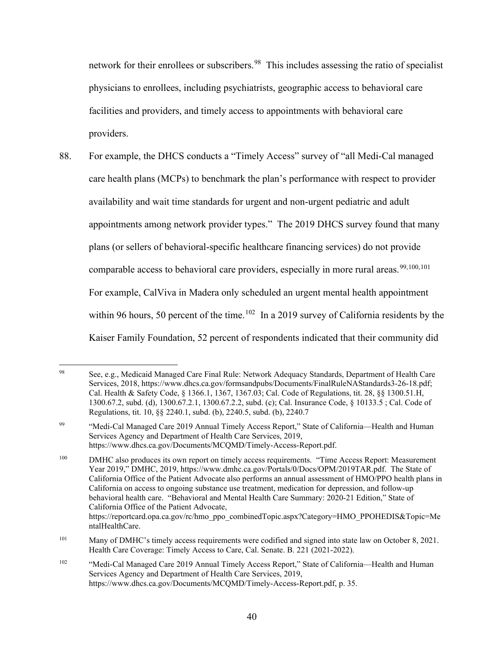physicians to enrollees, including psychiatrists, geographic access to behavioral care facilities and providers, and timely access to appointments with behavioral care network for their enrollees or subscribers.<sup>[98](#page-42-0)</sup> This includes assessing the ratio of specialist providers.

 88. For example, the DHCS conducts a "Timely Access" survey of "all Medi-Cal managed care health plans (MCPs) to benchmark the plan's performance with respect to provider comparable access to behavioral care providers, especially in more rural areas.<sup>[99,](#page-42-1)[100,](#page-42-2)[101](#page-42-3)</sup> within 96 hours, 50 percent of the time.<sup>[102](#page-42-4)</sup> In a 2019 survey of California residents by the availability and wait time standards for urgent and non-urgent pediatric and adult appointments among network provider types." The 2019 DHCS survey found that many plans (or sellers of behavioral-specific healthcare financing services) do not provide For example, CalViva in Madera only scheduled an urgent mental health appointment Kaiser Family Foundation, 52 percent of respondents indicated that their community did

<span id="page-42-0"></span> $98$  Regulations, tit. 10, §§ 2240.1, subd. (b), 2240.5, subd. (b), 2240.7 98 See, e.g., Medicaid Managed Care Final Rule: Network Adequacy Standards, Department of Health Care Services, 2018, <https://www.dhcs.ca.gov/formsandpubs/Documents/FinalRuleNAStandards3-26-18.pdf>; Cal. Health & Safety Code, § 1366.1, 1367, 1367.03; Cal. Code of Regulations, tit. 28, §§ 1300.51.H, 1300.67.2, subd. (d), 1300.67.2.1, 1300.67.2.2, subd. (c); Cal. Insurance Code, § 10133.5 ; Cal. Code of

<span id="page-42-1"></span><sup>99</sup> 99 "Medi-Cal Managed Care 2019 Annual Timely Access Report," State of California—Health and Human Services Agency and Department of Health Care Services, 2019, [https://www.dhcs.ca.gov/Documents/MCQMD/Timely-Access-Report.pdf.](https://www.dhcs.ca.gov/Documents/MCQMD/Timely-Access-Report.pdf)

<span id="page-42-2"></span><sup>100</sup>  Year 2019," DMHC, 2019,<https://www.dmhc.ca.gov/Portals/0/Docs/OPM/2019TAR.pdf>. The State of behavioral health care. "Behavioral and Mental Health Care Summary: 2020-21 Edition," State of DMHC also produces its own report on timely access requirements. "Time Access Report: Measurement California Office of the Patient Advocate also performs an annual assessment of HMO/PPO health plans in California on access to ongoing substance use treatment, medication for depression, and follow-up California Office of the Patient Advocate, [https://reportcard.opa.ca.gov/rc/hmo\\_ppo\\_combinedTopic.aspx?Category=HMO\\_PPOHEDIS&Topic=Me](https://reportcard.opa.ca.gov/rc/hmo_ppo_combinedTopic.aspx?Category=HMO_PPOHEDIS&Topic=Me) ntalHealthCare.

<span id="page-42-3"></span><sup>101</sup> Health Care Coverage: Timely Access to Care, Cal. Senate. B. 221 (2021-2022). Many of DMHC's timely access requirements were codified and signed into state law on October 8, 2021.

<span id="page-42-4"></span><sup>102</sup> "Medi-Cal Managed Care 2019 Annual Timely Access Report," State of California—Health and Human Services Agency and Department of Health Care Services, 2019, [https://www.dhcs.ca.gov/Documents/MCQMD/Timely-Access-Report.pdf,](https://www.dhcs.ca.gov/Documents/MCQMD/Timely-Access-Report.pdf) p. 35.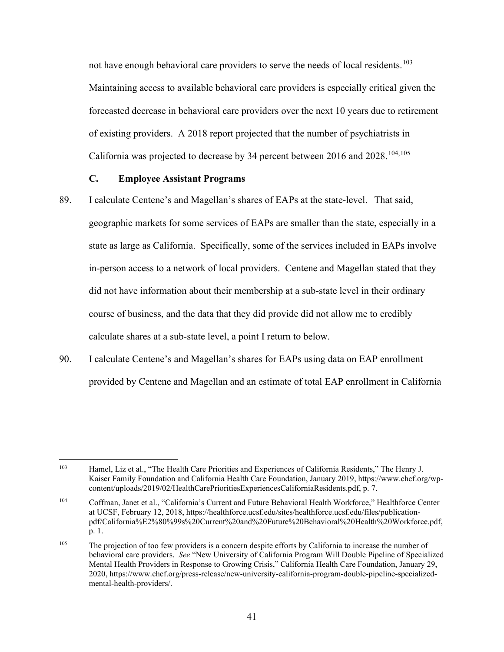not have enough behavioral care providers to serve the needs of local residents.<sup>103</sup> Maintaining access to available behavioral care providers is especially critical given the forecasted decrease in behavioral care providers over the next 10 years due to retirement of existing providers. A 2018 report projected that the number of psychiatrists in California was projected to decrease by 34 percent between 2016 and  $2028$ .<sup>[104,](#page-43-1)105</sup>

## **C. Employee Assistant Programs**

- 89. I calculate Centene's and Magellan's shares of EAPs at the state-level. That said, geographic markets for some services of EAPs are smaller than the state, especially in a state as large as California. Specifically, some of the services included in EAPs involve in-person access to a network of local providers. Centene and Magellan stated that they did not have information about their membership at a sub-state level in their ordinary course of business, and the data that they did provide did not allow me to credibly calculate shares at a sub-state level, a point I return to below.
- 90. I calculate Centene's and Magellan's shares for EAPs using data on EAP enrollment provided by Centene and Magellan and an estimate of total EAP enrollment in California

<span id="page-43-0"></span><sup>103</sup> Hamel, Liz et al., "The Health Care Priorities and Experiences of California Residents," The Henry J. Kaiser Family Foundation and California Health Care Foundation, January 2019,<https://www.chcf.org/wp>content/uploads/2019/02/HealthCarePrioritiesExperiencesCaliforniaResidents.pdf, p. 7.

<span id="page-43-1"></span><sup>104</sup> 104 Coffman, Janet et al., "California's Current and Future Behavioral Health Workforce," Healthforce Center at UCSF, February 12, 2018,<https://healthforce.ucsf.edu/sites/healthforce.ucsf.edu/files/publication>pdf/California%E2%80%99s%20Current%20and%20Future%20Behavioral%20Health%20Workforce.pdf, p. 1.

<span id="page-43-2"></span><sup>105</sup>  behavioral care providers. *See* "New University of California Program Will Double Pipeline of Specialized The projection of too few providers is a concern despite efforts by California to increase the number of Mental Health Providers in Response to Growing Crisis," California Health Care Foundation, January 29, 2020,<https://www.chcf.org/press-release/new-university-california-program-double-pipeline-specialized>mental-health-providers/.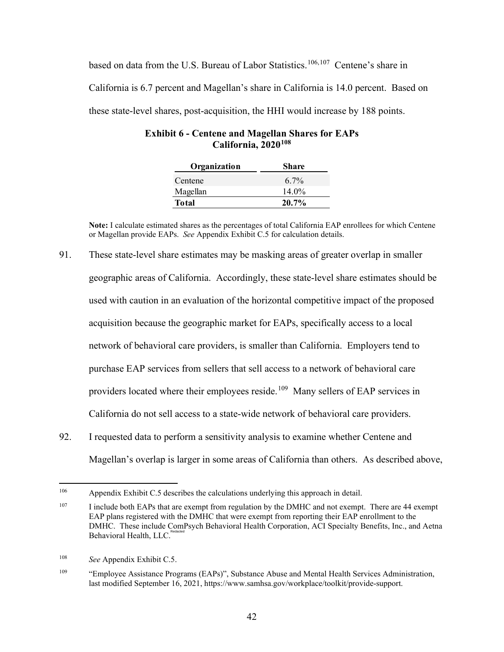based on data from the U.S. Bureau of Labor Statistics.<sup>[106](#page-44-0),107</sup> Centene's share in California is 6.7 percent and Magellan's share in California is 14.0 percent. Based on these state-level shares, post-acquisition, the HHI would increase by 188 points.

| Organization | Share    |
|--------------|----------|
| Centene      | $6.7\%$  |
| Magellan     | 14.0%    |
| Total        | $20.7\%$ |

| <b>Exhibit 6 - Centene and Magellan Shares for EAPs</b> |  |
|---------------------------------------------------------|--|
| California, 2020 <sup>108</sup>                         |  |

 or Magellan provide EAPs. *See* Appendix Exhibit C.5 for calculation details. **Note:** I calculate estimated shares as the percentages of total California EAP enrollees for which Centene

- acquisition because the geographic market for EAPs, specifically access to a local providers located where their employees reside.<sup>[109](#page-44-3)</sup> Many sellers of EAP services in 91. These state-level share estimates may be masking areas of greater overlap in smaller geographic areas of California. Accordingly, these state-level share estimates should be used with caution in an evaluation of the horizontal competitive impact of the proposed network of behavioral care providers, is smaller than California. Employers tend to purchase EAP services from sellers that sell access to a network of behavioral care California do not sell access to a state-wide network of behavioral care providers.
- 92. I requested data to perform a sensitivity analysis to examine whether Centene and Magellan's overlap is larger in some areas of California than others. As described above,

<span id="page-44-0"></span><sup>106</sup> Appendix Exhibit C.5 describes the calculations underlying this approach in detail.

<span id="page-44-1"></span><sup>107</sup>  EAP plans registered with the DMHC that were exempt from reporting their EAP enrollment to the I include both EAPs that are exempt from regulation by the DMHC and not exempt. There are 44 exempt DMHC. These include ComPsych Behavioral Health Corporation, ACI Specialty Benefits, Inc., and Aetna Behavioral Health, LLC.

<span id="page-44-2"></span><sup>108</sup> See Appendix Exhibit C.5.

<span id="page-44-3"></span><sup>109</sup> 109 "Employee Assistance Programs (EAPs)", Substance Abuse and Mental Health Services Administration, last modified September 16, 2021,<https://www.samhsa.gov/workplace/toolkit/provide-support>.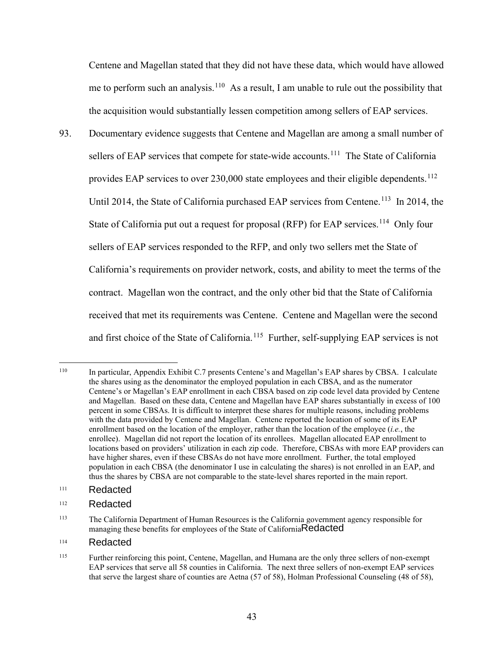Centene and Magellan stated that they did not have these data, which would have allowed me to perform such an analysis.<sup>[110](#page-45-0)</sup> As a result, I am unable to rule out the possibility that the acquisition would substantially lessen competition among sellers of EAP services.

sellers of EAP services that compete for state-wide accounts.<sup>111</sup> The State of California provides EAP services to over  $230,000$  state employees and their eligible dependents.<sup>112</sup> 93. Documentary evidence suggests that Centene and Magellan are among a small number of Until 2014, the State of California purchased EAP services from Centene.<sup>[113](#page-45-3)</sup> In 2014, the State of California put out a request for proposal (RFP) for EAP services.<sup>[114](#page-45-4)</sup> Only four sellers of EAP services responded to the RFP, and only two sellers met the State of California's requirements on provider network, costs, and ability to meet the terms of the contract. Magellan won the contract, and the only other bid that the State of California received that met its requirements was Centene. Centene and Magellan were the second and first choice of the State of California.<sup>[115](#page-45-5)</sup> Further, self-supplying EAP services is not

#### <span id="page-45-1"></span> 111 Redacted

#### <span id="page-45-2"></span> 112 Redacted

### <span id="page-45-4"></span> 114 Redacted

<span id="page-45-0"></span> 110 with the data provided by Centene and Magellan. Centene reported the location of some of its EAP enrollee). Magellan did not report the location of its enrollees. Magellan allocated EAP enrollment to In particular, Appendix Exhibit C.7 presents Centene's and Magellan's EAP shares by CBSA. I calculate the shares using as the denominator the employed population in each CBSA, and as the numerator Centene's or Magellan's EAP enrollment in each CBSA based on zip code level data provided by Centene and Magellan. Based on these data, Centene and Magellan have EAP shares substantially in excess of 100 percent in some CBSAs. It is difficult to interpret these shares for multiple reasons, including problems enrollment based on the location of the employer, rather than the location of the employee (*i.e.*, the locations based on providers' utilization in each zip code. Therefore, CBSAs with more EAP providers can have higher shares, even if these CBSAs do not have more enrollment. Further, the total employed population in each CBSA (the denominator I use in calculating the shares) is not enrolled in an EAP, and thus the shares by CBSA are not comparable to the state-level shares reported in the main report.

<span id="page-45-3"></span><sup>113</sup> 113 The California Department of Human Resources is the California government agency responsible for managing these benefits for employees of the State of California Redacted

<span id="page-45-5"></span> 115 EAP services that serve all 58 counties in California. The next three sellers of non-exempt EAP services Further reinforcing this point, Centene, Magellan, and Humana are the only three sellers of non-exempt that serve the largest share of counties are Aetna (57 of 58), Holman Professional Counseling (48 of 58),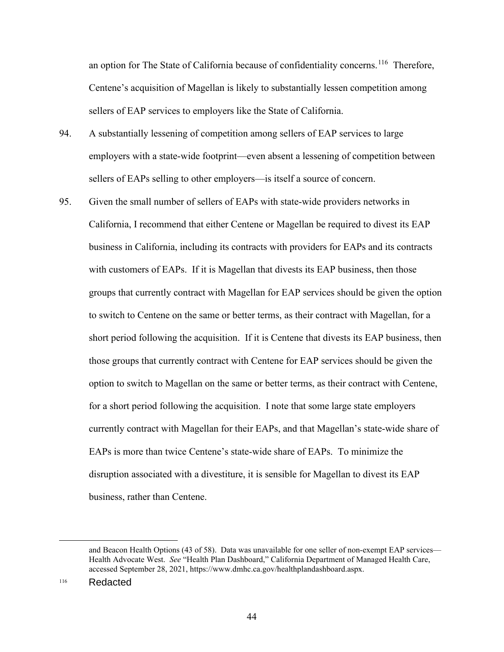an option for The State of California because of confidentiality concerns.<sup>116</sup> Therefore, Centene's acquisition of Magellan is likely to substantially lessen competition among sellers of EAP services to employers like the State of California.

- sellers of EAPs selling to other employers—is itself a source of concern. 94. A substantially lessening of competition among sellers of EAP services to large employers with a state-wide footprint—even absent a lessening of competition between
- 95. Given the small number of sellers of EAPs with state-wide providers networks in California, I recommend that either Centene or Magellan be required to divest its EAP business in California, including its contracts with providers for EAPs and its contracts with customers of EAPs. If it is Magellan that divests its EAP business, then those groups that currently contract with Magellan for EAP services should be given the option to switch to Centene on the same or better terms, as their contract with Magellan, for a short period following the acquisition. If it is Centene that divests its EAP business, then those groups that currently contract with Centene for EAP services should be given the option to switch to Magellan on the same or better terms, as their contract with Centene, for a short period following the acquisition. I note that some large state employers currently contract with Magellan for their EAPs, and that Magellan's state-wide share of EAPs is more than twice Centene's state-wide share of EAPs. To minimize the disruption associated with a divestiture, it is sensible for Magellan to divest its EAP business, rather than Centene.

<span id="page-46-0"></span> and Beacon Health Options (43 of 58). Data was unavailable for one seller of non-exempt EAP services— Health Advocate West. *See* "Health Plan Dashboard," California Department of Managed Health Care, accessed September 28, 2021, <https://www.dmhc.ca.gov/healthplandashboard.aspx>.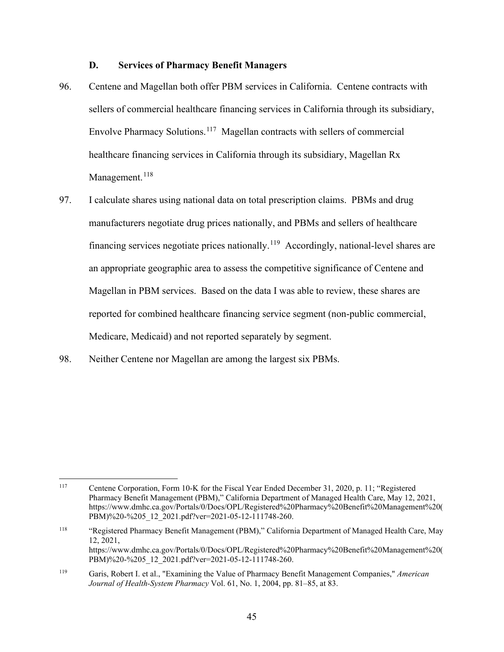### **D. Services of Pharmacy Benefit Managers**

- 96. Centene and Magellan both offer PBM services in California. Centene contracts with Envolve Pharmacy Solutions.<sup>[117](#page-47-0)</sup> Magellan contracts with sellers of commercial sellers of commercial healthcare financing services in California through its subsidiary, healthcare financing services in California through its subsidiary, Magellan Rx Management.<sup>[118](#page-47-1)</sup>
- 97. I calculate shares using national data on total prescription claims. PBMs and drug manufacturers negotiate drug prices nationally, and PBMs and sellers of healthcare financing services negotiate prices nationally.<sup>[119](#page-47-2)</sup> Accordingly, national-level shares are an appropriate geographic area to assess the competitive significance of Centene and Magellan in PBM services. Based on the data I was able to review, these shares are reported for combined healthcare financing service segment (non-public commercial, Medicare, Medicaid) and not reported separately by segment.
- 98. Neither Centene nor Magellan are among the largest six PBMs.

<span id="page-47-0"></span><sup>117</sup> Centene Corporation, Form 10-K for the Fiscal Year Ended December 31, 2020, p. 11; "Registered Pharmacy Benefit Management (PBM)," California Department of Managed Health Care, May 12, 2021, [https://www.dmhc.ca.gov/Portals/0/Docs/OPL/Registered%20Pharmacy%20Benefit%20Management%20\(](https://www.dmhc.ca.gov/Portals/0/Docs/OPL/Registered%20Pharmacy%20Benefit%20Management%20) PBM)%20-%205\_12\_2021.pdf?ver=2021-05-12-111748-260.

<span id="page-47-1"></span><sup>118</sup> 118 "Registered Pharmacy Benefit Management (PBM)," California Department of Managed Health Care, May 12, 2021, [https://www.dmhc.ca.gov/Portals/0/Docs/OPL/Registered%20Pharmacy%20Benefit%20Management%20\(](https://www.dmhc.ca.gov/Portals/0/Docs/OPL/Registered%20Pharmacy%20Benefit%20Management%20) PBM)%20-%205\_12\_2021.pdf?ver=2021-05-12-111748-260.

<span id="page-47-2"></span><sup>119</sup> 119 Garis, Robert I. et al., "Examining the Value of Pharmacy Benefit Management Companies," *American Journal of Health-System Pharmacy* Vol. 61, No. 1, 2004, pp. 81–85, at 83.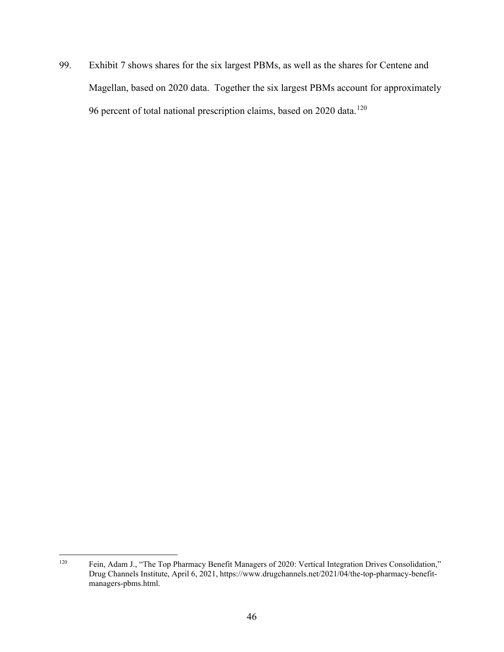99. Exhibit 7 shows shares for the six largest PBMs, as well as the shares for Centene and 96 percent of total national prescription claims, based on 2020 data.<sup>120</sup> Magellan, based on 2020 data. Together the six largest PBMs account for approximately

<span id="page-48-0"></span> 120 Fein, Adam J., "The Top Pharmacy Benefit Managers of 2020: Vertical Integration Drives Consolidation," Drug Channels Institute, April 6, 2021,<https://www.drugchannels.net/2021/04/the-top-pharmacy-benefit>managers-pbms.html.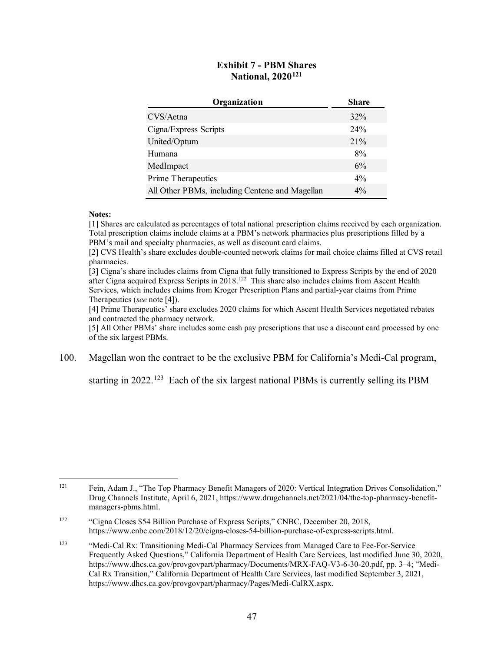## **Exhibit 7 - PBM Shares National, 2020[121](#page-49-0)**

| Organization                                   | <b>Share</b> |
|------------------------------------------------|--------------|
| CVS/Aetna                                      | 32%          |
| Cigna/Express Scripts                          | 24%          |
| United/Optum                                   | 21%          |
| Humana                                         | 8%           |
| MedImpact                                      | 6%           |
| Prime Therapeutics                             | $4\%$        |
| All Other PBMs, including Centene and Magellan | $4\%$        |

### **Notes:**

[1] Shares are calculated as percentages of total national prescription claims received by each organization. Total prescription claims include claims at a PBM's network pharmacies plus prescriptions filled by a PBM's mail and specialty pharmacies, as well as discount card claims.

[2] CVS Health's share excludes double-counted network claims for mail choice claims filled at CVS retail pharmacies.

 [3] Cigna's share includes claims from Cigna that fully transitioned to Express Scripts by the end of 2020 after Cigna acquired Express Scripts in 2018.<sup>122</sup> This share also includes claims from Ascent Health Services, which includes claims from Kroger Prescription Plans and partial-year claims from Prime Therapeutics (*see* note [4]).

[4] Prime Therapeutics' share excludes 2020 claims for which Ascent Health Services negotiated rebates and contracted the pharmacy network.

[5] All Other PBMs' share includes some cash pay prescriptions that use a discount card processed by one of the six largest PBMs.

100. Magellan won the contract to be the exclusive PBM for California's Medi-Cal program,

starting in  $2022$ <sup>[123](#page-49-2)</sup> Each of the six largest national PBMs is currently selling its PBM

<span id="page-49-0"></span><sup>121</sup> 121 Fein, Adam J., "The Top Pharmacy Benefit Managers of 2020: Vertical Integration Drives Consolidation," Drug Channels Institute, April 6, 2021,<https://www.drugchannels.net/2021/04/the-top-pharmacy-benefit>managers-pbms.html.

<span id="page-49-1"></span><sup>122</sup> "Cigna Closes \$54 Billion Purchase of Express Scripts," CNBC, December 20, 2018, [https://www.cnbc.com/2018/12/20/cigna-closes-54-billion-purchase-of-express-scripts.html.](https://www.cnbc.com/2018/12/20/cigna-closes-54-billion-purchase-of-express-scripts.html)

<span id="page-49-2"></span><sup>123</sup>  Cal Rx Transition," California Department of Health Care Services, last modified September 3, 2021, 123 "Medi-Cal Rx: Transitioning Medi-Cal Pharmacy Services from Managed Care to Fee-For-Service Frequently Asked Questions," California Department of Health Care Services, last modified June 30, 2020, [https://www.dhcs.ca.gov/provgovpart/pharmacy/Documents/MRX-FAQ-V3-6-30-20.pdf,](https://www.dhcs.ca.gov/provgovpart/pharmacy/Documents/MRX-FAQ-V3-6-30-20.pdf) pp. 3–4; "Medi[https://www.dhcs.ca.gov/provgovpart/pharmacy/Pages/Medi-CalRX.aspx.](https://www.dhcs.ca.gov/provgovpart/pharmacy/Pages/Medi-CalRX.aspx)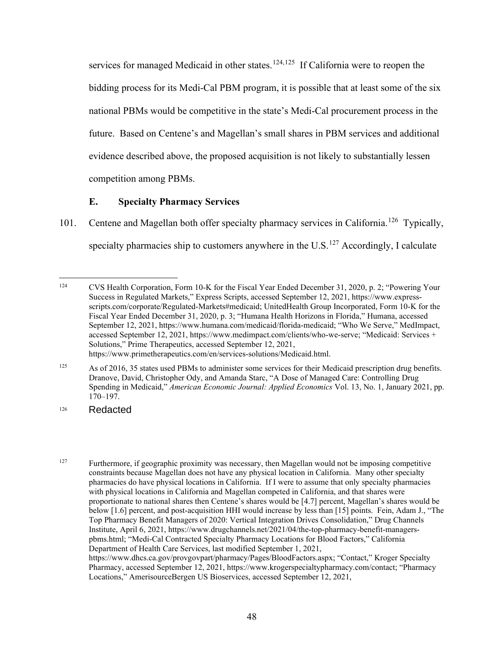services for managed Medicaid in other states.<sup>[124,](#page-50-0)[125](#page-50-1)</sup> If California were to reopen the bidding process for its Medi-Cal PBM program, it is possible that at least some of the six national PBMs would be competitive in the state's Medi-Cal procurement process in the future. Based on Centene's and Magellan's small shares in PBM services and additional evidence described above, the proposed acquisition is not likely to substantially lessen competition among PBMs.

# **E. Specialty Pharmacy Services**

101. Centene and Magellan both offer specialty pharmacy services in California.<sup>126</sup> Typically, specialty pharmacies ship to customers anywhere in the U.S.<sup>[127](#page-50-3)</sup> Accordingly, I calculate

<span id="page-50-0"></span><sup>124</sup>  Fiscal Year Ended December 31, 2020, p. 3; "Humana Health Horizons in Florida," Humana, accessed Solutions," Prime Therapeutics, accessed September 12, 2021, 124 CVS Health Corporation, Form 10-K for the Fiscal Year Ended December 31, 2020, p. 2; "Powering Your Success in Regulated Markets," Express Scripts, accessed September 12, 2021,<https://www.express>scripts.com/corporate/Regulated-Markets#medicaid; UnitedHealth Group Incorporated, Form 10-K for the September 12, 2021,<https://www.humana.com/medicaid/florida-medicaid>; "Who We Serve," MedImpact, accessed September 12, 2021, <https://www.medimpact.com/clients/who-we-serve>; "Medicaid: Services + <https://www.primetherapeutics.com/en/services-solutions/Medicaid.html>.

<span id="page-50-1"></span><sup>125</sup> As of 2016, 35 states used PBMs to administer some services for their Medicaid prescription drug benefits. Dranove, David, Christopher Ody, and Amanda Starc, "A Dose of Managed Care: Controlling Drug Spending in Medicaid," *American Economic Journal: Applied Economics* Vol. 13, No. 1, January 2021, pp. 170–197.

<span id="page-50-2"></span><sup>126</sup> **Redacted** 

<span id="page-50-3"></span> 127 pharmacies do have physical locations in California. If I were to assume that only specialty pharmacies below [1.6] percent, and post-acquisition HHI would increase by less than [15] points. Fein, Adam J., "The Pharmacy, accessed September 12, 2021, <https://www.krogerspecialtypharmacy.com/contact>; "Pharmacy Furthermore, if geographic proximity was necessary, then Magellan would not be imposing competitive constraints because Magellan does not have any physical location in California. Many other specialty with physical locations in California and Magellan competed in California, and that shares were proportionate to national shares then Centene's shares would be [4.7] percent, Magellan's shares would be Top Pharmacy Benefit Managers of 2020: Vertical Integration Drives Consolidation," Drug Channels Institute, April 6, 2021,<https://www.drugchannels.net/2021/04/the-top-pharmacy-benefit-managers>pbms.html; "Medi-Cal Contracted Specialty Pharmacy Locations for Blood Factors," California Department of Health Care Services, last modified September 1, 2021, [https://www.dhcs.ca.gov/provgovpart/pharmacy/Pages/BloodFactors.aspx;](https://www.dhcs.ca.gov/provgovpart/pharmacy/Pages/BloodFactors.aspx) "Contact," Kroger Specialty Locations," AmerisourceBergen US Bioservices, accessed September 12, 2021,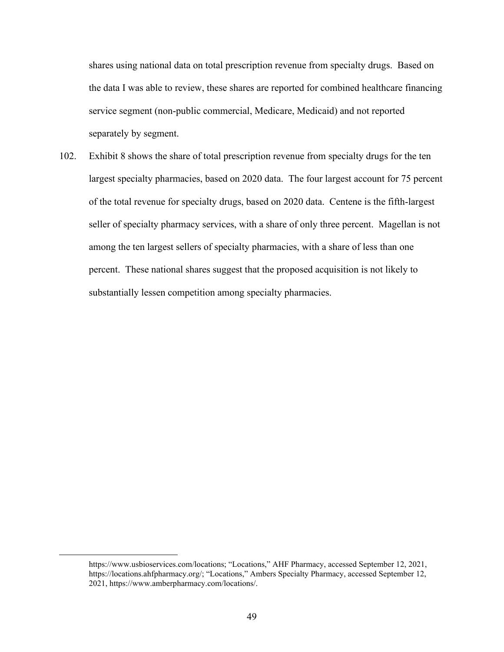separately by segment. shares using national data on total prescription revenue from specialty drugs. Based on the data I was able to review, these shares are reported for combined healthcare financing service segment (non-public commercial, Medicare, Medicaid) and not reported

 among the ten largest sellers of specialty pharmacies, with a share of less than one 102. Exhibit 8 shows the share of total prescription revenue from specialty drugs for the ten largest specialty pharmacies, based on 2020 data. The four largest account for 75 percent of the total revenue for specialty drugs, based on 2020 data. Centene is the fifth-largest seller of specialty pharmacy services, with a share of only three percent. Magellan is not percent. These national shares suggest that the proposed acquisition is not likely to substantially lessen competition among specialty pharmacies.

<https://www.usbioservices.com/locations>; "Locations," AHF Pharmacy, accessed September 12, 2021, [https://locations.ahfpharmacy.org/](https://locations.ahfpharmacy.org); "Locations," Ambers Specialty Pharmacy, accessed September 12, 2021,<https://www.amberpharmacy.com/locations>/.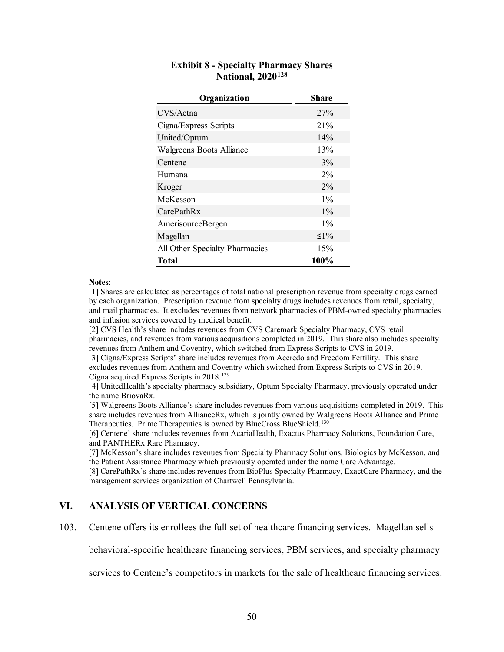| Organization                   | <b>Share</b> |
|--------------------------------|--------------|
| CVS/Aetna                      | 27%          |
| Cigna/Express Scripts          | 21%          |
| United/Optum                   | 14%          |
| Walgreens Boots Alliance       | 13%          |
| Centene                        | $3\%$        |
| Humana                         | 2%           |
| Kroger                         | $2\%$        |
| McKesson                       | $1\%$        |
| CarePathRx                     | $1\%$        |
| AmerisourceBergen              | $1\%$        |
| Magellan                       | $\leq$ 1%    |
| All Other Specialty Pharmacies | 15%          |
| Total                          | 100%         |

### **Exhibit 8 - Specialty Pharmacy Shares National, 2020[128](#page-52-0)**

### **Notes**:

 and mail pharmacies. It excludes revenues from network pharmacies of PBM-owned specialty pharmacies and infusion services covered by medical benefit. [1] Shares are calculated as percentages of total national prescription revenue from specialty drugs earned by each organization. Prescription revenue from specialty drugs includes revenues from retail, specialty,

 revenues from Anthem and Coventry, which switched from Express Scripts to CVS in 2019. [2] CVS Health's share includes revenues from CVS Caremark Specialty Pharmacy, CVS retail pharmacies, and revenues from various acquisitions completed in 2019. This share also includes specialty

 excludes revenues from Anthem and Coventry which switched from Express Scripts to CVS in 2019. [3] Cigna/Express Scripts' share includes revenues from Accredo and Freedom Fertility. This share Cigna acquired Express Scripts in 2018.[129](#page-52-1) 

 the name BriovaRx. [4] UnitedHealth's specialty pharmacy subsidiary, Optum Specialty Pharmacy, previously operated under

 [5] Walgreens Boots Alliance's share includes revenues from various acquisitions completed in 2019. This share includes revenues from AllianceRx, which is jointly owned by Walgreens Boots Alliance and Prime Therapeutics. Prime Therapeutics is owned by BlueCross BlueShield.<sup>130</sup>

[6] Centene' share includes revenues from AcariaHealth, Exactus Pharmacy Solutions, Foundation Care, and PANTHERx Rare Pharmacy.

 the Patient Assistance Pharmacy which previously operated under the name Care Advantage. [7] McKesson's share includes revenues from Specialty Pharmacy Solutions, Biologics by McKesson, and

 [8] CarePathRx's share includes revenues from BioPlus Specialty Pharmacy, ExactCare Pharmacy, and the management services organization of Chartwell Pennsylvania.

## <span id="page-52-0"></span>**VI. ANALYSIS OF VERTICAL CONCERNS**

<span id="page-52-2"></span><span id="page-52-1"></span>103. Centene offers its enrollees the full set of healthcare financing services. Magellan sells

behavioral-specific healthcare financing services, PBM services, and specialty pharmacy

services to Centene's competitors in markets for the sale of healthcare financing services.<br>
50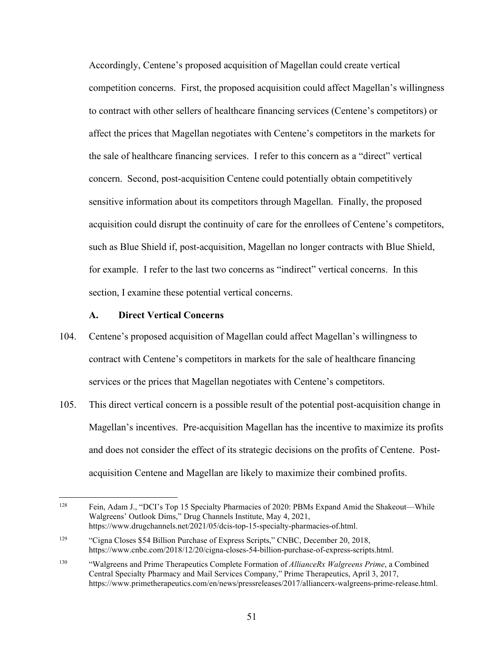for example. I refer to the last two concerns as "indirect" vertical concerns. In this Accordingly, Centene's proposed acquisition of Magellan could create vertical competition concerns. First, the proposed acquisition could affect Magellan's willingness to contract with other sellers of healthcare financing services (Centene's competitors) or affect the prices that Magellan negotiates with Centene's competitors in the markets for the sale of healthcare financing services. I refer to this concern as a "direct" vertical concern. Second, post-acquisition Centene could potentially obtain competitively sensitive information about its competitors through Magellan. Finally, the proposed acquisition could disrupt the continuity of care for the enrollees of Centene's competitors, such as Blue Shield if, post-acquisition, Magellan no longer contracts with Blue Shield, section, I examine these potential vertical concerns.

### **A. Direct Vertical Concerns**

- 104. Centene's proposed acquisition of Magellan could affect Magellan's willingness to contract with Centene's competitors in markets for the sale of healthcare financing services or the prices that Magellan negotiates with Centene's competitors.
- 105. This direct vertical concern is a possible result of the potential post-acquisition change in Magellan's incentives. Pre-acquisition Magellan has the incentive to maximize its profits and does not consider the effect of its strategic decisions on the profits of Centene. Postacquisition Centene and Magellan are likely to maximize their combined profits.

<sup>128</sup> Fein, Adam J., "DCI's Top 15 Specialty Pharmacies of 2020: PBMs Expand Amid the Shakeout—While Walgreens' Outlook Dims," Drug Channels Institute, May 4, 2021, <https://www.drugchannels.net/2021/05/dcis-top-15-specialty-pharmacies-of.html>.

<sup>129</sup> "Cigna Closes \$54 Billion Purchase of Express Scripts," CNBC, December 20, 2018, [https://www.cnbc.com/2018/12/20/cigna-closes-54-billion-purchase-of-express-scripts.html.](https://www.cnbc.com/2018/12/20/cigna-closes-54-billion-purchase-of-express-scripts.html)

<sup>130</sup>  Central Specialty Pharmacy and Mail Services Company," Prime Therapeutics, April 3, 2017, 130 "Walgreens and Prime Therapeutics Complete Formation of *AllianceRx Walgreens Prime*, a Combined <https://www.primetherapeutics.com/en/news/pressreleases/2017/alliancerx-walgreens-prime-release.html>.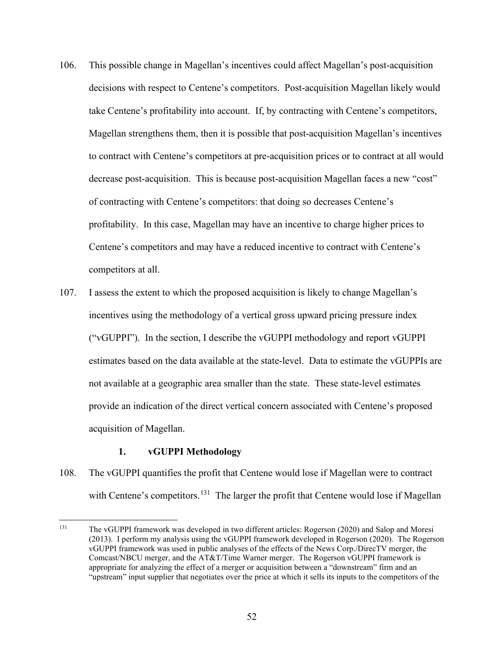- to contract with Centene's competitors at pre-acquisition prices or to contract at all would 106. This possible change in Magellan's incentives could affect Magellan's post-acquisition decisions with respect to Centene's competitors. Post-acquisition Magellan likely would take Centene's profitability into account. If, by contracting with Centene's competitors, Magellan strengthens them, then it is possible that post-acquisition Magellan's incentives decrease post-acquisition. This is because post-acquisition Magellan faces a new "cost" of contracting with Centene's competitors: that doing so decreases Centene's profitability. In this case, Magellan may have an incentive to charge higher prices to Centene's competitors and may have a reduced incentive to contract with Centene's competitors at all.
- 107. I assess the extent to which the proposed acquisition is likely to change Magellan's incentives using the methodology of a vertical gross upward pricing pressure index ("vGUPPI"). In the section, I describe the vGUPPI methodology and report vGUPPI estimates based on the data available at the state-level. Data to estimate the vGUPPIs are not available at a geographic area smaller than the state. These state-level estimates provide an indication of the direct vertical concern associated with Centene's proposed acquisition of Magellan.

# **1. vGUPPI Methodology**

with Centene's competitors.<sup>131</sup> The larger the profit that Centene would lose if Magellan 108. The vGUPPI quantifies the profit that Centene would lose if Magellan were to contract

<span id="page-54-0"></span> 131 (2013). I perform my analysis using the vGUPPI framework developed in Rogerson (2020). The Rogerson vGUPPI framework was used in public analyses of the effects of the News Corp./DirecTV merger, the Comcast/NBCU merger, and the AT&T/Time Warner merger. The Rogerson vGUPPI framework is The vGUPPI framework was developed in two different articles: Rogerson (2020) and Salop and Moresi appropriate for analyzing the effect of a merger or acquisition between a "downstream" firm and an "upstream" input supplier that negotiates over the price at which it sells its inputs to the competitors of the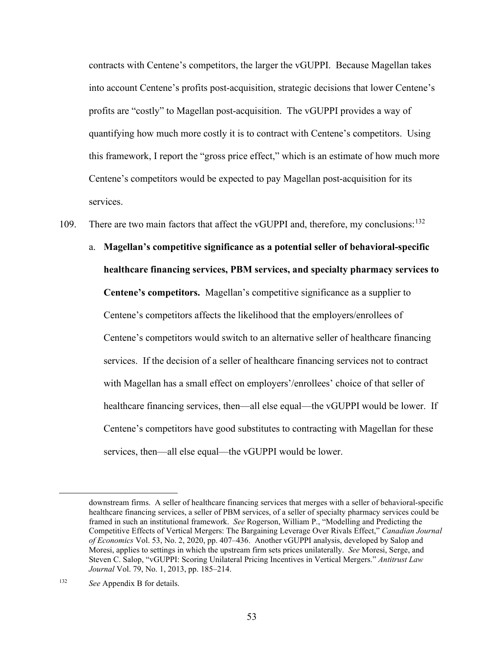profits are "costly" to Magellan post-acquisition. The vGUPPI provides a way of contracts with Centene's competitors, the larger the vGUPPI. Because Magellan takes into account Centene's profits post-acquisition, strategic decisions that lower Centene's quantifying how much more costly it is to contract with Centene's competitors. Using this framework, I report the "gross price effect," which is an estimate of how much more Centene's competitors would be expected to pay Magellan post-acquisition for its services.

109. There are two main factors that affect the vGUPPI and, therefore, my conclusions:<sup>132</sup>

 **Centene's competitors.** Magellan's competitive significance as a supplier to Centene's competitors have good substitutes to contracting with Magellan for these a. **Magellan's competitive significance as a potential seller of behavioral-specific healthcare financing services, PBM services, and specialty pharmacy services to**  Centene's competitors affects the likelihood that the employers/enrollees of Centene's competitors would switch to an alternative seller of healthcare financing services. If the decision of a seller of healthcare financing services not to contract with Magellan has a small effect on employers'/enrollees' choice of that seller of healthcare financing services, then—all else equal—the vGUPPI would be lower. If services, then—all else equal—the vGUPPI would be lower.

 framed in such an institutional framework. *See* Rogerson, William P., "Modelling and Predicting the *of Economics* Vol. 53, No. 2, 2020, pp. 407–436. Another vGUPPI analysis, developed by Salop and Moresi, applies to settings in which the upstream firm sets prices unilaterally. *See* Moresi, Serge, and downstream firms. A seller of healthcare financing services that merges with a seller of behavioral-specific healthcare financing services, a seller of PBM services, of a seller of specialty pharmacy services could be Competitive Effects of Vertical Mergers: The Bargaining Leverage Over Rivals Effect," *Canadian Journal*  Steven C. Salop, "vGUPPI: Scoring Unilateral Pricing Incentives in Vertical Mergers." *Antitrust Law Journal* Vol. 79, No. 1, 2013, pp. 185–214.

<span id="page-55-0"></span> 132 *See* Appendix B for details.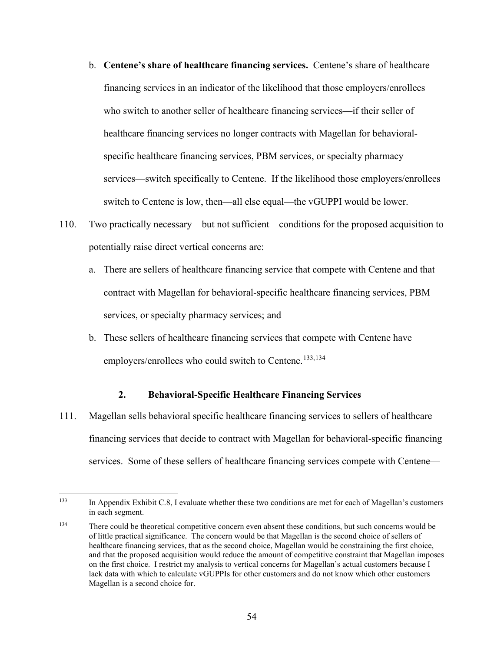- b. **Centene's share of healthcare financing services.** Centene's share of healthcare services—switch specifically to Centene. If the likelihood those employers/enrollees switch to Centene is low, then—all else equal—the vGUPPI would be lower. financing services in an indicator of the likelihood that those employers/enrollees who switch to another seller of healthcare financing services—if their seller of healthcare financing services no longer contracts with Magellan for behavioralspecific healthcare financing services, PBM services, or specialty pharmacy
- 110. Two practically necessary—but not sufficient—conditions for the proposed acquisition to potentially raise direct vertical concerns are:
	- services, or specialty pharmacy services; and a. There are sellers of healthcare financing service that compete with Centene and that contract with Magellan for behavioral-specific healthcare financing services, PBM
	- b. These sellers of healthcare financing services that compete with Centene have employers/enrollees who could switch to Centene.<sup>[133,](#page-56-0)134</sup>

# **2. Behavioral-Specific Healthcare Financing Services**

111. Magellan sells behavioral specific healthcare financing services to sellers of healthcare financing services that decide to contract with Magellan for behavioral-specific financing services. Some of these sellers of healthcare financing services compete with Centene—

<span id="page-56-0"></span><sup>133</sup> in each segment. In Appendix Exhibit C.8, I evaluate whether these two conditions are met for each of Magellan's customers

<span id="page-56-1"></span><sup>134</sup> Magellan is a second choice for.<br>54 There could be theoretical competitive concern even absent these conditions, but such concerns would be of little practical significance. The concern would be that Magellan is the second choice of sellers of healthcare financing services, that as the second choice, Magellan would be constraining the first choice, and that the proposed acquisition would reduce the amount of competitive constraint that Magellan imposes on the first choice. I restrict my analysis to vertical concerns for Magellan's actual customers because I lack data with which to calculate vGUPPIs for other customers and do not know which other customers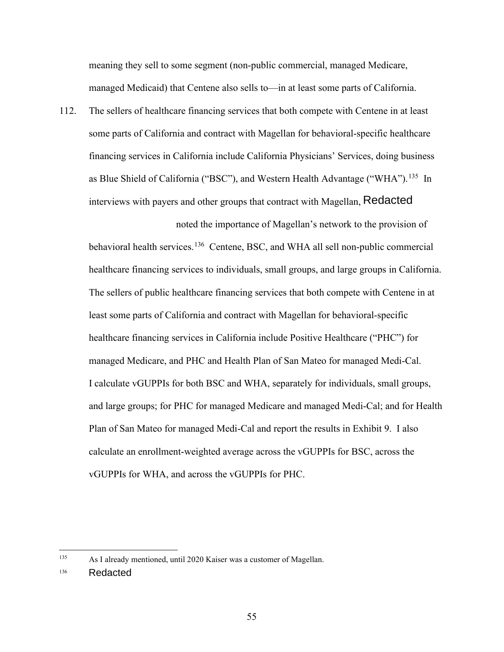meaning they sell to some segment (non-public commercial, managed Medicare, managed Medicaid) that Centene also sells to—in at least some parts of California.

as Blue Shield of California ("BSC"), and Western Health Advantage ("WHA").<sup>135</sup> In 112. The sellers of healthcare financing services that both compete with Centene in at least some parts of California and contract with Magellan for behavioral-specific healthcare financing services in California include California Physicians' Services, doing business interviews with payers and other groups that contract with Magellan, Redacted

behavioral health services.<sup>[136](#page-57-1)</sup> Centene, BSC, and WHA all sell non-public commercial noted the importance of Magellan's network to the provision of healthcare financing services to individuals, small groups, and large groups in California. The sellers of public healthcare financing services that both compete with Centene in at least some parts of California and contract with Magellan for behavioral-specific healthcare financing services in California include Positive Healthcare ("PHC") for managed Medicare, and PHC and Health Plan of San Mateo for managed Medi-Cal. I calculate vGUPPIs for both BSC and WHA, separately for individuals, small groups, and large groups; for PHC for managed Medicare and managed Medi-Cal; and for Health Plan of San Mateo for managed Medi-Cal and report the results in Exhibit 9. I also calculate an enrollment-weighted average across the vGUPPIs for BSC, across the vGUPPIs for WHA, and across the vGUPPIs for PHC.

<span id="page-57-0"></span><sup>135</sup> As I already mentioned, until 2020 Kaiser was a customer of Magellan.

<span id="page-57-1"></span><sup>136</sup> **Redacted**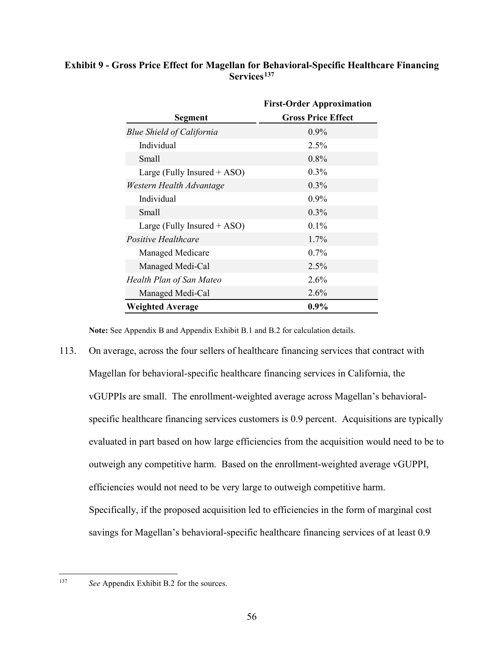# **Exhibit 9 - Gross Price Effect for Magellan for Behavioral-Specific Healthcare Financing Services[137](#page-58-0)**

|                                  | <b>First-Order Approximation</b> |
|----------------------------------|----------------------------------|
| Segment                          | <b>Gross Price Effect</b>        |
| <b>Blue Shield of California</b> | $0.9\%$                          |
| Individual                       | 2.5%                             |
| <b>Small</b>                     | $0.8\%$                          |
| Large (Fully Insured $+$ ASO)    | $0.3\%$                          |
| Western Health Advantage         | $0.3\%$                          |
| Individual                       | 0.9%                             |
| <b>Small</b>                     | $0.3\%$                          |
| Large (Fully Insured + ASO)      | $0.1\%$                          |
| <i>Positive Healthcare</i>       | 1.7%                             |
| Managed Medicare                 | $0.7\%$                          |
| Managed Medi-Cal                 | 2.5%                             |
| Health Plan of San Mateo         | $2.6\%$                          |
| Managed Medi-Cal                 | $2.6\%$                          |
| <b>Weighted Average</b>          | $0.9\%$                          |

**Note:** See Appendix B and Appendix Exhibit B.1 and B.2 for calculation details.

 vGUPPIs are small. The enrollment-weighted average across Magellan's behavioral- specific healthcare financing services customers is 0.9 percent. Acquisitions are typically 113. On average, across the four sellers of healthcare financing services that contract with Magellan for behavioral-specific healthcare financing services in California, the evaluated in part based on how large efficiencies from the acquisition would need to be to outweigh any competitive harm. Based on the enrollment-weighted average vGUPPI, efficiencies would not need to be very large to outweigh competitive harm. Specifically, if the proposed acquisition led to efficiencies in the form of marginal cost savings for Magellan's behavioral-specific healthcare financing services of at least 0.9

<span id="page-58-0"></span>137

*See* Appendix Exhibit B.2 for the sources.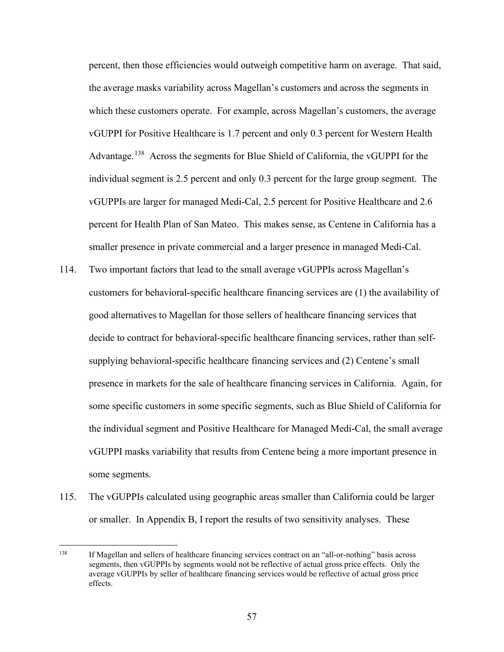which these customers operate. For example, across Magellan's customers, the average Advantage.<sup>138</sup> Across the segments for Blue Shield of California, the vGUPPI for the percent, then those efficiencies would outweigh competitive harm on average. That said, the average masks variability across Magellan's customers and across the segments in vGUPPI for Positive Healthcare is 1.7 percent and only 0.3 percent for Western Health individual segment is 2.5 percent and only 0.3 percent for the large group segment. The vGUPPIs are larger for managed Medi-Cal, 2.5 percent for Positive Healthcare and 2.6 percent for Health Plan of San Mateo. This makes sense, as Centene in California has a smaller presence in private commercial and a larger presence in managed Medi-Cal.

- supplying behavioral-specific healthcare financing services and (2) Centene's small the individual segment and Positive Healthcare for Managed Medi-Cal, the small average 114. Two important factors that lead to the small average vGUPPIs across Magellan's customers for behavioral-specific healthcare financing services are (1) the availability of good alternatives to Magellan for those sellers of healthcare financing services that decide to contract for behavioral-specific healthcare financing services, rather than selfpresence in markets for the sale of healthcare financing services in California. Again, for some specific customers in some specific segments, such as Blue Shield of California for vGUPPI masks variability that results from Centene being a more important presence in some segments.
- or smaller. In Appendix B, I report the results of two sensitivity analyses. These 115. The vGUPPIs calculated using geographic areas smaller than California could be larger

<span id="page-59-0"></span> 138 effects. If Magellan and sellers of healthcare financing services contract on an "all-or-nothing" basis across segments, then vGUPPIs by segments would not be reflective of actual gross price effects. Only the average vGUPPIs by seller of healthcare financing services would be reflective of actual gross price effects.<br>
57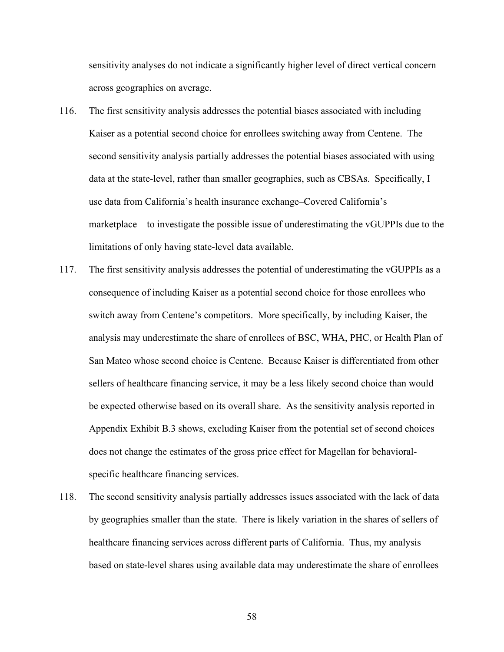across geographies on average. sensitivity analyses do not indicate a significantly higher level of direct vertical concern

- limitations of only having state-level data available. limitations of only having state-level data available.<br>117. The first sensitivity analysis addresses the potential of underestimating the vGUPPIs as a 116. The first sensitivity analysis addresses the potential biases associated with including Kaiser as a potential second choice for enrollees switching away from Centene. The second sensitivity analysis partially addresses the potential biases associated with using data at the state-level, rather than smaller geographies, such as CBSAs. Specifically, I use data from California's health insurance exchange–Covered California's marketplace—to investigate the possible issue of underestimating the vGUPPIs due to the
- consequence of including Kaiser as a potential second choice for those enrollees who switch away from Centene's competitors. More specifically, by including Kaiser, the analysis may underestimate the share of enrollees of BSC, WHA, PHC, or Health Plan of San Mateo whose second choice is Centene. Because Kaiser is differentiated from other sellers of healthcare financing service, it may be a less likely second choice than would be expected otherwise based on its overall share. As the sensitivity analysis reported in Appendix Exhibit B.3 shows, excluding Kaiser from the potential set of second choices does not change the estimates of the gross price effect for Magellan for behavioralspecific healthcare financing services.
- 118. The second sensitivity analysis partially addresses issues associated with the lack of data by geographies smaller than the state. There is likely variation in the shares of sellers of healthcare financing services across different parts of California. Thus, my analysis based on state-level shares using available data may underestimate the share of enrollees

58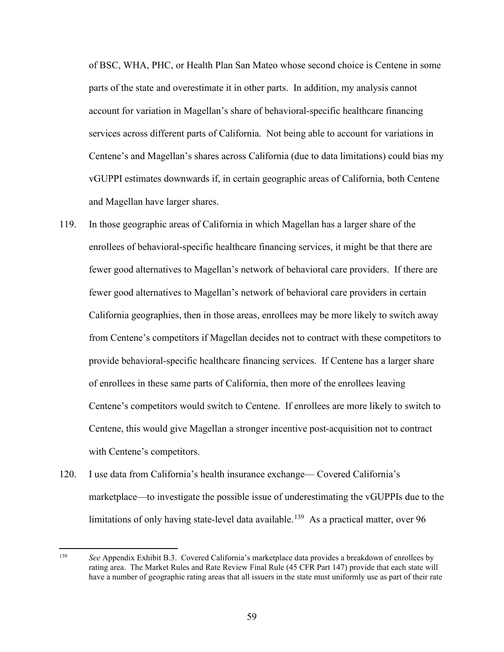and Magellan have larger shares. of BSC, WHA, PHC, or Health Plan San Mateo whose second choice is Centene in some parts of the state and overestimate it in other parts. In addition, my analysis cannot account for variation in Magellan's share of behavioral-specific healthcare financing services across different parts of California. Not being able to account for variations in Centene's and Magellan's shares across California (due to data limitations) could bias my vGUPPI estimates downwards if, in certain geographic areas of California, both Centene

- fewer good alternatives to Magellan's network of behavioral care providers in certain California geographies, then in those areas, enrollees may be more likely to switch away 119. In those geographic areas of California in which Magellan has a larger share of the enrollees of behavioral-specific healthcare financing services, it might be that there are fewer good alternatives to Magellan's network of behavioral care providers. If there are from Centene's competitors if Magellan decides not to contract with these competitors to provide behavioral-specific healthcare financing services. If Centene has a larger share of enrollees in these same parts of California, then more of the enrollees leaving Centene's competitors would switch to Centene. If enrollees are more likely to switch to Centene, this would give Magellan a stronger incentive post-acquisition not to contract with Centene's competitors.
- limitations of only having state-level data available.<sup>139</sup> As a practical matter, over 96 120. I use data from California's health insurance exchange— Covered California's marketplace—to investigate the possible issue of underestimating the vGUPPIs due to the

<span id="page-61-0"></span> 139 rating area. The Market Rules and Rate Review Final Rule (45 CFR Part 147) provide that each state will have a number of geographic rating areas that all issuers in the state must uniformly use as part of their rate *See* Appendix Exhibit B.3. Covered California's marketplace data provides a breakdown of enrollees by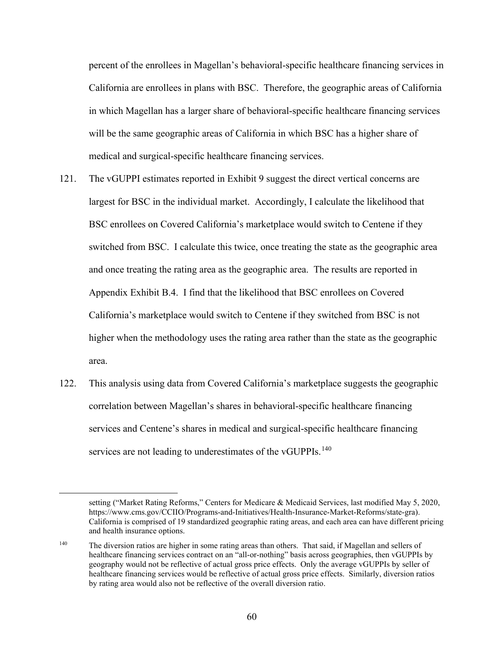will be the same geographic areas of California in which BSC has a higher share of medical and surgical-specific healthcare financing services. percent of the enrollees in Magellan's behavioral-specific healthcare financing services in California are enrollees in plans with BSC. Therefore, the geographic areas of California in which Magellan has a larger share of behavioral-specific healthcare financing services

- and once treating the rating area as the geographic area. The results are reported in 121. The vGUPPI estimates reported in Exhibit 9 suggest the direct vertical concerns are largest for BSC in the individual market. Accordingly, I calculate the likelihood that BSC enrollees on Covered California's marketplace would switch to Centene if they switched from BSC. I calculate this twice, once treating the state as the geographic area Appendix Exhibit B.4. I find that the likelihood that BSC enrollees on Covered California's marketplace would switch to Centene if they switched from BSC is not higher when the methodology uses the rating area rather than the state as the geographic area.
- 122. This analysis using data from Covered California's marketplace suggests the geographic correlation between Magellan's shares in behavioral-specific healthcare financing services and Centene's shares in medical and surgical-specific healthcare financing services are not leading to underestimates of the vGUPPIs.<sup>140</sup>

https://www.cms.gov/CCIIO/Programs-and-Initiatives/Health-Insurance-Market-Reforms/state-gra). [https://www.cms.gov/CCIIO/Programs-and-Initiatives/Health-Insurance-Market-Reforms/state-gra\)](https://www.cms.gov/CCIIO/Programs-and-Initiatives/Health-Insurance-Market-Reforms/state-gra). California is comprised of 19 standardized geographic rating areas, and each area can have different pricing setting ("Market Rating Reforms," Centers for Medicare & Medicaid Services, last modified May 5, 2020, and health insurance options.

<span id="page-62-0"></span> 140 healthcare financing services contract on an "all-or-nothing" basis across geographies, then vGUPPIs by geography would not be reflective of actual gross price effects. Only the average vGUPPIs by seller of The diversion ratios are higher in some rating areas than others. That said, if Magellan and sellers of healthcare financing services would be reflective of actual gross price effects. Similarly, diversion ratios by rating area would also not be reflective of the overall diversion ratio.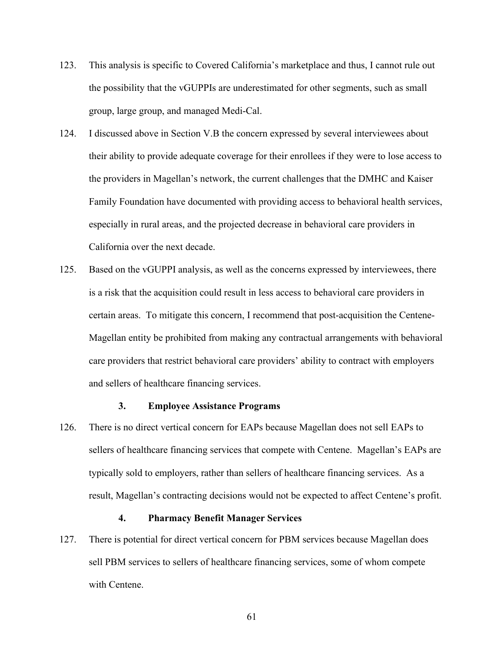- 123. This analysis is specific to Covered California's marketplace and thus, I cannot rule out the possibility that the vGUPPIs are underestimated for other segments, such as small group, large group, and managed Medi-Cal.
- 124. I discussed above in Section V.B the concern expressed by several interviewees about their ability to provide adequate coverage for their enrollees if they were to lose access to the providers in Magellan's network, the current challenges that the DMHC and Kaiser Family Foundation have documented with providing access to behavioral health services, especially in rural areas, and the projected decrease in behavioral care providers in California over the next decade.
- and sellers of healthcare financing services. 125. Based on the vGUPPI analysis, as well as the concerns expressed by interviewees, there is a risk that the acquisition could result in less access to behavioral care providers in certain areas. To mitigate this concern, I recommend that post-acquisition the Centene-Magellan entity be prohibited from making any contractual arrangements with behavioral care providers that restrict behavioral care providers' ability to contract with employers

### **3. Employee Assistance Programs**

126. There is no direct vertical concern for EAPs because Magellan does not sell EAPs to sellers of healthcare financing services that compete with Centene. Magellan's EAPs are typically sold to employers, rather than sellers of healthcare financing services. As a result, Magellan's contracting decisions would not be expected to affect Centene's profit.

### **4. Pharmacy Benefit Manager Services**

with Centene. 127. There is potential for direct vertical concern for PBM services because Magellan does sell PBM services to sellers of healthcare financing services, some of whom compete with Centene.<br>
61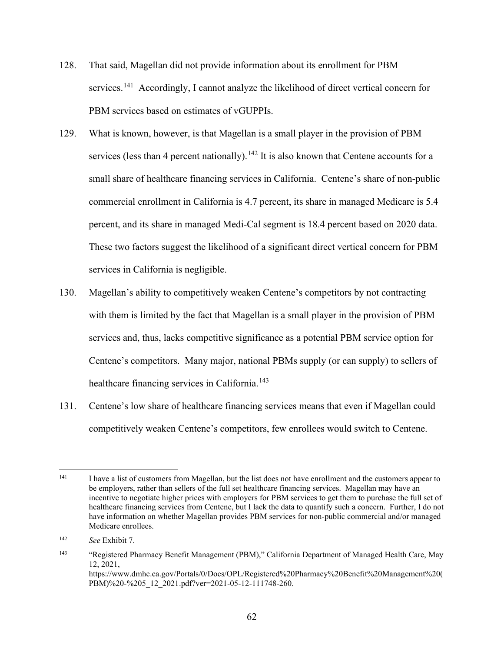- 128. That said, Magellan did not provide information about its enrollment for PBM services.<sup>[141](#page-64-0)</sup> Accordingly, I cannot analyze the likelihood of direct vertical concern for PBM services based on estimates of vGUPPIs.
- services in California is negligible. 129. What is known, however, is that Magellan is a small player in the provision of PBM services (less than 4 percent nationally).<sup>[142](#page-64-1)</sup> It is also known that Centene accounts for a small share of healthcare financing services in California. Centene's share of non-public commercial enrollment in California is 4.7 percent, its share in managed Medicare is 5.4 percent, and its share in managed Medi-Cal segment is 18.4 percent based on 2020 data. These two factors suggest the likelihood of a significant direct vertical concern for PBM
- healthcare financing services in California. [143](#page-64-2) 130. Magellan's ability to competitively weaken Centene's competitors by not contracting with them is limited by the fact that Magellan is a small player in the provision of PBM services and, thus, lacks competitive significance as a potential PBM service option for Centene's competitors. Many major, national PBMs supply (or can supply) to sellers of
- 131. Centene's low share of healthcare financing services means that even if Magellan could competitively weaken Centene's competitors, few enrollees would switch to Centene.

<span id="page-64-0"></span><sup>141</sup>  healthcare financing services from Centene, but I lack the data to quantify such a concern. Further, I do not I have a list of customers from Magellan, but the list does not have enrollment and the customers appear to be employers, rather than sellers of the full set healthcare financing services. Magellan may have an incentive to negotiate higher prices with employers for PBM services to get them to purchase the full set of have information on whether Magellan provides PBM services for non-public commercial and/or managed Medicare enrollees.

<span id="page-64-1"></span><sup>142</sup> <sup>142</sup>*See* Exhibit 7.

<span id="page-64-2"></span><sup>143</sup> 143 "Registered Pharmacy Benefit Management (PBM)," California Department of Managed Health Care, May 12, 2021, [https://www.dmhc.ca.gov/Portals/0/Docs/OPL/Registered%20Pharmacy%20Benefit%20Management%20\(](https://www.dmhc.ca.gov/Portals/0/Docs/OPL/Registered%20Pharmacy%20Benefit%20Management%20) PBM)%20-%205\_12\_2021.pdf?ver=2021-05-12-111748-260.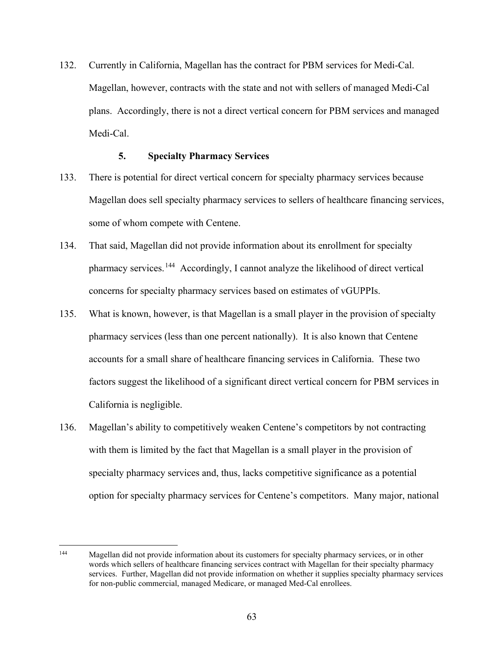132. Currently in California, Magellan has the contract for PBM services for Medi-Cal. plans. Accordingly, there is not a direct vertical concern for PBM services and managed Magellan, however, contracts with the state and not with sellers of managed Medi-Cal Medi-Cal.

# **5. Specialty Pharmacy Services**

- 133. There is potential for direct vertical concern for specialty pharmacy services because Magellan does sell specialty pharmacy services to sellers of healthcare financing services, some of whom compete with Centene.
- pharmacy services.<sup>144</sup> Accordingly, I cannot analyze the likelihood of direct vertical concerns for specialty pharmacy services based on estimates of vGUPPIs. 134. That said, Magellan did not provide information about its enrollment for specialty
- pharmacy services (less than one percent nationally). It is also known that Centene California is negligible. 135. What is known, however, is that Magellan is a small player in the provision of specialty accounts for a small share of healthcare financing services in California. These two factors suggest the likelihood of a significant direct vertical concern for PBM services in
- 136. Magellan's ability to competitively weaken Centene's competitors by not contracting with them is limited by the fact that Magellan is a small player in the provision of specialty pharmacy services and, thus, lacks competitive significance as a potential option for specialty pharmacy services for Centene's competitors. Many major, national

<span id="page-65-0"></span> 144 services. Further, Magellan did not provide information on whether it supplies specialty pharmacy services for non-public commercial, managed Medicare, or managed Med-Cal enrollees. Magellan did not provide information about its customers for specialty pharmacy services, or in other words which sellers of healthcare financing services contract with Magellan for their specialty pharmacy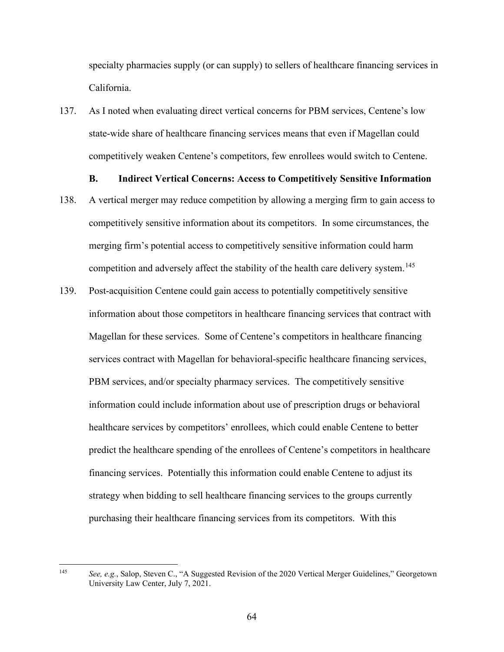specialty pharmacies supply (or can supply) to sellers of healthcare financing services in California.

137. As I noted when evaluating direct vertical concerns for PBM services, Centene's low state-wide share of healthcare financing services means that even if Magellan could competitively weaken Centene's competitors, few enrollees would switch to Centene.

# **B. Indirect Vertical Concerns: Access to Competitively Sensitive Information**

- competition and adversely affect the stability of the health care delivery system.<sup>145</sup> 138. A vertical merger may reduce competition by allowing a merging firm to gain access to competitively sensitive information about its competitors. In some circumstances, the merging firm's potential access to competitively sensitive information could harm
- financing services. Potentially this information could enable Centene to adjust its 139. Post-acquisition Centene could gain access to potentially competitively sensitive information about those competitors in healthcare financing services that contract with Magellan for these services. Some of Centene's competitors in healthcare financing services contract with Magellan for behavioral-specific healthcare financing services, PBM services, and/or specialty pharmacy services. The competitively sensitive information could include information about use of prescription drugs or behavioral healthcare services by competitors' enrollees, which could enable Centene to better predict the healthcare spending of the enrollees of Centene's competitors in healthcare strategy when bidding to sell healthcare financing services to the groups currently purchasing their healthcare financing services from its competitors. With this

<span id="page-66-0"></span> 145 *See, e.g.*, Salop, Steven C., "A Suggested Revision of the 2020 Vertical Merger Guidelines," Georgetown University Law Center, July 7, 2021.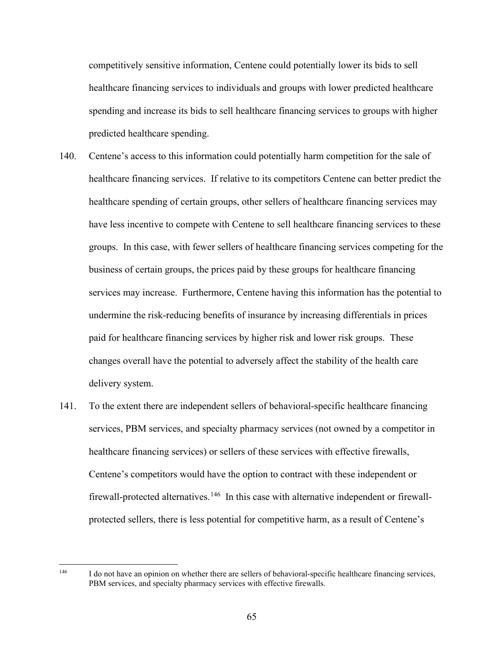competitively sensitive information, Centene could potentially lower its bids to sell healthcare financing services to individuals and groups with lower predicted healthcare spending and increase its bids to sell healthcare financing services to groups with higher predicted healthcare spending.

- healthcare financing services. If relative to its competitors Centene can better predict the 140. Centene's access to this information could potentially harm competition for the sale of healthcare spending of certain groups, other sellers of healthcare financing services may have less incentive to compete with Centene to sell healthcare financing services to these groups. In this case, with fewer sellers of healthcare financing services competing for the business of certain groups, the prices paid by these groups for healthcare financing services may increase. Furthermore, Centene having this information has the potential to undermine the risk-reducing benefits of insurance by increasing differentials in prices paid for healthcare financing services by higher risk and lower risk groups. These changes overall have the potential to adversely affect the stability of the health care delivery system.
- firewall-protected alternatives.<sup>146</sup> In this case with alternative independent or firewall- protected sellers, there is less potential for competitive harm, as a result of Centene's 141. To the extent there are independent sellers of behavioral-specific healthcare financing services, PBM services, and specialty pharmacy services (not owned by a competitor in healthcare financing services) or sellers of these services with effective firewalls, Centene's competitors would have the option to contract with these independent or

<span id="page-67-0"></span>146

I do not have an opinion on whether there are sellers of behavioral-specific healthcare financing services, PBM services, and specialty pharmacy services with effective firewalls.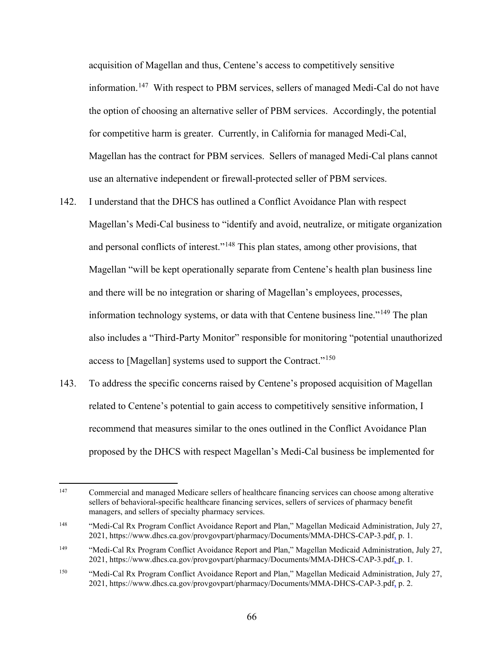information.<sup>[147](#page-68-0)</sup> With respect to PBM services, sellers of managed Medi-Cal do not have Magellan has the contract for PBM services. Sellers of managed Medi-Cal plans cannot use an alternative independent or firewall-protected seller of PBM services. acquisition of Magellan and thus, Centene's access to competitively sensitive the option of choosing an alternative seller of PBM services. Accordingly, the potential for competitive harm is greater. Currently, in California for managed Medi-Cal,

- and personal conflicts of interest."<sup>148</sup> This plan states, among other provisions, that access to [Magellan] systems used to support the Contract."<sup>150</sup> 142. I understand that the DHCS has outlined a Conflict Avoidance Plan with respect Magellan's Medi-Cal business to "identify and avoid, neutralize, or mitigate organization Magellan "will be kept operationally separate from Centene's health plan business line and there will be no integration or sharing of Magellan's employees, processes, information technology systems, or data with that Centene business line."<sup>[149](#page-68-2)</sup> The plan also includes a "Third-Party Monitor" responsible for monitoring "potential unauthorized
- related to Centene's potential to gain access to competitively sensitive information, I 143. To address the specific concerns raised by Centene's proposed acquisition of Magellan recommend that measures similar to the ones outlined in the Conflict Avoidance Plan proposed by the DHCS with respect Magellan's Medi-Cal business be implemented for

<span id="page-68-0"></span><sup>147</sup> 147 Commercial and managed Medicare sellers of healthcare financing services can choose among alterative sellers of behavioral-specific healthcare financing services, sellers of services of pharmacy benefit managers, and sellers of specialty pharmacy services.

<span id="page-68-1"></span><sup>148</sup> 2021,<https://www.dhcs.ca.gov/provgovpart/pharmacy/Documents/MMA-DHCS-CAP-3.pdf><sub>a</sub> p. 1. "Medi-Cal Rx Program Conflict Avoidance Report and Plan," Magellan Medicaid Administration, July 27,

<span id="page-68-2"></span><sup>149</sup> 149 "Medi-Cal Rx Program Conflict Avoidance Report and Plan," Magellan Medicaid Administration, July 27, 2021,<https://www.dhcs.ca.gov/provgovpart/pharmacy/Documents/MMA-DHCS-CAP-3.pdf>, p. 1.

<span id="page-68-3"></span><sup>150</sup>  2021,<https://www.dhcs.ca.gov/provgovpart/pharmacy/Documents/MMA-DHCS-CAP-3.pdf>, p. 2. 150 "Medi-Cal Rx Program Conflict Avoidance Report and Plan," Magellan Medicaid Administration, July 27,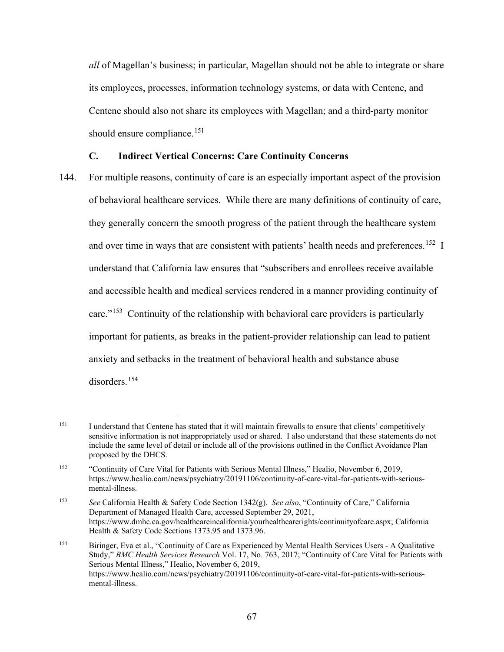*all* of Magellan's business; in particular, Magellan should not be able to integrate or share its employees, processes, information technology systems, or data with Centene, and Centene should also not share its employees with Magellan; and a third-party monitor should ensure compliance.<sup>[151](#page-69-0)</sup>

# **C. Indirect Vertical Concerns: Care Continuity Concerns**

 144. For multiple reasons, continuity of care is an especially important aspect of the provision of behavioral healthcare services. While there are many definitions of continuity of care, and over time in ways that are consistent with patients' health needs and preferences.<sup>[152](#page-69-1)</sup> I they generally concern the smooth progress of the patient through the healthcare system understand that California law ensures that "subscribers and enrollees receive available and accessible health and medical services rendered in a manner providing continuity of care."<sup>[153](#page-69-2)</sup> Continuity of the relationship with behavioral care providers is particularly important for patients, as breaks in the patient-provider relationship can lead to patient anxiety and setbacks in the treatment of behavioral health and substance abuse disorders.<sup>154</sup>

<span id="page-69-0"></span><sup>151</sup>  sensitive information is not inappropriately used or shared. I also understand that these statements do not I understand that Centene has stated that it will maintain firewalls to ensure that clients' competitively include the same level of detail or include all of the provisions outlined in the Conflict Avoidance Plan proposed by the DHCS.

<span id="page-69-1"></span><sup>152</sup> 152 "Continuity of Care Vital for Patients with Serious Mental Illness," Healio, November 6, 2019, <https://www.healio.com/news/psychiatry/20191106/continuity-of-care-vital-for-patients-with-serious>mental-illness.

<span id="page-69-2"></span><sup>153</sup> <sup>153</sup>*See* California Health & Safety Code Section 1342(g). *See also*, "Continuity of Care," California Department of Managed Health Care, accessed September 29, 2021, <https://www.dmhc.ca.gov/healthcareincalifornia/yourhealthcarerights/continuityofcare.aspx>; California Health & Safety Code Sections 1373.95 and 1373.96.

<span id="page-69-3"></span><sup>154</sup> 154 Biringer, Eva et al., "Continuity of Care as Experienced by Mental Health Services Users - A Qualitative Study," *BMC Health Services Research* Vol. 17, No. 763, 2017; "Continuity of Care Vital for Patients with Serious Mental Illness," Healio, November 6, 2019, <https://www.healio.com/news/psychiatry/20191106/continuity-of-care-vital-for-patients-with-serious>mental-illness.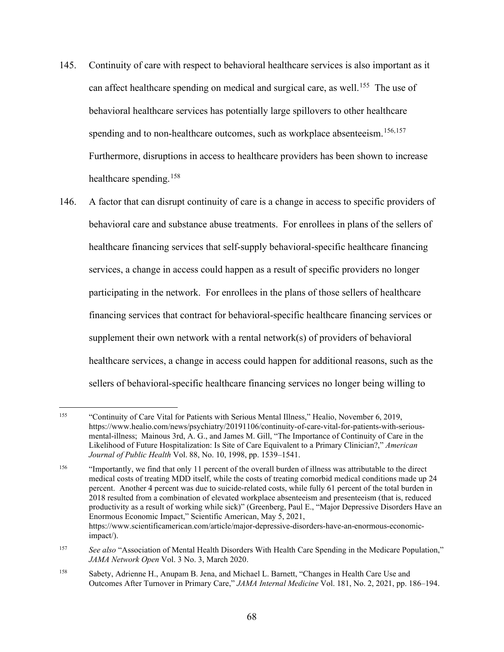- can affect healthcare spending on medical and surgical care, as well.<sup>[155](#page-70-0)</sup> The use of spending and to non-healthcare outcomes, such as workplace absenteeism.<sup>[156,](#page-70-1)[157](#page-70-2)</sup> 145. Continuity of care with respect to behavioral healthcare services is also important as it behavioral healthcare services has potentially large spillovers to other healthcare Furthermore, disruptions in access to healthcare providers has been shown to increase healthcare spending. [158](#page-70-3)
- behavioral care and substance abuse treatments. For enrollees in plans of the sellers of services, a change in access could happen as a result of specific providers no longer 146. A factor that can disrupt continuity of care is a change in access to specific providers of healthcare financing services that self-supply behavioral-specific healthcare financing participating in the network. For enrollees in the plans of those sellers of healthcare financing services that contract for behavioral-specific healthcare financing services or supplement their own network with a rental network(s) of providers of behavioral healthcare services, a change in access could happen for additional reasons, such as the sellers of behavioral-specific healthcare financing services no longer being willing to

<span id="page-70-0"></span><sup>155</sup>  *Journal of Public Health* Vol. 88, No. 10, 1998, pp. 1539–1541. 155 "Continuity of Care Vital for Patients with Serious Mental Illness," Healio, November 6, 2019, <https://www.healio.com/news/psychiatry/20191106/continuity-of-care-vital-for-patients-with-serious>mental-illness; Mainous 3rd, A. G., and James M. Gill, "The Importance of Continuity of Care in the Likelihood of Future Hospitalization: Is Site of Care Equivalent to a Primary Clinician?," *American* 

<span id="page-70-1"></span><sup>156</sup>  Enormous Economic Impact," Scientific American, May 5, 2021, 156 "Importantly, we find that only 11 percent of the overall burden of illness was attributable to the direct medical costs of treating MDD itself, while the costs of treating comorbid medical conditions made up 24 percent. Another 4 percent was due to suicide-related costs, while fully 61 percent of the total burden in 2018 resulted from a combination of elevated workplace absenteeism and presenteeism (that is, reduced productivity as a result of working while sick)" (Greenberg, Paul E., "Major Depressive Disorders Have an <https://www.scientificamerican.com/article/major-depressive-disorders-have-an-enormous-economic>impact/).

<span id="page-70-2"></span><sup>157</sup> See also "Association of Mental Health Disorders With Health Care Spending in the Medicare Population," *JAMA Network Open* Vol. 3 No. 3, March 2020.

<span id="page-70-3"></span><sup>158</sup> 158 Sabety, Adrienne H., Anupam B. Jena, and Michael L. Barnett, "Changes in Health Care Use and Outcomes After Turnover in Primary Care," *JAMA Internal Medicine* Vol. 181, No. 2, 2021, pp. 186–194.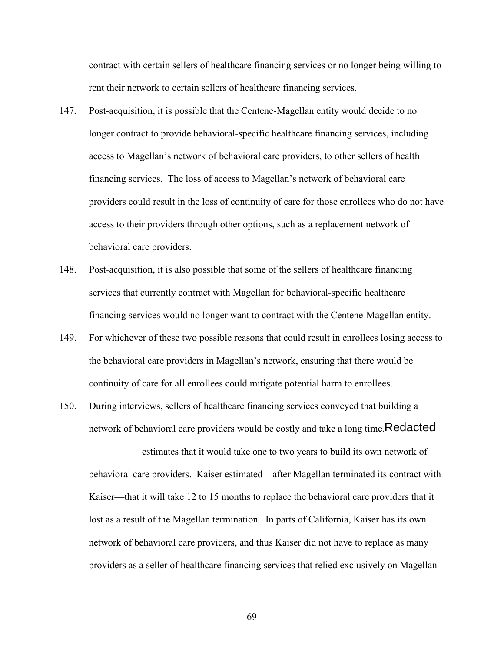contract with certain sellers of healthcare financing services or no longer being willing to rent their network to certain sellers of healthcare financing services.

- financing services. The loss of access to Magellan's network of behavioral care 147. Post-acquisition, it is possible that the Centene-Magellan entity would decide to no longer contract to provide behavioral-specific healthcare financing services, including access to Magellan's network of behavioral care providers, to other sellers of health providers could result in the loss of continuity of care for those enrollees who do not have access to their providers through other options, such as a replacement network of behavioral care providers.
- 148. Post-acquisition, it is also possible that some of the sellers of healthcare financing services that currently contract with Magellan for behavioral-specific healthcare financing services would no longer want to contract with the Centene-Magellan entity.
- 149. For whichever of these two possible reasons that could result in enrollees losing access to the behavioral care providers in Magellan's network, ensuring that there would be continuity of care for all enrollees could mitigate potential harm to enrollees.
- 150. During interviews, sellers of healthcare financing services conveyed that building a network of behavioral care providers would be costly and take a long time. $\mathsf{Redacted}$

 Kaiser—that it will take 12 to 15 months to replace the behavioral care providers that it estimates that it would take one to two years to build its own network of behavioral care providers. Kaiser estimated—after Magellan terminated its contract with lost as a result of the Magellan termination. In parts of California, Kaiser has its own network of behavioral care providers, and thus Kaiser did not have to replace as many providers as a seller of healthcare financing services that relied exclusively on Magellan

69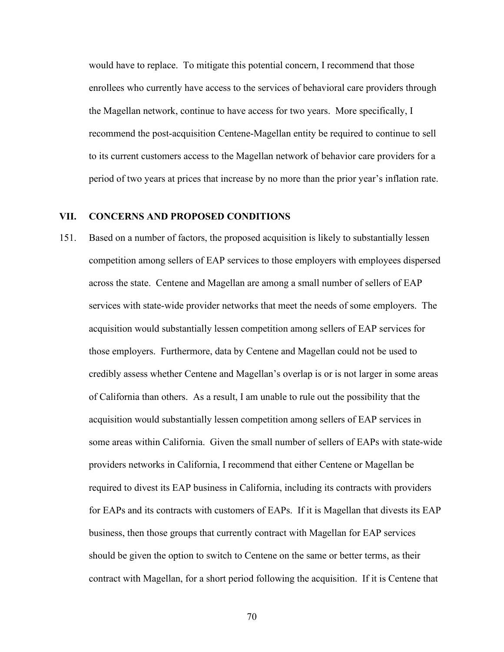would have to replace. To mitigate this potential concern, I recommend that those enrollees who currently have access to the services of behavioral care providers through the Magellan network, continue to have access for two years. More specifically, I recommend the post-acquisition Centene-Magellan entity be required to continue to sell to its current customers access to the Magellan network of behavior care providers for a period of two years at prices that increase by no more than the prior year's inflation rate.

### **VII. CONCERNS AND PROPOSED CONDITIONS**

 credibly assess whether Centene and Magellan's overlap is or is not larger in some areas some areas within California. Given the small number of sellers of EAPs with state-wide 151. Based on a number of factors, the proposed acquisition is likely to substantially lessen competition among sellers of EAP services to those employers with employees dispersed across the state. Centene and Magellan are among a small number of sellers of EAP services with state-wide provider networks that meet the needs of some employers. The acquisition would substantially lessen competition among sellers of EAP services for those employers. Furthermore, data by Centene and Magellan could not be used to of California than others. As a result, I am unable to rule out the possibility that the acquisition would substantially lessen competition among sellers of EAP services in providers networks in California, I recommend that either Centene or Magellan be required to divest its EAP business in California, including its contracts with providers for EAPs and its contracts with customers of EAPs. If it is Magellan that divests its EAP business, then those groups that currently contract with Magellan for EAP services should be given the option to switch to Centene on the same or better terms, as their contract with Magellan, for a short period following the acquisition. If it is Centene that

70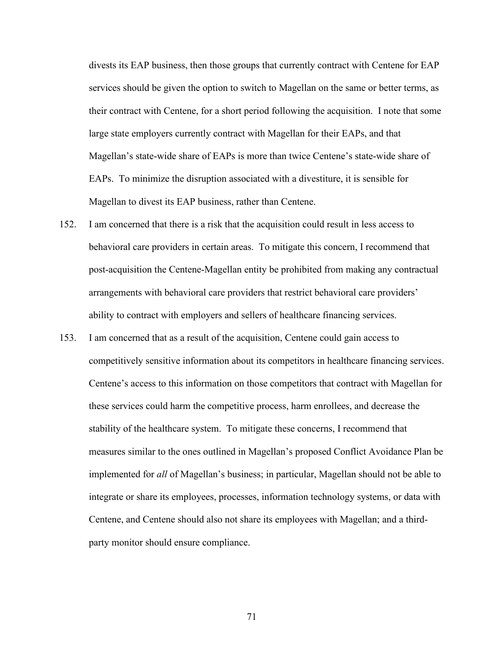their contract with Centene, for a short period following the acquisition. I note that some divests its EAP business, then those groups that currently contract with Centene for EAP services should be given the option to switch to Magellan on the same or better terms, as large state employers currently contract with Magellan for their EAPs, and that Magellan's state-wide share of EAPs is more than twice Centene's state-wide share of EAPs. To minimize the disruption associated with a divestiture, it is sensible for Magellan to divest its EAP business, rather than Centene.

- behavioral care providers in certain areas. To mitigate this concern, I recommend that ability to contract with employers and sellers of healthcare financing services. 152. I am concerned that there is a risk that the acquisition could result in less access to post-acquisition the Centene-Magellan entity be prohibited from making any contractual arrangements with behavioral care providers that restrict behavioral care providers'
- competitively sensitive information about its competitors in healthcare financing services. Centene's access to this information on those competitors that contract with Magellan for integrate or share its employees, processes, information technology systems, or data with 153. I am concerned that as a result of the acquisition, Centene could gain access to these services could harm the competitive process, harm enrollees, and decrease the stability of the healthcare system. To mitigate these concerns, I recommend that measures similar to the ones outlined in Magellan's proposed Conflict Avoidance Plan be implemented for *all* of Magellan's business; in particular, Magellan should not be able to Centene, and Centene should also not share its employees with Magellan; and a thirdparty monitor should ensure compliance.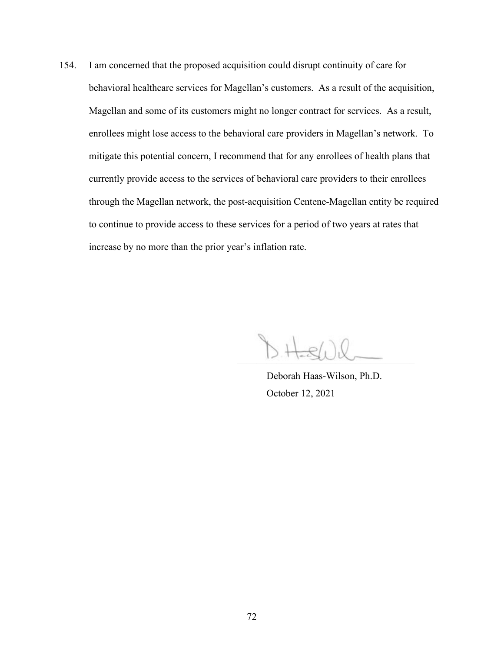enrollees might lose access to the behavioral care providers in Magellan's network. To mitigate this potential concern, I recommend that for any enrollees of health plans that to continue to provide access to these services for a period of two years at rates that 154. I am concerned that the proposed acquisition could disrupt continuity of care for behavioral healthcare services for Magellan's customers. As a result of the acquisition, Magellan and some of its customers might no longer contract for services. As a result, currently provide access to the services of behavioral care providers to their enrollees through the Magellan network, the post-acquisition Centene-Magellan entity be required increase by no more than the prior year's inflation rate.

 $\sim$ 

Deborah Haas-Wilson, Ph.D. October 12, 2021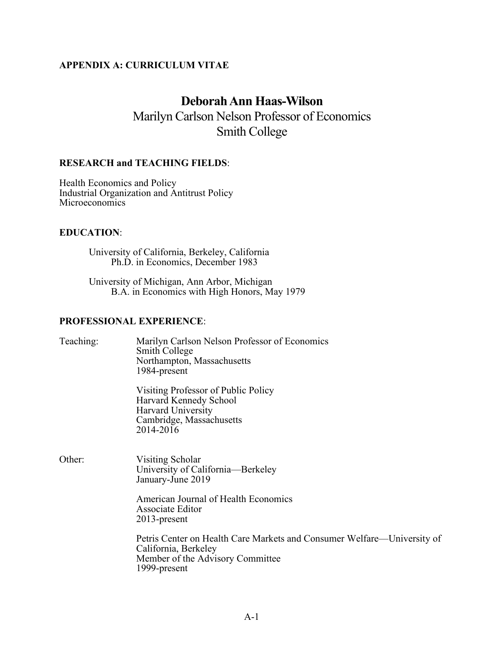## **APPENDIX A: CURRICULUM VITAE**

# **Deborah Ann Haas-Wilson**

Marilyn Carlson Nelson Professor of Economics Smith College

### **RESEARCH and TEACHING FIELDS**:

Health Economics and Policy Industrial Organization and Antitrust Policy Microeconomics

### **EDUCATION**:

University of California, Berkeley, California Ph.D. in Economics, December 1983

University of Michigan, Ann Arbor, Michigan B.A. in Economics with High Honors, May 1979

### **PROFESSIONAL EXPERIENCE**:

| Teaching: | Marilyn Carlson Nelson Professor of Economics<br>Smith College<br>Northampton, Massachusetts<br>1984-present                                        |
|-----------|-----------------------------------------------------------------------------------------------------------------------------------------------------|
|           | Visiting Professor of Public Policy<br>Harvard Kennedy School<br>Harvard University<br>Cambridge, Massachusetts<br>2014-2016                        |
| Other:    | Visiting Scholar<br>University of California—Berkeley<br>January-June 2019                                                                          |
|           | American Journal of Health Economics<br>Associate Editor<br>$2013$ -present                                                                         |
|           | Petris Center on Health Care Markets and Consumer Welfare—University of<br>California, Berkeley<br>Member of the Advisory Committee<br>1999-present |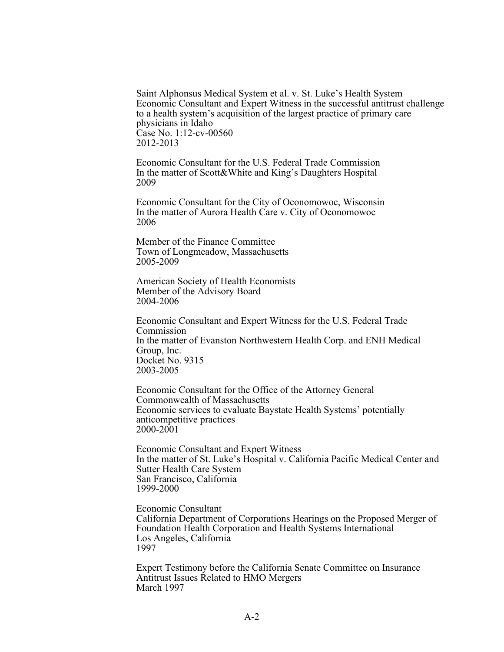Saint Alphonsus Medical System et al. v. St. Luke's Health System Economic Consultant and Expert Witness in the successful antitrust challenge to a health system's acquisition of the largest practice of primary care physicians in Idaho Case No. 1:12-cv-00560 2012-2013

Economic Consultant for the U.S. Federal Trade Commission In the matter of Scott&White and King's Daughters Hospital 2009

Economic Consultant for the City of Oconomowoc, Wisconsin In the matter of Aurora Health Care v. City of Oconomowoc 2006

 Member of the Finance Committee Town of Longmeadow, Massachusetts 2005-2009

American Society of Health Economists Member of the Advisory Board 2004-2006

Economic Consultant and Expert Witness for the U.S. Federal Trade Commission In the matter of Evanston Northwestern Health Corp. and ENH Medical Group, Inc. Docket No. 9315 2003-2005

 anticompetitive practices Economic Consultant for the Office of the Attorney General Commonwealth of Massachusetts Economic services to evaluate Baystate Health Systems' potentially 2000-2001

 In the matter of St. Luke's Hospital v. California Pacific Medical Center and Economic Consultant and Expert Witness Sutter Health Care System San Francisco, California 1999-2000

Economic Consultant California Department of Corporations Hearings on the Proposed Merger of Foundation Health Corporation and Health Systems International Los Angeles, California 1997

Expert Testimony before the California Senate Committee on Insurance Antitrust Issues Related to HMO Mergers March 1997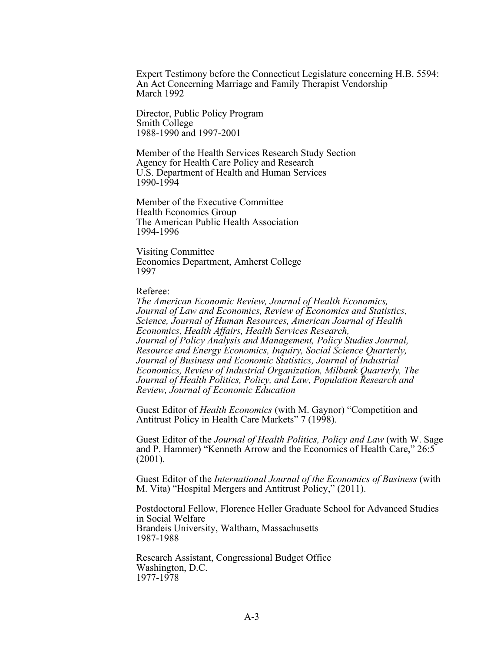Expert Testimony before the Connecticut Legislature concerning H.B. 5594: An Act Concerning Marriage and Family Therapist Vendorship March 1992

Director, Public Policy Program Smith College 1988-1990 and 1997-2001

Member of the Health Services Research Study Section Agency for Health Care Policy and Research U.S. Department of Health and Human Services 1990-1994

 Health Economics Group Member of the Executive Committee The American Public Health Association 1994-1996

Visiting Committee Economics Department, Amherst College 1997

#### Referee:

 *Resource and Energy Economics, Inquiry, Social Science Quarterly, Review, Journal of Economic Education The American Economic Review, Journal of Health Economics, Journal of Law and Economics, Review of Economics and Statistics, Science, Journal of Human Resources, American Journal of Health Economics, Health Affairs, Health Services Research, Journal of Policy Analysis and Management, Policy Studies Journal, Journal of Business and Economic Statistics, Journal of Industrial Economics, Review of Industrial Organization, Milbank Quarterly, The Journal of Health Politics, Policy, and Law, Population Research and* 

Guest Editor of *Health Economics* (with M. Gaynor) "Competition and Antitrust Policy in Health Care Markets" 7 (1998).

Guest Editor of the *Journal of Health Politics, Policy and Law* (with W. Sage and P. Hammer) "Kenneth Arrow and the Economics of Health Care," 26:5 (2001).

Guest Editor of the *International Journal of the Economics of Business* (with M. Vita) "Hospital Mergers and Antitrust Policy," (2011).

Postdoctoral Fellow, Florence Heller Graduate School for Advanced Studies in Social Welfare Brandeis University, Waltham, Massachusetts 1987-1988

Research Assistant, Congressional Budget Office Washington, D.C. 1977-1978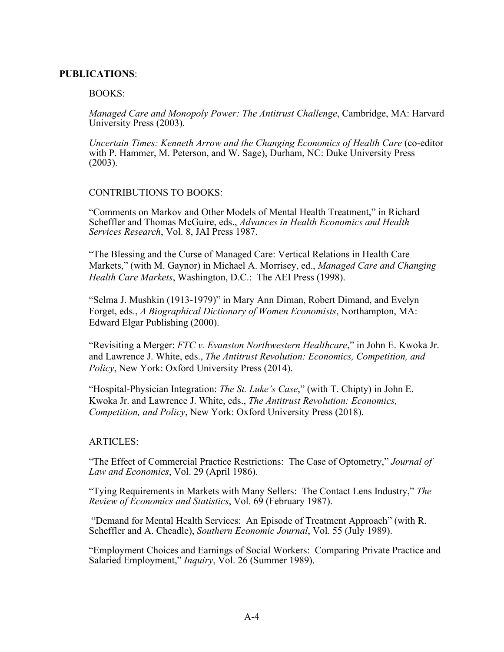### **PUBLICATIONS**:

### BOOKS:

*Managed Care and Monopoly Power: The Antitrust Challenge*, Cambridge, MA: Harvard University Press (2003).

 *Uncertain Times: Kenneth Arrow and the Changing Economics of Health Care* (co-editor with P. Hammer, M. Peterson, and W. Sage), Durham, NC: Duke University Press (2003).

### CONTRIBUTIONS TO BOOKS:

"Comments on Markov and Other Models of Mental Health Treatment," in Richard Scheffler and Thomas McGuire, eds., *Advances in Health Economics and Health Services Research*, Vol. 8, JAI Press 1987.

"The Blessing and the Curse of Managed Care: Vertical Relations in Health Care Markets," (with M. Gaynor) in Michael A. Morrisey, ed., *Managed Care and Changing Health Care Markets*, Washington, D.C.: The AEI Press (1998).

"Selma J. Mushkin (1913-1979)" in Mary Ann Diman, Robert Dimand, and Evelyn Forget, eds., *A Biographical Dictionary of Women Economists*, Northampton, MA: Edward Elgar Publishing (2000).

"Revisiting a Merger: *FTC v. Evanston Northwestern Healthcare*," in John E. Kwoka Jr. and Lawrence J. White, eds., *The Antitrust Revolution: Economics, Competition, and Policy*, New York: Oxford University Press (2014).

"Hospital-Physician Integration: *The St. Luke's Case*," (with T. Chipty) in John E. Kwoka Jr. and Lawrence J. White, eds., *The Antitrust Revolution: Economics, Competition, and Policy*, New York: Oxford University Press (2018).

### ARTICLES:

"The Effect of Commercial Practice Restrictions: The Case of Optometry," *Journal of Law and Economics*, Vol. 29 (April 1986).

 "Tying Requirements in Markets with Many Sellers: The Contact Lens Industry," *The Review of Economics and Statistics*, Vol. 69 (February 1987).

"Demand for Mental Health Services: An Episode of Treatment Approach" (with R. Scheffler and A. Cheadle), *Southern Economic Journal*, Vol. 55 (July 1989).

"Employment Choices and Earnings of Social Workers: Comparing Private Practice and Salaried Employment," *Inquiry*, Vol. 26 (Summer 1989).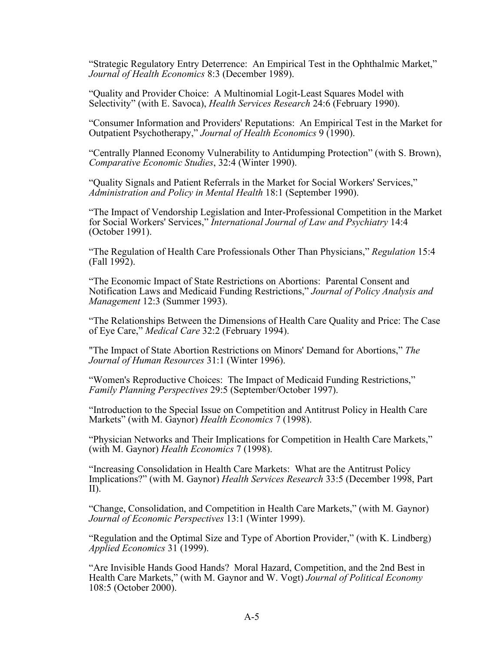"Strategic Regulatory Entry Deterrence: An Empirical Test in the Ophthalmic Market," *Journal of Health Economics* 8:3 (December 1989).

"Quality and Provider Choice: A Multinomial Logit-Least Squares Model with Selectivity" (with E. Savoca), *Health Services Research* 24:6 (February 1990).

"Consumer Information and Providers' Reputations: An Empirical Test in the Market for Outpatient Psychotherapy," *Journal of Health Economics* 9 (1990).

"Centrally Planned Economy Vulnerability to Antidumping Protection" (with S. Brown), *Comparative Economic Studies*, 32:4 (Winter 1990).

"Quality Signals and Patient Referrals in the Market for Social Workers' Services," *Administration and Policy in Mental Health* 18:1 (September 1990).

"The Impact of Vendorship Legislation and Inter-Professional Competition in the Market for Social Workers' Services," *International Journal of Law and Psychiatry* 14:4 (October 1991).

"The Regulation of Health Care Professionals Other Than Physicians," *Regulation* 15:4 (Fall 1992).

"The Economic Impact of State Restrictions on Abortions: Parental Consent and Notification Laws and Medicaid Funding Restrictions," *Journal of Policy Analysis and Management* 12:3 (Summer 1993).

"The Relationships Between the Dimensions of Health Care Quality and Price: The Case of Eye Care," *Medical Care* 32:2 (February 1994).

"The Impact of State Abortion Restrictions on Minors' Demand for Abortions," *The Journal of Human Resources* 31:1 (Winter 1996).

 "Women's Reproductive Choices: The Impact of Medicaid Funding Restrictions," *Family Planning Perspectives* 29:5 (September/October 1997).

"Introduction to the Special Issue on Competition and Antitrust Policy in Health Care Markets" (with M. Gaynor) *Health Economics* 7 (1998).

 "Physician Networks and Their Implications for Competition in Health Care Markets," (with M. Gaynor) *Health Economics* 7 (1998).

"Increasing Consolidation in Health Care Markets: What are the Antitrust Policy Implications?" (with M. Gaynor) *Health Services Research* 33:5 (December 1998, Part II).

"Change, Consolidation, and Competition in Health Care Markets," (with M. Gaynor) *Journal of Economic Perspectives* 13:1 (Winter 1999).

"Regulation and the Optimal Size and Type of Abortion Provider," (with K. Lindberg) *Applied Economics* 31 (1999).

"Are Invisible Hands Good Hands? Moral Hazard, Competition, and the 2nd Best in Health Care Markets," (with M. Gaynor and W. Vogt) *Journal of Political Economy*  108:5 (October 2000).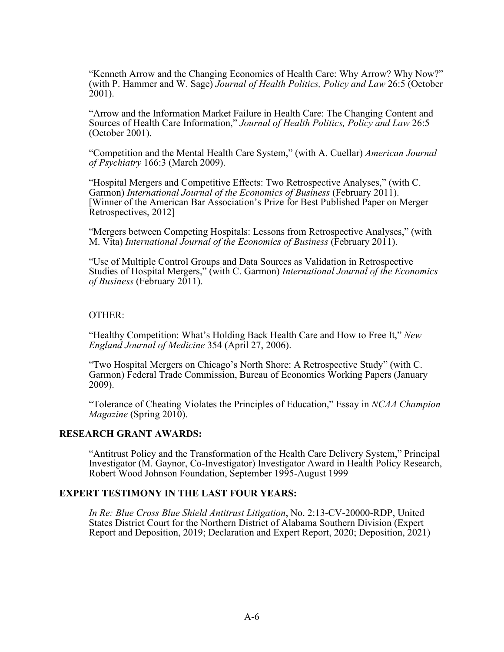"Kenneth Arrow and the Changing Economics of Health Care: Why Arrow? Why Now?" (with P. Hammer and W. Sage) *Journal of Health Politics, Policy and Law* 26:5 (October 2001).

 "Arrow and the Information Market Failure in Health Care: The Changing Content and Sources of Health Care Information," *Journal of Health Politics, Policy and Law* 26:5 (October 2001).

"Competition and the Mental Health Care System," (with A. Cuellar) *American Journal of Psychiatry* 166:3 (March 2009).

 [Winner of the American Bar Association's Prize for Best Published Paper on Merger "Hospital Mergers and Competitive Effects: Two Retrospective Analyses," (with C. Garmon) *International Journal of the Economics of Business* (February 2011). Retrospectives, 2012]

"Mergers between Competing Hospitals: Lessons from Retrospective Analyses," (with M. Vita) *International Journal of the Economics of Business* (February 2011).

"Use of Multiple Control Groups and Data Sources as Validation in Retrospective Studies of Hospital Mergers," (with C. Garmon) *International Journal of the Economics of Business* (February 2011).

#### OTHER:

 "Healthy Competition: What's Holding Back Health Care and How to Free It," *New England Journal of Medicine* 354 (April 27, 2006).

"Two Hospital Mergers on Chicago's North Shore: A Retrospective Study" (with C. Garmon) Federal Trade Commission, Bureau of Economics Working Papers (January 2009).

"Tolerance of Cheating Violates the Principles of Education," Essay in *NCAA Champion Magazine* (Spring 2010).

### **RESEARCH GRANT AWARDS:**

"Antitrust Policy and the Transformation of the Health Care Delivery System," Principal Investigator (M. Gaynor, Co-Investigator) Investigator Award in Health Policy Research, Robert Wood Johnson Foundation, September 1995-August 1999

#### **EXPERT TESTIMONY IN THE LAST FOUR YEARS:**

 States District Court for the Northern District of Alabama Southern Division (Expert *In Re: Blue Cross Blue Shield Antitrust Litigation*, No. 2:13-CV-20000-RDP, United Report and Deposition, 2019; Declaration and Expert Report, 2020; Deposition, 2021)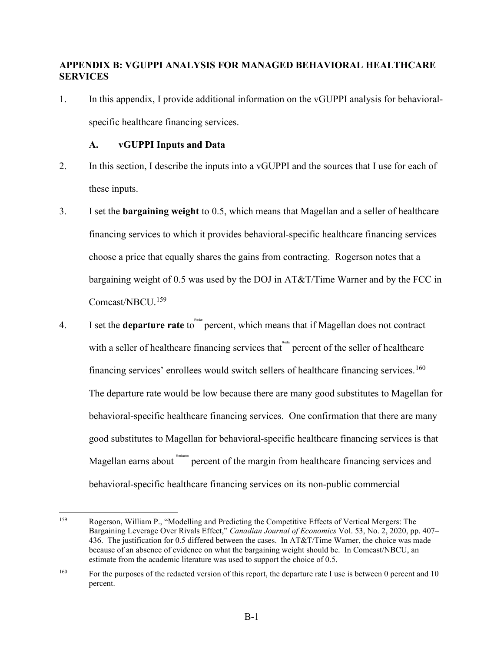## **APPENDIX B: VGUPPI ANALYSIS FOR MANAGED BEHAVIORAL HEALTHCARE SERVICES**

1. In this appendix, I provide additional information on the vGUPPI analysis for behavioralspecific healthcare financing services.

## **A. vGUPPI Inputs and Data**

- 2. In this section, I describe the inputs into a vGUPPI and the sources that I use for each of these inputs.
- Comcast/NBCU.<sup>[159](#page-81-0)</sup> 3. I set the **bargaining weight** to 0.5, which means that Magellan and a seller of healthcare financing services to which it provides behavioral-specific healthcare financing services choose a price that equally shares the gains from contracting. Rogerson notes that a bargaining weight of 0.5 was used by the DOJ in AT&T/Time Warner and by the FCC in
- financing services' enrollees would switch sellers of healthcare financing services.<sup>[160](#page-81-1)</sup> Magellan earns about Redactes percent of the margin from healthcare financing services and 4. I set the **departure rate** to the percent, which means that if Magellan does not contract with a seller of healthcare financing services that  $\mathbb{R}^{\text{real}}$  percent of the seller of healthcare The departure rate would be low because there are many good substitutes to Magellan for behavioral-specific healthcare financing services. One confirmation that there are many good substitutes to Magellan for behavioral-specific healthcare financing services is that behavioral-specific healthcare financing services on its non-public commercial

<span id="page-81-0"></span> Bargaining Leverage Over Rivals Effect," *Canadian Journal of Economics* Vol. 53, No. 2, 2020, pp. 407– 436. The justification for 0.5 differed between the cases. In AT&T/Time Warner, the choice was made because of an absence of evidence on what the bargaining weight should be. In Comcast/NBCU, an 159 Rogerson, William P., "Modelling and Predicting the Competitive Effects of Vertical Mergers: The estimate from the academic literature was used to support the choice of 0.5.

<span id="page-81-1"></span><sup>160</sup> For the purposes of the redacted version of this report, the departure rate I use is between 0 percent and 10 percent.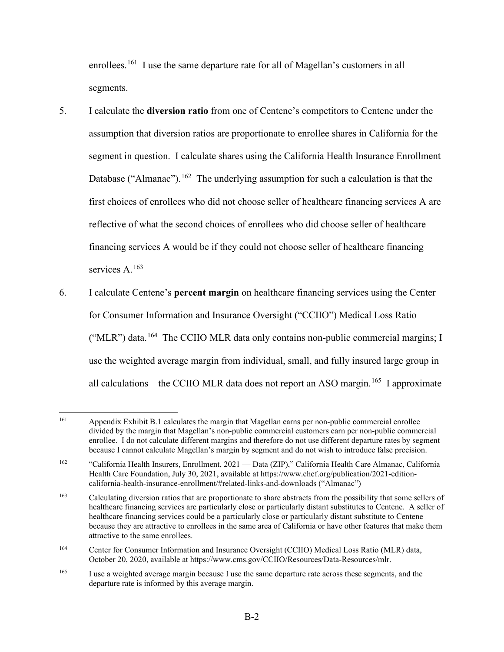enrollees.<sup>[161](#page-82-0)</sup> I use the same departure rate for all of Magellan's customers in all segments.

- first choices of enrollees who did not choose seller of healthcare financing services A are 5. I calculate the **diversion ratio** from one of Centene's competitors to Centene under the assumption that diversion ratios are proportionate to enrollee shares in California for the segment in question. I calculate shares using the California Health Insurance Enrollment Database ("Almanac").<sup>162</sup> The underlying assumption for such a calculation is that the reflective of what the second choices of enrollees who did choose seller of healthcare financing services A would be if they could not choose seller of healthcare financing services A.<sup>[163](#page-82-2)</sup>
- all calculations—the CCIIO MLR data does not report an ASO margin.<sup>165</sup> I approximate 6. I calculate Centene's **percent margin** on healthcare financing services using the Center for Consumer Information and Insurance Oversight ("CCIIO") Medical Loss Ratio ("MLR") data.<sup>[164](#page-82-3)</sup> The CCIIO MLR data only contains non-public commercial margins; I use the weighted average margin from individual, small, and fully insured large group in

<span id="page-82-0"></span><sup>161</sup> Appendix Exhibit B.1 calculates the margin that Magellan earns per non-public commercial enrollee divided by the margin that Magellan's non-public commercial customers earn per non-public commercial enrollee. I do not calculate different margins and therefore do not use different departure rates by segment because I cannot calculate Magellan's margin by segment and do not wish to introduce false precision.

<span id="page-82-1"></span><sup>162</sup> 162 "California Health Insurers, Enrollment, 2021 — Data (ZIP)," California Health Care Almanac, California Health Care Foundation, July 30, 2021, available at <https://www.chcf.org/publication/2021-edition>california-health-insurance-enrollment/#related-links-and-downloads ("Almanac")

<span id="page-82-2"></span><sup>163</sup> 163 Calculating diversion ratios that are proportionate to share abstracts from the possibility that some sellers of healthcare financing services are particularly close or particularly distant substitutes to Centene. A seller of healthcare financing services could be a particularly close or particularly distant substitute to Centene because they are attractive to enrollees in the same area of California or have other features that make them attractive to the same enrollees.

<span id="page-82-3"></span><sup>164</sup> 164 Center for Consumer Information and Insurance Oversight (CCIIO) Medical Loss Ratio (MLR) data, October 20, 2020, available at<https://www.cms.gov/CCIIO/Resources/Data-Resources/mlr>.

<span id="page-82-4"></span><sup>165</sup> I use a weighted average margin because I use the same departure rate across these segments, and the departure rate is informed by this average margin.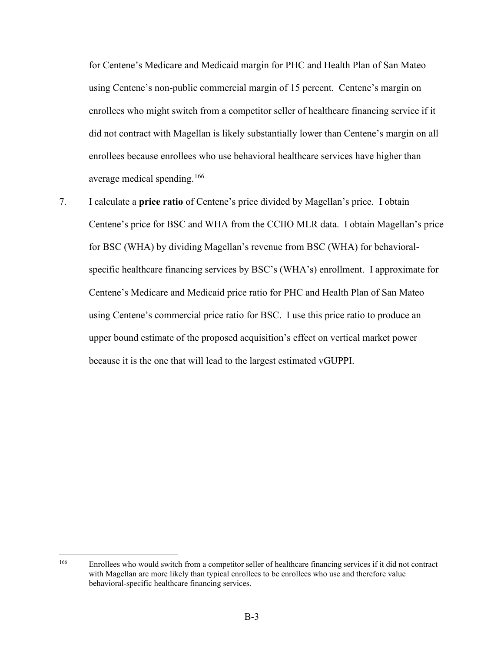for Centene's Medicare and Medicaid margin for PHC and Health Plan of San Mateo enrollees who might switch from a competitor seller of healthcare financing service if it using Centene's non-public commercial margin of 15 percent. Centene's margin on did not contract with Magellan is likely substantially lower than Centene's margin on all enrollees because enrollees who use behavioral healthcare services have higher than average medical spending.[166](#page-83-0)

 Centene's Medicare and Medicaid price ratio for PHC and Health Plan of San Mateo 7. I calculate a **price ratio** of Centene's price divided by Magellan's price. I obtain Centene's price for BSC and WHA from the CCIIO MLR data. I obtain Magellan's price for BSC (WHA) by dividing Magellan's revenue from BSC (WHA) for behavioralspecific healthcare financing services by BSC's (WHA's) enrollment. I approximate for using Centene's commercial price ratio for BSC. I use this price ratio to produce an upper bound estimate of the proposed acquisition's effect on vertical market power because it is the one that will lead to the largest estimated vGUPPI.

<span id="page-83-0"></span> 166 Enrollees who would switch from a competitor seller of healthcare financing services if it did not contract with Magellan are more likely than typical enrollees to be enrollees who use and therefore value behavioral-specific healthcare financing services.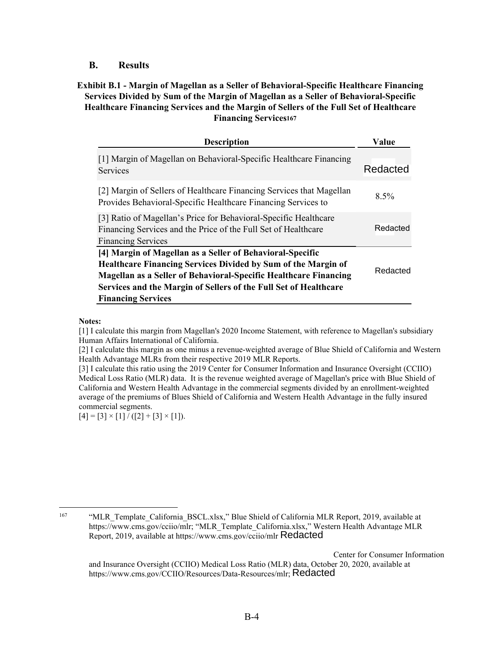### **B. Results**

**Exhibit B.1 - Margin of Magellan as a Seller of Behavioral-Specific Healthcare Financing Services Divided by Sum of the Margin of Magellan as a Seller of Behavioral-Specific Healthcare Financing Services and the Margin of Sellers of the Full Set of Healthcare Financing Services[167](#page-84-0)**

| <b>Description</b>                                                                                                                                                                                                                                                                                            | Value    |
|---------------------------------------------------------------------------------------------------------------------------------------------------------------------------------------------------------------------------------------------------------------------------------------------------------------|----------|
| [1] Margin of Magellan on Behavioral-Specific Healthcare Financing<br>Services                                                                                                                                                                                                                                | Redacted |
| [2] Margin of Sellers of Healthcare Financing Services that Magellan<br>Provides Behavioral-Specific Healthcare Financing Services to                                                                                                                                                                         | $8.5\%$  |
| [3] Ratio of Magellan's Price for Behavioral-Specific Healthcare<br>Financing Services and the Price of the Full Set of Healthcare<br><b>Financing Services</b>                                                                                                                                               | Redacted |
| [4] Margin of Magellan as a Seller of Behavioral-Specific<br><b>Healthcare Financing Services Divided by Sum of the Margin of</b><br><b>Magellan as a Seller of Behavioral-Specific Healthcare Financing</b><br>Services and the Margin of Sellers of the Full Set of Healthcare<br><b>Financing Services</b> | Redacted |

#### **Notes:**

[1] I calculate this margin from Magellan's 2020 Income Statement, with reference to Magellan's subsidiary Human Affairs International of California.

[2] I calculate this margin as one minus a revenue-weighted average of Blue Shield of California and Western Health Advantage MLRs from their respective 2019 MLR Reports.

 Medical Loss Ratio (MLR) data. It is the revenue weighted average of Magellan's price with Blue Shield of California and Western Health Advantage in the commercial segments divided by an enrollment-weighted [3] I calculate this ratio using the 2019 Center for Consumer Information and Insurance Oversight (CCIIO) average of the premiums of Blues Shield of California and Western Health Advantage in the fully insured commercial segments.

 $[4] = [3] \times [1] / ([2] + [3] \times [1]).$ 

<span id="page-84-0"></span><sup>167</sup> 

<sup>&</sup>quot;MLR\_Template\_California\_BSCL.xlsx," Blue Shield of California MLR Report, 2019, available at https://www.cms.gov/cciio/mlr; "MLR\_Template\_California.xlsx," Western Health Advantage MLR Report, 2019, available at https://www.cms.gov/cciio/mlr Redacted

and Insurance Oversight (CCIIO) Medical Loss Ratio (MLR) data, October 20, 2020, available at Center for Consumer Information https://www.cms.gov/CCIIO/Resources/Data-Resources/mlr; Redacted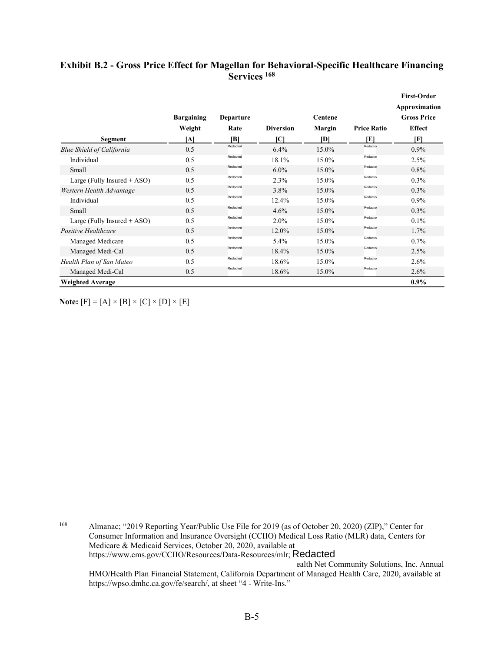## **Exhibit B.2 - Gross Price Effect for Magellan for Behavioral-Specific Healthcare Financing Services [168](#page-85-0)**

|                                  |                   |                  |                  |         |                    | <b>First-Order</b> |
|----------------------------------|-------------------|------------------|------------------|---------|--------------------|--------------------|
|                                  |                   |                  |                  |         |                    | Approximation      |
|                                  | <b>Bargaining</b> | <b>Departure</b> |                  | Centene |                    | <b>Gross Price</b> |
|                                  | Weight            | Rate             | <b>Diversion</b> | Margin  | <b>Price Ratio</b> | <b>Effect</b>      |
| Segment                          | [A]               | [B]              | ſСl              | [D]     | [E]                | [F]                |
| <b>Blue Shield of California</b> | 0.5               | Redacted         | 6.4%             | 15.0%   | Redacte            | 0.9%               |
| Individual                       | 0.5               | Redacted         | 18.1%            | 15.0%   | Redacter           | 2.5%               |
| Small                            | 0.5               | Redacted         | $6.0\%$          | 15.0%   | Redacte            | $0.8\%$            |
| Large (Fully Insured $+$ ASO)    | 0.5               | Redacted         | 2.3%             | 15.0%   | Redacter           | 0.3%               |
| Western Health Advantage         | 0.5               | Redacted         | 3.8%             | 15.0%   | Redacter           | 0.3%               |
| Individual                       | 0.5               | Redacted         | 12.4%            | 15.0%   | Redacter           | $0.9\%$            |
| Small                            | 0.5               | Redacted         | 4.6%             | 15.0%   | Redacter           | 0.3%               |
| Large (Fully Insured $+$ ASO)    | 0.5               | Redacted         | 2.0%             | 15.0%   | Redacter           | 0.1%               |
| Positive Healthcare              | 0.5               | Redacted         | 12.0%            | 15.0%   | Redacter           | 1.7%               |
| Managed Medicare                 | 0.5               | Redacted         | 5.4%             | 15.0%   | Redacter           | 0.7%               |
| Managed Medi-Cal                 | 0.5               | Redacted         | 18.4%            | 15.0%   | Redacter           | 2.5%               |
| Health Plan of San Mateo         | 0.5               | Redacted         | 18.6%            | 15.0%   | Redacter           | 2.6%               |
| Managed Medi-Cal                 | 0.5               | Redacted         | 18.6%            | 15.0%   | Redacte            | 2.6%               |
| <b>Weighted Average</b>          |                   |                  |                  |         |                    | $0.9\%$            |

Note:  $[F] = [A] \times [B] \times [C] \times [D] \times [E]$ 

 168 Medicare & Medicaid Services, October 20, 2020, available at **Note:**  $[F] = [A] \times [B] \times [C] \times [D] \times [E]$ <br>
<sup>168</sup><br>
Almanac; "2019 Reporting Year/Public Use File for 2019 (as of October 20, 2020) (ZIP)," Center for Consumer Information and Insurance Oversight (CCIIO) Medical Loss Ratio (MLR) data, Centers for https://www.cms.gov/CCIIO/Resources/Data-Resources/mlr; Redacted ealth Net Community Solutions, Inc. Annual

<span id="page-85-0"></span> <https://wpso.dmhc.ca.gov/fe/search>/, at sheet "4 - Write-Ins." HMO/Health Plan Financial Statement, California Department of Managed Health Care, 2020, available at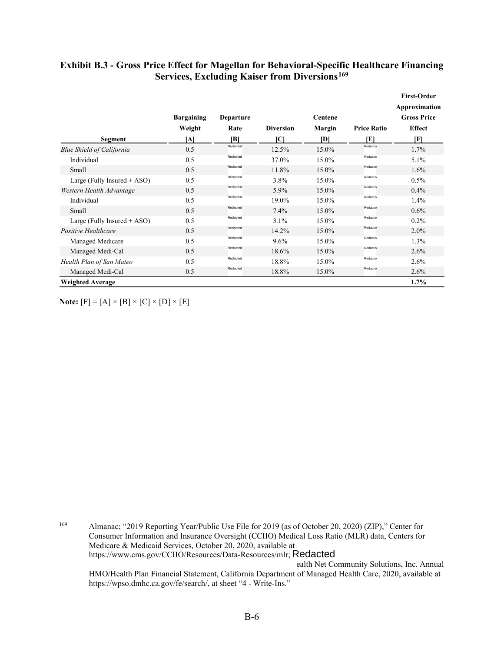|                                  |                   |           |                  |          |                    | <b>First-Order</b><br>Approximation |
|----------------------------------|-------------------|-----------|------------------|----------|--------------------|-------------------------------------|
|                                  | <b>Bargaining</b> | Departure |                  | Centene  |                    | <b>Gross Price</b>                  |
|                                  | Weight            | Rate      | <b>Diversion</b> | Margin   | <b>Price Ratio</b> | <b>Effect</b>                       |
| Segment                          | ΙAΙ               | IBI       | ſСl              | <b>D</b> | IEI                | [F]                                 |
| <b>Blue Shield of California</b> | 0.5               | Redacted  | 12.5%            | 15.0%    | Redacter           | 1.7%                                |
| Individual                       | 0.5               | Redacted  | 37.0%            | 15.0%    | Redacter           | 5.1%                                |
| Small                            | 0.5               | Redacted  | 11.8%            | 15.0%    | Redacter           | 1.6%                                |
| Large (Fully Insured $+$ ASO)    | 0.5               | Redacted  | $3.8\%$          | 15.0%    | Redacter           | $0.5\%$                             |
| Western Health Advantage         | 0.5               | Redacted  | 5.9%             | 15.0%    | Redacter           | 0.4%                                |
| Individual                       | 0.5               | Redacted  | 19.0%            | 15.0%    | Redacter           | 1.4%                                |
| Small                            | 0.5               | Redacted  | 7.4%             | 15.0%    | Redacter           | 0.6%                                |
| Large (Fully Insured + ASO)      | 0.5               | Redacted  | 3.1%             | 15.0%    | Redacter           | $0.2\%$                             |
| Positive Healthcare              | 0.5               | Redacted  | 14.2%            | 15.0%    | Redacter           | $2.0\%$                             |
| Managed Medicare                 | 0.5               | Redacted  | 9.6%             | 15.0%    | Redacter           | 1.3%                                |
| Managed Medi-Cal                 | 0.5               | Redacted  | 18.6%            | 15.0%    | Redacter           | 2.6%                                |
| Health Plan of San Mateo         | 0.5               | Redacted  | 18.8%            | 15.0%    | Redacter           | 2.6%                                |
| Managed Medi-Cal                 | 0.5               | Redacted  | 18.8%            | 15.0%    | Redacter           | 2.6%                                |
| <b>Weighted Average</b>          |                   |           |                  |          |                    | 1.7%                                |

## **Exhibit B.3 - Gross Price Effect for Magellan for Behavioral-Specific Healthcare Financing Services, Excluding Kaiser from Diversions[169](#page-86-0)**

Note:  $[F] = [A] \times [B] \times [C] \times [D] \times [E]$ 

<span id="page-86-0"></span> 169 <https://wpso.dmhc.ca.gov/fe/search>/, at sheet "4 - Write-Ins." **Note:**  $[F] = [A] \times [B] \times [C] \times [D] \times [E]$ <br>
<sup>169</sup> Almanac; "2019 Reporting Year/Public Use File for 2019 (as of October 20, 2020) (ZIP)," Center for Consumer Information and Insurance Oversight (CCIIO) Medical Loss Ratio (MLR) data, Centers for Medicare & Medicaid Services, October 20, 2020, available at https://www.cms.gov/CCIIO/Resources/Data-Resources/mlr; Redacted ealth Net Community Solutions, Inc. Annual HMO/Health Plan Financial Statement, California Department of Managed Health Care, 2020, available at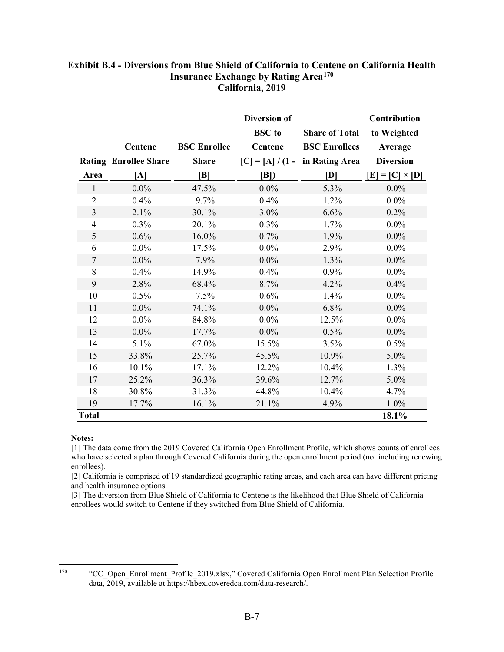## **Insurance Exchange by Rating Area[170](#page-87-0) Exhibit B.4 - Diversions from Blue Shield of California to Centene on California Health California, 2019**

|                |                              |                     | <b>Diversion of</b> |                                         | Contribution           |
|----------------|------------------------------|---------------------|---------------------|-----------------------------------------|------------------------|
|                |                              |                     | <b>BSC</b> to       | <b>Share of Total</b>                   | to Weighted            |
|                | <b>Centene</b>               | <b>BSC Enrollee</b> | Centene             | <b>BSC Enrollees</b>                    | Average                |
|                | <b>Rating Enrollee Share</b> | <b>Share</b>        |                     | $[C] = [A]/(1 - \text{in Rating Area})$ | <b>Diversion</b>       |
| Area           | [A]                          | B                   | B                   | [D]                                     | $[E] = [C] \times [D]$ |
| $\mathbf{1}$   | $0.0\%$                      | 47.5%               | $0.0\%$             | 5.3%                                    | $0.0\%$                |
| $\overline{2}$ | 0.4%                         | 9.7%                | 0.4%                | 1.2%                                    | $0.0\%$                |
| $\mathfrak{Z}$ | 2.1%                         | 30.1%               | 3.0%                | 6.6%                                    | 0.2%                   |
| $\overline{4}$ | 0.3%                         | 20.1%               | 0.3%                | 1.7%                                    | $0.0\%$                |
| 5              | 0.6%                         | 16.0%               | 0.7%                | 1.9%                                    | $0.0\%$                |
| 6              | $0.0\%$                      | 17.5%               | $0.0\%$             | 2.9%                                    | $0.0\%$                |
| $\tau$         | $0.0\%$                      | 7.9%                | $0.0\%$             | 1.3%                                    | $0.0\%$                |
| 8              | 0.4%                         | 14.9%               | 0.4%                | 0.9%                                    | $0.0\%$                |
| 9              | 2.8%                         | 68.4%               | 8.7%                | 4.2%                                    | 0.4%                   |
| 10             | 0.5%                         | 7.5%                | 0.6%                | 1.4%                                    | $0.0\%$                |
| 11             | $0.0\%$                      | 74.1%               | $0.0\%$             | 6.8%                                    | $0.0\%$                |
| 12             | $0.0\%$                      | 84.8%               | $0.0\%$             | 12.5%                                   | $0.0\%$                |
| 13             | $0.0\%$                      | 17.7%               | $0.0\%$             | 0.5%                                    | $0.0\%$                |
| 14             | 5.1%                         | 67.0%               | 15.5%               | 3.5%                                    | 0.5%                   |
| 15             | 33.8%                        | 25.7%               | 45.5%               | 10.9%                                   | 5.0%                   |
| 16             | 10.1%                        | 17.1%               | 12.2%               | 10.4%                                   | 1.3%                   |
| 17             | 25.2%                        | 36.3%               | 39.6%               | 12.7%                                   | 5.0%                   |
| 18             | 30.8%                        | 31.3%               | 44.8%               | 10.4%                                   | 4.7%                   |
| 19             | 17.7%                        | 16.1%               | 21.1%               | 4.9%                                    | 1.0%                   |
| <b>Total</b>   |                              |                     |                     |                                         | 18.1%                  |

#### **Notes:**

[1] The data come from the 2019 Covered California Open Enrollment Profile, which shows counts of enrollees who have selected a plan through Covered California during the open enrollment period (not including renewing enrollees).

[2] California is comprised of 19 standardized geographic rating areas, and each area can have different pricing and health insurance options.

[3] The diversion from Blue Shield of California to Centene is the likelihood that Blue Shield of California enrollees would switch to Centene if they switched from Blue Shield of California.

<span id="page-87-0"></span>170

<sup>&</sup>quot;CC\_Open\_Enrollment\_Profile\_2019.xlsx," Covered California Open Enrollment Plan Selection Profile data, 2019, available at<https://hbex.coveredca.com/data-research>/.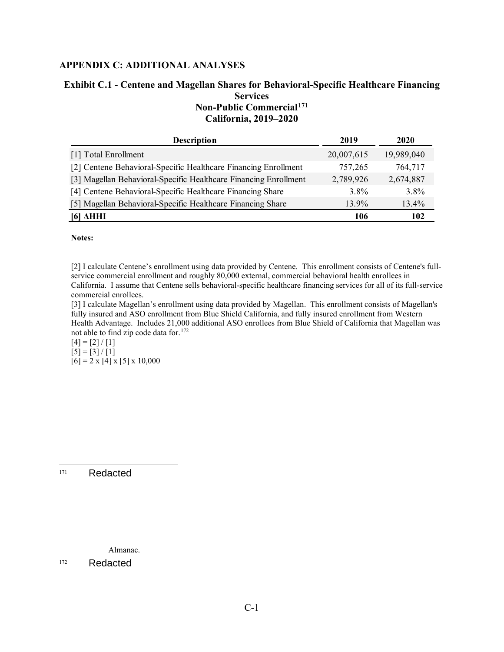## **APPENDIX C: ADDITIONAL ANALYSES**

### **Exhibit C.1 - Centene and Magellan Shares for Behavioral-Specific Healthcare Financing Services Non-Public Commercial[171](#page-88-0)  California, 2019–2020**

| <b>Description</b>                                               | 2019       | 2020       |
|------------------------------------------------------------------|------------|------------|
| [1] Total Enrollment                                             | 20,007,615 | 19,989,040 |
| [2] Centene Behavioral-Specific Healthcare Financing Enrollment  | 757,265    | 764,717    |
| [3] Magellan Behavioral-Specific Healthcare Financing Enrollment | 2,789,926  | 2,674,887  |
| [4] Centene Behavioral-Specific Healthcare Financing Share       | 3.8%       | 3.8%       |
| [5] Magellan Behavioral-Specific Healthcare Financing Share      | 13.9%      | $13.4\%$   |
| <b>[6] AHHI</b>                                                  | 106        | 102        |

**Notes:** 

[2] I calculate Centene's enrollment using data provided by Centene. This enrollment consists of Centene's fullservice commercial enrollment and roughly 80,000 external, commercial behavioral health enrollees in California. I assume that Centene sells behavioral-specific healthcare financing services for all of its full-service commercial enrollees.

[3] I calculate Magellan's enrollment using data provided by Magellan. This enrollment consists of Magellan's fully insured and ASO enrollment from Blue Shield California, and fully insured enrollment from Western Health Advantage. Includes 21,000 additional ASO enrollees from Blue Shield of California that Magellan was not able to find zip code data for.[172](#page-88-1)

 $[4] = [2] / [1]$  $[5] = [3] / [1]$  $[6] = 2 \times [4] \times [5] \times 10,000$ 

<span id="page-88-0"></span> 171 Redacted

Almanac.

<span id="page-88-1"></span> 172 Redacted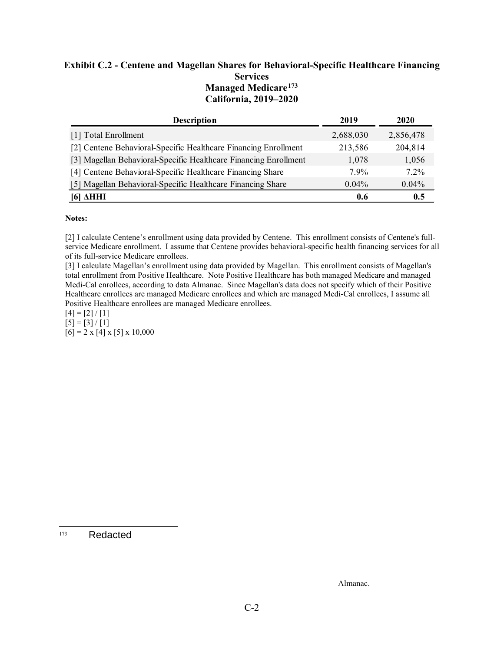## **Exhibit C.2 - Centene and Magellan Shares for Behavioral-Specific Healthcare Financing Services Managed Medicare[173](#page-89-0) California, 2019–2020**

| <b>Description</b>                                               | 2019      | 2020      |
|------------------------------------------------------------------|-----------|-----------|
| [1] Total Enrollment                                             | 2,688,030 | 2,856,478 |
| [2] Centene Behavioral-Specific Healthcare Financing Enrollment  | 213,586   | 204,814   |
| [3] Magellan Behavioral-Specific Healthcare Financing Enrollment | 1.078     | 1,056     |
| [4] Centene Behavioral-Specific Healthcare Financing Share       | $7.9\%$   | $7.2\%$   |
| [5] Magellan Behavioral-Specific Healthcare Financing Share      | $0.04\%$  | 0.04%     |
| AHHI<br> 0                                                       | 0.6       | 0.5       |

#### **Notes:**

 service Medicare enrollment. I assume that Centene provides behavioral-specific health financing services for all [2] I calculate Centene's enrollment using data provided by Centene. This enrollment consists of Centene's fullof its full-service Medicare enrollees.

Positive Healthcare enrollees are managed Medicare enrollees.<br>[4] = [2] / [1] [3] I calculate Magellan's enrollment using data provided by Magellan. This enrollment consists of Magellan's total enrollment from Positive Healthcare. Note Positive Healthcare has both managed Medicare and managed Medi-Cal enrollees, according to data Almanac. Since Magellan's data does not specify which of their Positive Healthcare enrollees are managed Medicare enrollees and which are managed Medi-Cal enrollees, I assume all

 $\boxed{5} = \boxed{3} / \boxed{1}$  $\begin{bmatrix} 6 \end{bmatrix} = 2 \times \begin{bmatrix} 4 \end{bmatrix} \times \begin{bmatrix} 5 \end{bmatrix} \times 10,000$ 

<span id="page-89-0"></span> 173 Redacted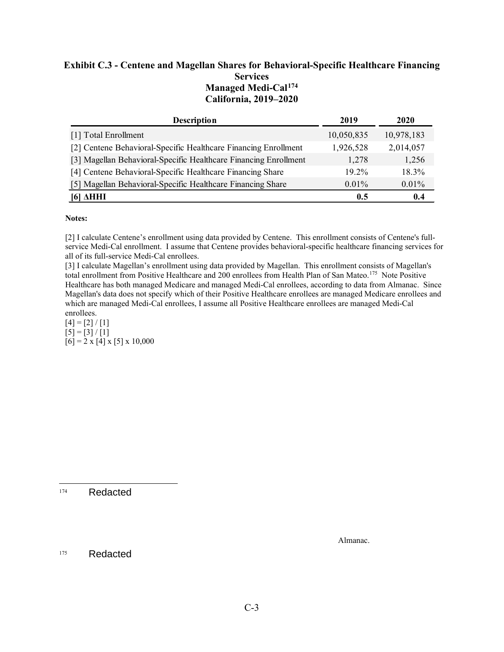## **Exhibit C.3 - Centene and Magellan Shares for Behavioral-Specific Healthcare Financing Services Managed Medi-Cal[174](#page-90-0) California, 2019–2020**

| <b>Description</b>                                               | 2019       | 2020       |
|------------------------------------------------------------------|------------|------------|
| [1] Total Enrollment                                             | 10,050,835 | 10,978,183 |
| [2] Centene Behavioral-Specific Healthcare Financing Enrollment  | 1,926,528  | 2,014,057  |
| [3] Magellan Behavioral-Specific Healthcare Financing Enrollment | 1.278      | 1,256      |
| [4] Centene Behavioral-Specific Healthcare Financing Share       | $19.2\%$   | 18.3%      |
| [5] Magellan Behavioral-Specific Healthcare Financing Share      | $0.01\%$   | $0.01\%$   |
| [6] <b>AHHI</b>                                                  | 0.5        | 0.4        |

#### **Notes:**

 service Medi-Cal enrollment. I assume that Centene provides behavioral-specific healthcare financing services for [2] I calculate Centene's enrollment using data provided by Centene. This enrollment consists of Centene's fullall of its full-service Medi-Cal enrollees.

total enrollment from Positive Healthcare and 200 enrollees from Health Plan of San Mateo.<sup>175</sup> Note Positive Healthcare has both managed Medicare and managed Medi-Cal enrollees, according to data from Almanac. Since [3] I calculate Magellan's enrollment using data provided by Magellan. This enrollment consists of Magellan's Magellan's data does not specify which of their Positive Healthcare enrollees are managed Medicare enrollees and which are managed Medi-Cal enrollees, I assume all Positive Healthcare enrollees are managed Medi-Cal enrollees.

 $[4] = [2] / [1]$  $[5] = [3] / [1]$  $[6] = 2 \times [4] \times [5] \times 10,000$ 

<span id="page-90-0"></span> 174 Redacted

Almanac.

<span id="page-90-1"></span>175 Redacted **Redacted** Redacted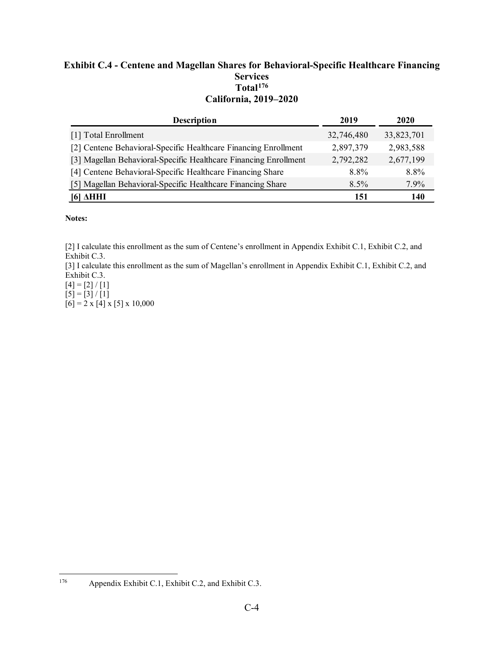## **Exhibit C.4 - Centene and Magellan Shares for Behavioral-Specific Healthcare Financing Services Total[176](#page-91-0) California, 2019–2020**

| <b>Description</b>                                               | 2019       | 2020       |
|------------------------------------------------------------------|------------|------------|
| [1] Total Enrollment                                             | 32,746,480 | 33,823,701 |
| [2] Centene Behavioral-Specific Healthcare Financing Enrollment  | 2,897,379  | 2,983,588  |
| [3] Magellan Behavioral-Specific Healthcare Financing Enrollment | 2,792,282  | 2,677,199  |
| [4] Centene Behavioral-Specific Healthcare Financing Share       | 8.8%       | 8.8%       |
| [5] Magellan Behavioral-Specific Healthcare Financing Share      | $8.5\%$    | 7.9%       |
| AHHI<br>161                                                      | 151        | 140        |

### **Notes:**

[2] I calculate this enrollment as the sum of Centene's enrollment in Appendix Exhibit C.1, Exhibit C.2, and Exhibit C.3.

[3] I calculate this enrollment as the sum of Magellan's enrollment in Appendix Exhibit C.1, Exhibit C.2, and Exhibit C.3.

 $[4] = [2] / [1]$  $[5] = [3] / [1]$ 

<span id="page-91-0"></span>176

 $[6] = 2 \times [4] \times [5] \times 10,000$ 

Appendix Exhibit C.1, Exhibit C.2, and Exhibit C.3.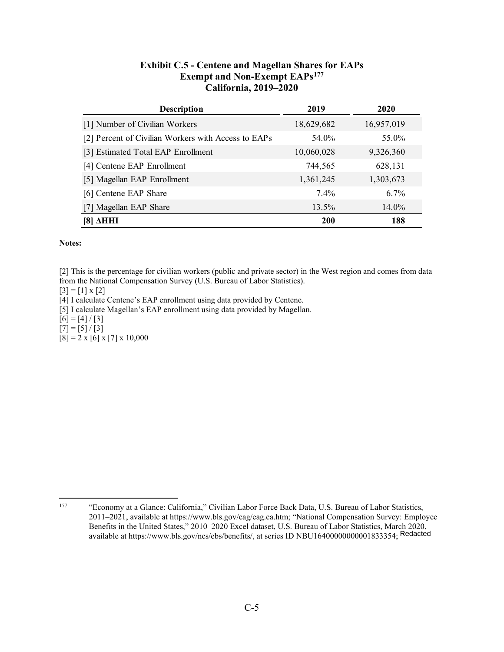| <b>Exhibit C.5 - Centene and Magellan Shares for EAPs</b> |
|-----------------------------------------------------------|
| <b>Exempt and Non-Exempt EAPs<sup>177</sup></b>           |
| California, 2019–2020                                     |

| <b>Description</b>                                  | 2019       | 2020       |
|-----------------------------------------------------|------------|------------|
| [1] Number of Civilian Workers                      | 18,629,682 | 16,957,019 |
| [2] Percent of Civilian Workers with Access to EAPs | 54.0%      | 55.0%      |
| [3] Estimated Total EAP Enrollment                  | 10,060,028 | 9,326,360  |
| [4] Centene EAP Enrollment                          | 744,565    | 628,131    |
| [5] Magellan EAP Enrollment                         | 1,361,245  | 1,303,673  |
| [6] Centene EAP Share                               | 7.4%       | $6.7\%$    |
| [7] Magellan EAP Share                              | 13.5%      | $14.0\%$   |
| AHHI<br>181                                         | <b>200</b> | 188        |

#### **Notes:**

 [2] This is the percentage for civilian workers (public and private sector) in the West region and comes from data from the National Compensation Survey (U.S. Bureau of Labor Statistics).

 $[3] = [1] \times [2]$ 

[4] I calculate Centene's EAP enrollment using data provided by Centene.

[5] I calculate Magellan's EAP enrollment using data provided by Magellan.

 $[6] = [4] / [3]$ 

 $[7] = [5] / [3]$ 

 $[8] = 2 \times [6] \times [7] \times 10,000$ 

<span id="page-92-0"></span> 177 "Economy at a Glance: California," Civilian Labor Force Back Data, U.S. Bureau of Labor Statistics, 2011–2021, available at<https://www.bls.gov/eag/eag.ca.htm>; "National Compensation Survey: Employee Benefits in the United States," 2010–2020 Excel dataset, U.S. Bureau of Labor Statistics, March 2020, available at https://www.bls.gov/ncs/ebs/benefits/, at series ID NBU16400000000001833354; Redacted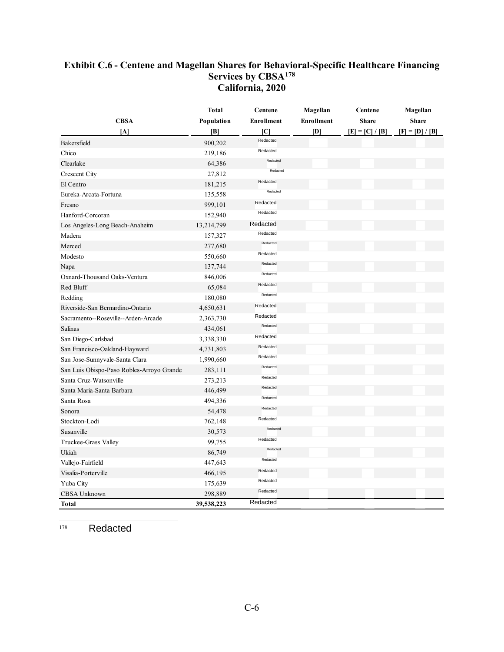## **Exhibit C.6 - Centene and Magellan Shares for Behavioral-Specific Healthcare Financing Services by CBSA[178](#page-93-0)  California, 2020**

|                                           | <b>Total</b> | <b>Centene</b>    | Magellan          | Centene         | Magellan          |
|-------------------------------------------|--------------|-------------------|-------------------|-----------------|-------------------|
| <b>CBSA</b>                               | Population   | <b>Enrollment</b> | <b>Enrollment</b> | <b>Share</b>    | <b>Share</b>      |
| [A]                                       | B            | ſСl               | DÌ                | $[E] = [C]/[B]$ | $[F] = [D] / [B]$ |
| Bakersfield                               | 900,202      | Redacted          |                   |                 |                   |
| Chico                                     | 219,186      | Redacted          |                   |                 |                   |
| Clearlake                                 | 64,386       | Redacted          |                   |                 |                   |
| <b>Crescent City</b>                      | 27,812       | Redacted          |                   |                 |                   |
| El Centro                                 | 181,215      | Redacted          |                   |                 |                   |
| Eureka-Arcata-Fortuna                     | 135,558      | Redacted          |                   |                 |                   |
| Fresno                                    | 999,101      | Redacted          |                   |                 |                   |
| Hanford-Corcoran                          | 152,940      | Redacted          |                   |                 |                   |
| Los Angeles-Long Beach-Anaheim            | 13,214,799   | Redacted          |                   |                 |                   |
| Madera                                    | 157,327      | Redacted          |                   |                 |                   |
| Merced                                    | 277,680      | Redacted          |                   |                 |                   |
| Modesto                                   | 550,660      | Redacted          |                   |                 |                   |
| Napa                                      | 137,744      | Redacted          |                   |                 |                   |
| Oxnard-Thousand Oaks-Ventura              | 846,006      | Redacted          |                   |                 |                   |
| Red Bluff                                 | 65,084       | Redacted          |                   |                 |                   |
| Redding                                   | 180,080      | Redacted          |                   |                 |                   |
| Riverside-San Bernardino-Ontario          | 4,650,631    | Redacted          |                   |                 |                   |
| Sacramento--Roseville--Arden-Arcade       | 2,363,730    | Redacted          |                   |                 |                   |
| Salinas                                   | 434,061      | Redacted          |                   |                 |                   |
| San Diego-Carlsbad                        | 3,338,330    | Redacted          |                   |                 |                   |
| San Francisco-Oakland-Hayward             | 4,731,803    | Redacted          |                   |                 |                   |
| San Jose-Sunnyvale-Santa Clara            | 1,990,660    | Redacted          |                   |                 |                   |
| San Luis Obispo-Paso Robles-Arroyo Grande | 283,111      | Redacted          |                   |                 |                   |
| Santa Cruz-Watsonville                    | 273,213      | Redacted          |                   |                 |                   |
| Santa Maria-Santa Barbara                 | 446,499      | Redacted          |                   |                 |                   |
| Santa Rosa                                | 494,336      | Redacted          |                   |                 |                   |
| Sonora                                    | 54,478       | Redacted          |                   |                 |                   |
| Stockton-Lodi                             | 762,148      | Redacted          |                   |                 |                   |
| Susanville                                | 30,573       | Redacted          |                   |                 |                   |
| Truckee-Grass Valley                      | 99,755       | Redacted          |                   |                 |                   |
| Ukiah                                     | 86,749       | Redacted          |                   |                 |                   |
| Vallejo-Fairfield                         | 447,643      | Redacted          |                   |                 |                   |
| Visalia-Porterville                       | 466,195      | Redacted          |                   |                 |                   |
| Yuba City                                 | 175,639      | Redacted          |                   |                 |                   |
| CBSA Unknown                              | 298,889      | Redacted          |                   |                 |                   |
| Total                                     | 39,538,223   | Redacted          |                   |                 |                   |

<span id="page-93-0"></span>178 Redacted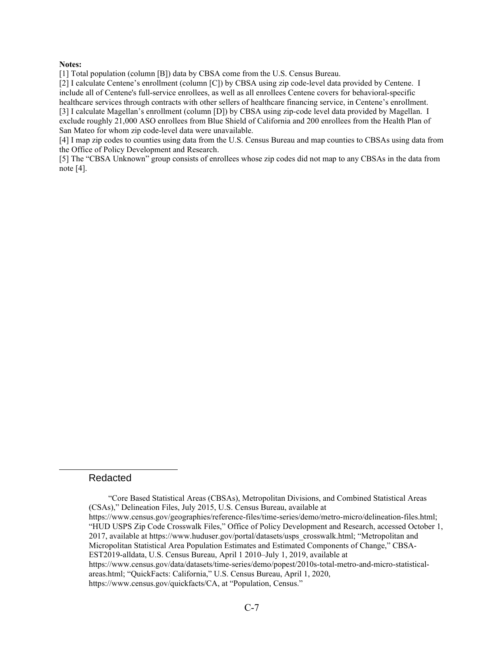#### **Notes:**

[1] Total population (column [B]) data by CBSA come from the U.S. Census Bureau.

[2] I calculate Centene's enrollment (column [C]) by CBSA using zip code-level data provided by Centene. I include all of Centene's full-service enrollees, as well as all enrollees Centene covers for behavioral-specific healthcare services through contracts with other sellers of healthcare financing service, in Centene's enrollment.

[3] I calculate Magellan's enrollment (column [D]) by CBSA using zip-code level data provided by Magellan. I exclude roughly 21,000 ASO enrollees from Blue Shield of California and 200 enrollees from the Health Plan of San Mateo for whom zip code-level data were unavailable.

[4] I map zip codes to counties using data from the U.S. Census Bureau and map counties to CBSAs using data from the Office of Policy Development and Research.

[5] The "CBSA Unknown" group consists of enrollees whose zip codes did not map to any CBSAs in the data from note [4].

#### Redacted

 (CSAs)," Delineation Files, July 2015, U.S. Census Bureau, available at EST2019-alldata, U.S. Census Bureau, April 1 2010–July 1, 2019, available at "Core Based Statistical Areas (CBSAs), Metropolitan Divisions, and Combined Statistical Areas [https://www.census.gov/geographies/reference-files/time-series/demo/metro-micro/delineation-files.html;](https://www.census.gov/geographies/reference-files/time-series/demo/metro-micro/delineation-files.html) "HUD USPS Zip Code Crosswalk Files," Office of Policy Development and Research, accessed October 1, 2017, available at [https://www.huduser.gov/portal/datasets/usps\\_crosswalk.html](https://www.huduser.gov/portal/datasets/usps_crosswalk.html); "Metropolitan and Micropolitan Statistical Area Population Estimates and Estimated Components of Change," CBSA<https://www.census.gov/data/datasets/time-series/demo/popest/2010s-total-metro-and-micro-statistical>areas.html; "QuickFacts: California," U.S. Census Bureau, April 1, 2020, <https://www.census.gov/quickfacts/CA>, at "Population, Census."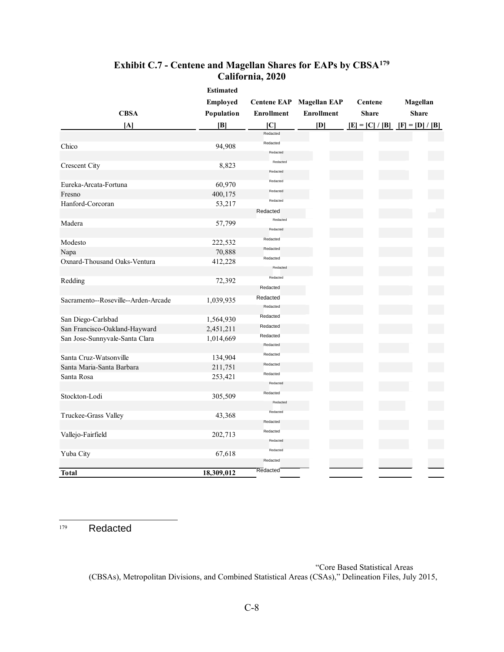# **Exhibit C.7 - Centene and Magellan Shares for EAPs by CBSA[179](#page-95-0)  California, 2020**

|                                     | <b>Estimated</b> |                    |                     |  |                   |
|-------------------------------------|------------------|--------------------|---------------------|--|-------------------|
|                                     | Employed         | <b>Centene EAP</b> | <b>Magellan EAP</b> |  | Centene           |
| <b>CBSA</b>                         | Population       | <b>Enrollment</b>  | <b>Enrollment</b>   |  | <b>Share</b>      |
| [A]                                 | B                | Ю                  | [D]                 |  | $[E] = [C] / [B]$ |
|                                     |                  | Redacted           |                     |  |                   |
| Chico                               | 94,908           | Redacted           |                     |  |                   |
|                                     |                  | Redacted           |                     |  |                   |
| Crescent City                       | 8,823            | Redacted           |                     |  |                   |
|                                     |                  | Redacted           |                     |  |                   |
| Eureka-Arcata-Fortuna               | 60,970           | Redacted           |                     |  |                   |
| Fresno                              | 400,175          | Redacted           |                     |  |                   |
| Hanford-Corcoran                    | 53,217           | Redacted           |                     |  |                   |
|                                     |                  | Redacted           |                     |  |                   |
| Madera                              | 57,799           | Redacted           |                     |  |                   |
|                                     |                  | Redacted           |                     |  |                   |
| Modesto                             | 222,532          | Redacted           |                     |  |                   |
| Napa                                | 70,888           | Redacted           |                     |  |                   |
| Oxnard-Thousand Oaks-Ventura        | 412,228          | Redacted           |                     |  |                   |
|                                     |                  | Redacted           |                     |  |                   |
| Redding                             | 72,392           | Redacted           |                     |  |                   |
|                                     |                  | Redacted           |                     |  |                   |
| Sacramento--Roseville--Arden-Arcade | 1,039,935        | Redacted           |                     |  |                   |
|                                     |                  | Redacted           |                     |  |                   |
| San Diego-Carlsbad                  | 1,564,930        | Redacted           |                     |  |                   |
| San Francisco-Oakland-Hayward       | 2,451,211        | Redacted           |                     |  |                   |
| San Jose-Sunnyvale-Santa Clara      | 1,014,669        | Redacted           |                     |  |                   |
|                                     |                  | Redacted           |                     |  |                   |
| Santa Cruz-Watsonville              | 134,904          | Redacted           |                     |  |                   |
| Santa Maria-Santa Barbara           | 211,751          | Redacted           |                     |  |                   |
| Santa Rosa                          | 253,421          | Redacted           |                     |  |                   |
|                                     |                  | Redacted           |                     |  |                   |
| Stockton-Lodi                       | 305,509          | Redacted           |                     |  |                   |
|                                     |                  | Redacted           |                     |  |                   |
| Truckee-Grass Valley                | 43,368           | Redacted           |                     |  |                   |
|                                     |                  | Redacted           |                     |  |                   |
| Vallejo-Fairfield                   | 202,713          | Redacted           |                     |  |                   |
|                                     |                  | Redacted           |                     |  |                   |
| Yuba City                           | 67,618           | Redacted           |                     |  |                   |
|                                     |                  | Redacted           |                     |  |                   |
| <b>Total</b>                        | 18,309,012       | <b>Redacted</b>    |                     |  |                   |

<span id="page-95-0"></span> 179 Redacted

> "Core Based Statistical Areas (CBSAs), Metropolitan Divisions, and Combined Statistical Areas (CSAs)," Delineation Files, July 2015,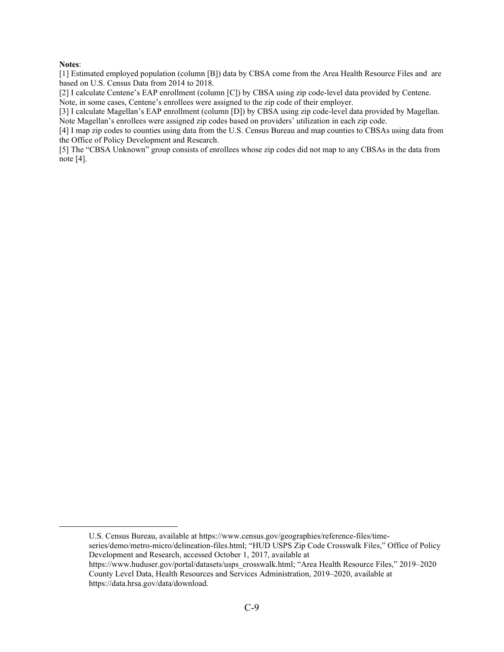#### **Notes**:

[1] Estimated employed population (column [B]) data by CBSA come from the Area Health Resource Files and are based on U.S. Census Data from 2014 to 2018.

[2] I calculate Centene's EAP enrollment (column [C]) by CBSA using zip code-level data provided by Centene. Note, in some cases, Centene's enrollees were assigned to the zip code of their employer.

[3] I calculate Magellan's EAP enrollment (column [D]) by CBSA using zip code-level data provided by Magellan.<br>Note Magellan's enrollees were assigned zip codes based on providers' utilization in each zip code.

[4] I map zip codes to counties using data from the U.S. Census Bureau and map counties to CBSAs using data from the Office of Policy Development and Research.

[5] The "CBSA Unknown" group consists of enrollees whose zip codes did not map to any CBSAs in the data from note [4].

 County Level Data, Health Resources and Services Administration, 2019–2020, available at U.S. Census Bureau, available at <https://www.census.gov/geographies/reference-files/time>series/demo/metro-micro/delineation-files.html; "HUD USPS Zip Code Crosswalk Files," Office of Policy Development and Research, accessed October 1, 2017, available at [https://www.huduser.gov/portal/datasets/usps\\_crosswalk.html](https://www.huduser.gov/portal/datasets/usps_crosswalk.html); "Area Health Resource Files," 2019–2020 [https://data.hrsa.gov/data/download.](https://data.hrsa.gov/data/download)